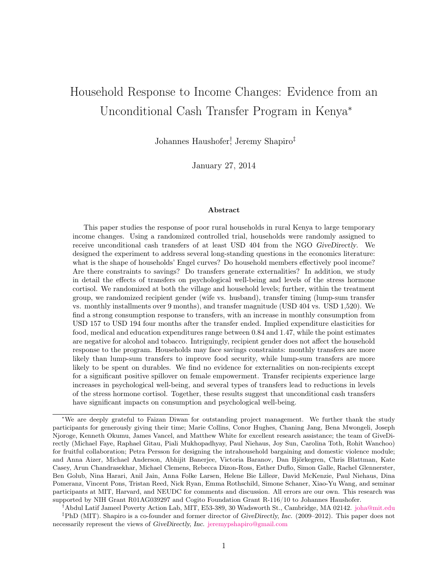# <span id="page-0-0"></span>Household Response to Income Changes: Evidence from an Unconditional Cash Transfer Program in Kenya<sup>∗</sup>

Johannes Haushofer† , Jeremy Shapiro‡

January 27, 2014

#### Abstract

This paper studies the response of poor rural households in rural Kenya to large temporary income changes. Using a randomized controlled trial, households were randomly assigned to receive unconditional cash transfers of at least USD 404 from the NGO GiveDirectly. We designed the experiment to address several long-standing questions in the economics literature: what is the shape of households' Engel curves? Do household members effectively pool income? Are there constraints to savings? Do transfers generate externalities? In addition, we study in detail the effects of transfers on psychological well-being and levels of the stress hormone cortisol. We randomized at both the village and household levels; further, within the treatment group, we randomized recipient gender (wife vs. husband), transfer timing (lump-sum transfer vs. monthly installments over 9 months), and transfer magnitude (USD 404 vs. USD 1,520). We find a strong consumption response to transfers, with an increase in monthly consumption from USD 157 to USD 194 four months after the transfer ended. Implied expenditure elasticities for food, medical and education expenditures range between 0.84 and 1.47, while the point estimates are negative for alcohol and tobacco. Intriguingly, recipient gender does not affect the household response to the program. Households may face savings constraints: monthly transfers are more likely than lump-sum transfers to improve food security, while lump-sum transfers are more likely to be spent on durables. We find no evidence for externalities on non-recipients except for a significant positive spillover on female empowerment. Transfer recipients experience large increases in psychological well-being, and several types of transfers lead to reductions in levels of the stress hormone cortisol. Together, these results suggest that unconditional cash transfers have significant impacts on consumption and psychological well-being.

†Abdul Latif Jameel Poverty Action Lab, MIT, E53-389, 30 Wadsworth St., Cambridge, MA 02142. [joha@mit.edu](mailto:joha@mit.edu) ‡PhD (MIT). Shapiro is a co-founder and former director of GiveDirectly, Inc. (2009–2012). This paper does not necessarily represent the views of GiveDirectly, Inc. [jeremypshapiro@gmail.com](mailto:jeremypshapiro@gmail.com)

<sup>∗</sup>We are deeply grateful to Faizan Diwan for outstanding project management. We further thank the study participants for generously giving their time; Marie Collins, Conor Hughes, Chaning Jang, Bena Mwongeli, Joseph Njoroge, Kenneth Okumu, James Vancel, and Matthew White for excellent research assistance; the team of GiveDirectly (Michael Faye, Raphael Gitau, Piali Mukhopadhyay, Paul Niehaus, Joy Sun, Carolina Toth, Rohit Wanchoo) for fruitful collaboration; Petra Persson for designing the intrahousehold bargaining and domestic violence module; and Anna Aizer, Michael Anderson, Abhijit Banerjee, Victoria Baranov, Dan Björkegren, Chris Blattman, Kate Casey, Arun Chandrasekhar, Michael Clemens, Rebecca Dizon-Ross, Esther Duflo, Simon Galle, Rachel Glennerster, Ben Golub, Nina Harari, Anil Jain, Anna Folke Larsen, Helene Bie Lilleør, David McKenzie, Paul Niehaus, Dina Pomeranz, Vincent Pons, Tristan Reed, Nick Ryan, Emma Rothschild, Simone Schaner, Xiao-Yu Wang, and seminar participants at MIT, Harvard, and NEUDC for comments and discussion. All errors are our own. This research was supported by NIH Grant R01AG039297 and Cogito Foundation Grant R-116/10 to Johannes Haushofer.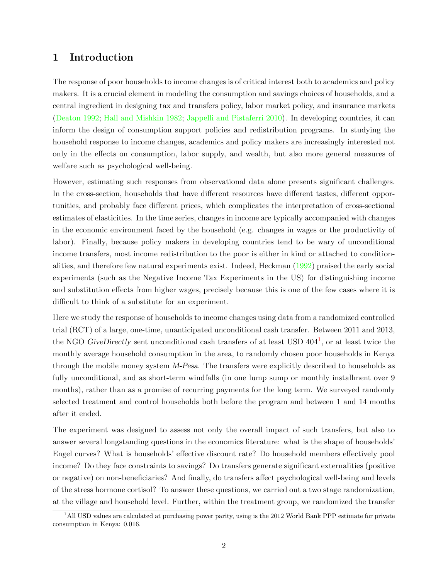## 1 Introduction

The response of poor households to income changes is of critical interest both to academics and policy makers. It is a crucial element in modeling the consumption and savings choices of households, and a central ingredient in designing tax and transfers policy, labor market policy, and insurance markets [\(Deaton 1992;](#page-38-0) [Hall and Mishkin 1982;](#page-40-0) [Jappelli and Pistaferri 2010\)](#page-40-1). In developing countries, it can inform the design of consumption support policies and redistribution programs. In studying the household response to income changes, academics and policy makers are increasingly interested not only in the effects on consumption, labor supply, and wealth, but also more general measures of welfare such as psychological well-being.

However, estimating such responses from observational data alone presents significant challenges. In the cross-section, households that have different resources have different tastes, different opportunities, and probably face different prices, which complicates the interpretation of cross-sectional estimates of elasticities. In the time series, changes in income are typically accompanied with changes in the economic environment faced by the household (e.g. changes in wages or the productivity of labor). Finally, because policy makers in developing countries tend to be wary of unconditional income transfers, most income redistribution to the poor is either in kind or attached to conditionalities, and therefore few natural experiments exist. Indeed, Heckman [\(1992\)](#page-40-2) praised the early social experiments (such as the Negative Income Tax Experiments in the US) for distinguishing income and substitution effects from higher wages, precisely because this is one of the few cases where it is difficult to think of a substitute for an experiment.

Here we study the response of households to income changes using data from a randomized controlled trial (RCT) of a large, one-time, unanticipated unconditional cash transfer. Between 2011 and 2013, the NGO GiveDirectly sent unconditional cash transfers of at least USD  $404<sup>1</sup>$  $404<sup>1</sup>$  $404<sup>1</sup>$ , or at least twice the monthly average household consumption in the area, to randomly chosen poor households in Kenya through the mobile money system M-Pesa. The transfers were explicitly described to households as fully unconditional, and as short-term windfalls (in one lump sump or monthly installment over 9 months), rather than as a promise of recurring payments for the long term. We surveyed randomly selected treatment and control households both before the program and between 1 and 14 months after it ended.

The experiment was designed to assess not only the overall impact of such transfers, but also to answer several longstanding questions in the economics literature: what is the shape of households' Engel curves? What is households' effective discount rate? Do household members effectively pool income? Do they face constraints to savings? Do transfers generate significant externalities (positive or negative) on non-beneficiaries? And finally, do transfers affect psychological well-being and levels of the stress hormone cortisol? To answer these questions, we carried out a two stage randomization, at the village and household level. Further, within the treatment group, we randomized the transfer

<sup>&</sup>lt;sup>1</sup>All USD values are calculated at purchasing power parity, using is the 2012 World Bank PPP estimate for private consumption in Kenya: 0.016.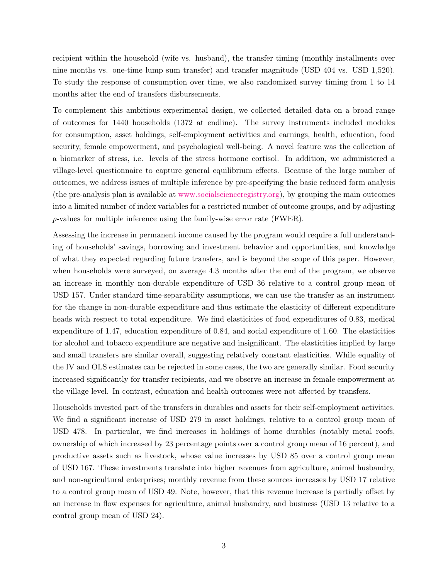recipient within the household (wife vs. husband), the transfer timing (monthly installments over nine months vs. one-time lump sum transfer) and transfer magnitude (USD 404 vs. USD 1,520). To study the response of consumption over time, we also randomized survey timing from 1 to 14 months after the end of transfers disbursements.

To complement this ambitious experimental design, we collected detailed data on a broad range of outcomes for 1440 households (1372 at endline). The survey instruments included modules for consumption, asset holdings, self-employment activities and earnings, health, education, food security, female empowerment, and psychological well-being. A novel feature was the collection of a biomarker of stress, i.e. levels of the stress hormone cortisol. In addition, we administered a village-level questionnaire to capture general equilibrium effects. Because of the large number of outcomes, we address issues of multiple inference by pre-specifying the basic reduced form analysis (the pre-analysis plan is available at [www.socialscienceregistry.org\)](http://www.socialscienceregistry.org), by grouping the main outcomes into a limited number of index variables for a restricted number of outcome groups, and by adjusting p-values for multiple inference using the family-wise error rate (FWER).

Assessing the increase in permanent income caused by the program would require a full understanding of households' savings, borrowing and investment behavior and opportunities, and knowledge of what they expected regarding future transfers, and is beyond the scope of this paper. However, when households were surveyed, on average 4.3 months after the end of the program, we observe an increase in monthly non-durable expenditure of USD 36 relative to a control group mean of USD 157. Under standard time-separability assumptions, we can use the transfer as an instrument for the change in non-durable expenditure and thus estimate the elasticity of different expenditure heads with respect to total expenditure. We find elasticities of food expenditures of 0.83, medical expenditure of 1.47, education expenditure of 0.84, and social expenditure of 1.60. The elasticities for alcohol and tobacco expenditure are negative and insignificant. The elasticities implied by large and small transfers are similar overall, suggesting relatively constant elasticities. While equality of the IV and OLS estimates can be rejected in some cases, the two are generally similar. Food security increased significantly for transfer recipients, and we observe an increase in female empowerment at the village level. In contrast, education and health outcomes were not affected by transfers.

Households invested part of the transfers in durables and assets for their self-employment activities. We find a significant increase of USD 279 in asset holdings, relative to a control group mean of USD 478. In particular, we find increases in holdings of home durables (notably metal roofs, ownership of which increased by 23 percentage points over a control group mean of 16 percent), and productive assets such as livestock, whose value increases by USD 85 over a control group mean of USD 167. These investments translate into higher revenues from agriculture, animal husbandry, and non-agricultural enterprises; monthly revenue from these sources increases by USD 17 relative to a control group mean of USD 49. Note, however, that this revenue increase is partially offset by an increase in flow expenses for agriculture, animal husbandry, and business (USD 13 relative to a control group mean of USD 24).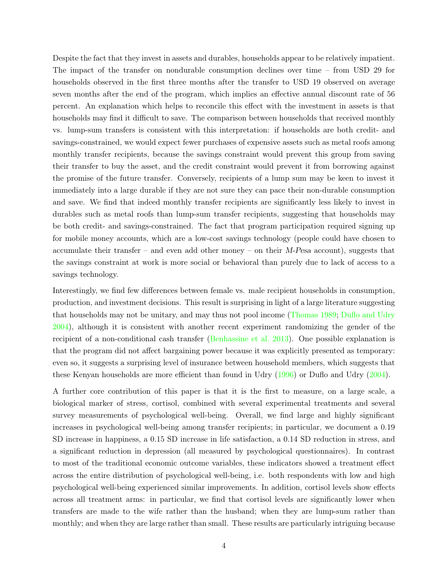Despite the fact that they invest in assets and durables, households appear to be relatively impatient. The impact of the transfer on nondurable consumption declines over time – from USD 29 for households observed in the first three months after the transfer to USD 19 observed on average seven months after the end of the program, which implies an effective annual discount rate of 56 percent. An explanation which helps to reconcile this effect with the investment in assets is that households may find it difficult to save. The comparison between households that received monthly vs. lump-sum transfers is consistent with this interpretation: if households are both credit- and savings-constrained, we would expect fewer purchases of expensive assets such as metal roofs among monthly transfer recipients, because the savings constraint would prevent this group from saving their transfer to buy the asset, and the credit constraint would prevent it from borrowing against the promise of the future transfer. Conversely, recipients of a lump sum may be keen to invest it immediately into a large durable if they are not sure they can pace their non-durable consumption and save. We find that indeed monthly transfer recipients are significantly less likely to invest in durables such as metal roofs than lump-sum transfer recipients, suggesting that households may be both credit- and savings-constrained. The fact that program participation required signing up for mobile money accounts, which are a low-cost savings technology (people could have chosen to accumulate their transfer – and even add other money – on their  $M-Pesa$  account), suggests that the savings constraint at work is more social or behavioral than purely due to lack of access to a savings technology.

Interestingly, we find few differences between female vs. male recipient households in consumption, production, and investment decisions. This result is surprising in light of a large literature suggesting that households may not be unitary, and may thus not pool income [\(Thomas 1989;](#page-43-0) [Duflo and Udry](#page-39-0) [2004\)](#page-39-0), although it is consistent with another recent experiment randomizing the gender of the recipient of a non-conditional cash transfer [\(Benhassine et al. 2013\)](#page-37-0). One possible explanation is that the program did not affect bargaining power because it was explicitly presented as temporary: even so, it suggests a surprising level of insurance between household members, which suggests that these Kenyan households are more efficient than found in Udry [\(1996\)](#page-43-1) or Duflo and Udry [\(2004\)](#page-39-0).

A further core contribution of this paper is that it is the first to measure, on a large scale, a biological marker of stress, cortisol, combined with several experimental treatments and several survey measurements of psychological well-being. Overall, we find large and highly significant increases in psychological well-being among transfer recipients; in particular, we document a 0.19 SD increase in happiness, a 0.15 SD increase in life satisfaction, a 0.14 SD reduction in stress, and a significant reduction in depression (all measured by psychological questionnaires). In contrast to most of the traditional economic outcome variables, these indicators showed a treatment effect across the entire distribution of psychological well-being, i.e. both respondents with low and high psychological well-being experienced similar improvements. In addition, cortisol levels show effects across all treatment arms: in particular, we find that cortisol levels are significantly lower when transfers are made to the wife rather than the husband; when they are lump-sum rather than monthly; and when they are large rather than small. These results are particularly intriguing because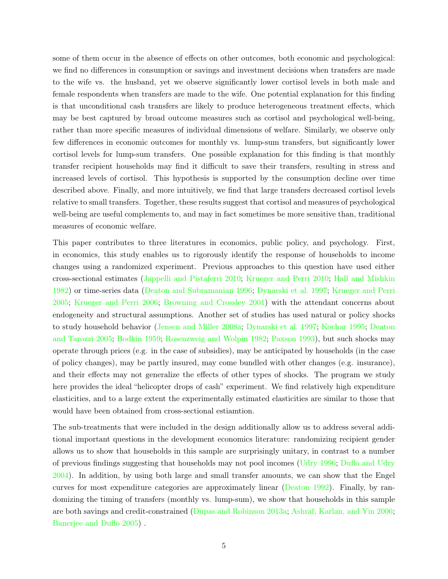some of them occur in the absence of effects on other outcomes, both economic and psychological: we find no differences in consumption or savings and investment decisions when transfers are made to the wife vs. the husband, yet we observe significantly lower cortisol levels in both male and female respondents when transfers are made to the wife. One potential explanation for this finding is that unconditional cash transfers are likely to produce heterogeneous treatment effects, which may be best captured by broad outcome measures such as cortisol and psychological well-being, rather than more specific measures of individual dimensions of welfare. Similarly, we observe only few differences in economic outcomes for monthly vs. lump-sum transfers, but significantly lower cortisol levels for lump-sum transfers. One possible explanation for this finding is that monthly transfer recipient households may find it difficult to save their transfers, resulting in stress and increased levels of cortisol. This hypothesis is supported by the consumption decline over time described above. Finally, and more intuitively, we find that large transfers decreased cortisol levels relative to small transfers. Together, these results suggest that cortisol and measures of psychological well-being are useful complements to, and may in fact sometimes be more sensitive than, traditional measures of economic welfare.

This paper contributes to three literatures in economics, public policy, and psychology. First, in economics, this study enables us to rigorously identify the response of households to income changes using a randomized experiment. Previous approaches to this question have used either cross-sectional estimates [\(Jappelli and Pistaferri 2010;](#page-40-1) [Krueger and Perri 2010;](#page-41-0) [Hall and Mishkin](#page-40-0) [1982\)](#page-40-0) or time-series data [\(Deaton and Subramanian 1996;](#page-39-1) [Dynarski et al. 1997;](#page-39-2) [Krueger and Perri](#page-41-1) [2005;](#page-41-1) [Krueger and Perri 2006;](#page-41-2) [Browning and Crossley 2001\)](#page-38-1) with the attendant concerns about endogeneity and structural assumptions. Another set of studies has used natural or policy shocks to study household behavior [\(Jensen and Miller 2008a;](#page-40-3) [Dynarski et al. 1997;](#page-39-2) [Kochar 1995;](#page-41-3) [Deaton](#page-39-3) [and Tarozzi 2005;](#page-39-3) [Bodkin 1959;](#page-38-2) [Rosenzweig and Wolpin 1982;](#page-42-0) [Paxson 1993\)](#page-42-1), but such shocks may operate through prices (e.g. in the case of subsidies), may be anticipated by households (in the case of policy changes), may be partly insured, may come bundled with other changes (e.g. insurance), and their effects may not generalize the effects of other types of shocks. The program we study here provides the ideal "helicopter drops of cash" experiment. We find relatively high expenditure elasticities, and to a large extent the experimentally estimated elasticities are similar to those that would have been obtained from cross-sectional estiamtion.

The sub-treatments that were included in the design additionally allow us to address several additional important questions in the development economics literature: randomizing recipient gender allows us to show that households in this sample are surprisingly unitary, in contrast to a number of previous findings suggesting that households may not pool incomes [\(Udry 1996;](#page-43-1) [Duflo and Udry](#page-39-0) [2004\)](#page-39-0). In addition, by using both large and small transfer amounts, we can show that the Engel curves for most expenditure categories are approximately linear [\(Deaton 1992\)](#page-38-0). Finally, by randomizing the timing of transfers (monthly vs. lump-sum), we show that households in this sample are both savings and credit-constrained [\(Dupas and Robinson 2013a;](#page-39-4) [Ashraf, Karlan, and Yin 2006;](#page-37-1) [Banerjee and Duflo 2005\)](#page-37-2) .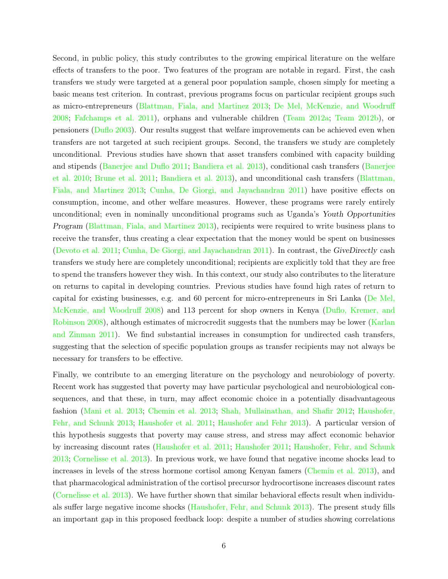Second, in public policy, this study contributes to the growing empirical literature on the welfare effects of transfers to the poor. Two features of the program are notable in regard. First, the cash transfers we study were targeted at a general poor population sample, chosen simply for meeting a basic means test criterion. In contrast, previous programs focus on particular recipient groups such as micro-entrepreneurs [\(Blattman, Fiala, and Martinez 2013;](#page-37-3) [De Mel, McKenzie, and Woodruff](#page-39-5) [2008;](#page-39-5) [Fafchamps et al. 2011\)](#page-39-6), orphans and vulnerable children [\(Team 2012a;](#page-43-2) [Team 2012b\)](#page-43-3), or pensioners [\(Duflo 2003\)](#page-39-7). Our results suggest that welfare improvements can be achieved even when transfers are not targeted at such recipient groups. Second, the transfers we study are completely unconditional. Previous studies have shown that asset transfers combined with capacity building and stipends [\(Banerjee and Duflo 2011;](#page-37-4) [Bandiera et al. 2013\)](#page-37-5), conditional cash transfers [\(Banerjee](#page-37-6) [et al. 2010;](#page-37-6) [Brune et al. 2011;](#page-38-3) [Bandiera et al. 2013\)](#page-37-5), and unconditional cash transfers [\(Blattman,](#page-37-3) [Fiala, and Martinez 2013;](#page-37-3) [Cunha, De Giorgi, and Jayachandran 2011\)](#page-38-4) have positive effects on consumption, income, and other welfare measures. However, these programs were rarely entirely unconditional; even in nominally unconditional programs such as Uganda's Youth Opportunities Program [\(Blattman, Fiala, and Martinez 2013\)](#page-37-3), recipients were required to write business plans to receive the transfer, thus creating a clear expectation that the money would be spent on businesses [\(Devoto et al. 2011;](#page-39-8) [Cunha, De Giorgi, and Jayachandran 2011\)](#page-38-4). In contrast, the GiveDirectly cash transfers we study here are completely unconditional; recipients are explicitly told that they are free to spend the transfers however they wish. In this context, our study also contributes to the literature on returns to capital in developing countries. Previous studies have found high rates of return to capital for existing businesses, e.g. and 60 percent for micro-entrepreneurs in Sri Lanka [\(De Mel,](#page-39-5) [McKenzie, and Woodruff 2008\)](#page-39-5) and 113 percent for shop owners in Kenya [\(Duflo, Kremer, and](#page-39-9) [Robinson 2008\)](#page-39-9), although estimates of microcredit suggests that the numbers may be lower [\(Karlan](#page-41-4) [and Zinman 2011\)](#page-41-4). We find substantial increases in consumption for undirected cash transfers, suggesting that the selection of specific population groups as transfer recipients may not always be necessary for transfers to be effective.

Finally, we contribute to an emerging literature on the psychology and neurobiology of poverty. Recent work has suggested that poverty may have particular psychological and neurobiological consequences, and that these, in turn, may affect economic choice in a potentially disadvantageous fashion [\(Mani et al. 2013;](#page-41-5) [Chemin et al. 2013;](#page-38-5) [Shah, Mullainathan, and Shafir 2012;](#page-42-2) [Haushofer,](#page-40-4) [Fehr, and Schunk 2013;](#page-40-4) [Haushofer et al. 2011;](#page-40-5) [Haushofer and Fehr 2013\)](#page-40-6). A particular version of this hypothesis suggests that poverty may cause stress, and stress may affect economic behavior by increasing discount rates [\(Haushofer et al. 2011;](#page-40-5) [Haushofer 2011;](#page-40-7) [Haushofer, Fehr, and Schunk](#page-40-4) [2013;](#page-40-4) [Cornelisse et al. 2013\)](#page-38-6). In previous work, we have found that negative income shocks lead to increases in levels of the stress hormone cortisol among Kenyan famers [\(Chemin et al. 2013\)](#page-38-5), and that pharmacological administration of the cortisol precursor hydrocortisone increases discount rates [\(Cornelisse et al. 2013\)](#page-38-6). We have further shown that similar behavioral effects result when individuals suffer large negative income shocks [\(Haushofer, Fehr, and Schunk 2013\)](#page-40-4). The present study fills an important gap in this proposed feedback loop: despite a number of studies showing correlations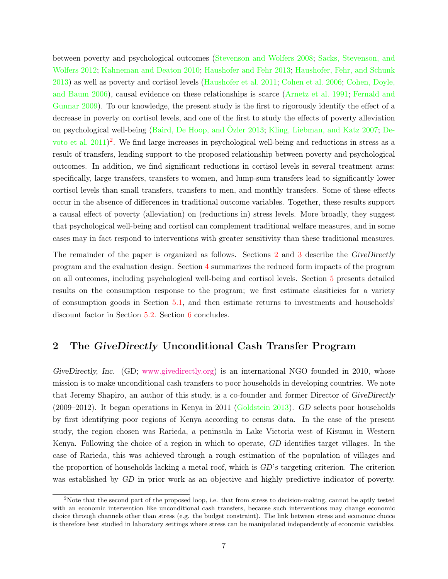between poverty and psychological outcomes [\(Stevenson and Wolfers 2008;](#page-42-3) [Sacks, Stevenson, and](#page-42-4) [Wolfers 2012;](#page-42-4) [Kahneman and Deaton 2010;](#page-41-6) [Haushofer and Fehr 2013;](#page-40-6) [Haushofer, Fehr, and Schunk](#page-40-4) [2013\)](#page-40-4) as well as poverty and cortisol levels [\(Haushofer et al. 2011;](#page-40-5) [Cohen et al. 2006;](#page-38-7) [Cohen, Doyle,](#page-38-8) [and Baum 2006\)](#page-38-8), causal evidence on these relationships is scarce [\(Arnetz et al. 1991;](#page-37-7) [Fernald and](#page-39-10) [Gunnar 2009\)](#page-39-10). To our knowledge, the present study is the first to rigorously identify the effect of a decrease in poverty on cortisol levels, and one of the first to study the effects of poverty alleviation on psychological well-being [\(Baird, De Hoop, and Özler 2013;](#page-37-8) [Kling, Liebman, and Katz 2007;](#page-41-7) [De](#page-39-8)voto et al.  $2011$  $2011$ <sup>2</sup>. We find large increases in psychological well-being and reductions in stress as a result of transfers, lending support to the proposed relationship between poverty and psychological outcomes. In addition, we find significant reductions in cortisol levels in several treatment arms: specifically, large transfers, transfers to women, and lump-sum transfers lead to significantly lower cortisol levels than small transfers, transfers to men, and monthly transfers. Some of these effects occur in the absence of differences in traditional outcome variables. Together, these results support a causal effect of poverty (alleviation) on (reductions in) stress levels. More broadly, they suggest that psychological well-being and cortisol can complement traditional welfare measures, and in some cases may in fact respond to interventions with greater sensitivity than these traditional measures.

The remainder of the paper is organized as follows. Sections [2](#page-6-0) and [3](#page-8-0) describe the GiveDirectly program and the evaluation design. Section [4](#page-18-0) summarizes the reduced form impacts of the program on all outcomes, including psychological well-being and cortisol levels. Section [5](#page-23-0) presents detailed results on the consumption response to the program; we first estimate elasiticies for a variety of consumption goods in Section [5.1,](#page-23-1) and then estimate returns to investments and households' discount factor in Section [5.2.](#page-32-0) Section [6](#page-34-0) concludes.

## <span id="page-6-0"></span>2 The GiveDirectly Unconditional Cash Transfer Program

GiveDirectly, Inc. (GD; [www.givedirectly.org\)](http://givedirectly.org/) is an international NGO founded in 2010, whose mission is to make unconditional cash transfers to poor households in developing countries. We note that Jeremy Shapiro, an author of this study, is a co-founder and former Director of GiveDirectly (2009–2012). It began operations in Kenya in 2011 [\(Goldstein 2013\)](#page-40-8). GD selects poor households by first identifying poor regions of Kenya according to census data. In the case of the present study, the region chosen was Rarieda, a peninsula in Lake Victoria west of Kisumu in Western Kenya. Following the choice of a region in which to operate, GD identifies target villages. In the case of Rarieda, this was achieved through a rough estimation of the population of villages and the proportion of households lacking a metal roof, which is GD's targeting criterion. The criterion was established by GD in prior work as an objective and highly predictive indicator of poverty.

<sup>&</sup>lt;sup>2</sup>Note that the second part of the proposed loop, i.e. that from stress to decision-making, cannot be aptly tested with an economic intervention like unconditional cash transfers, because such interventions may change economic choice through channels other than stress (e.g. the budget constraint). The link between stress and economic choice is therefore best studied in laboratory settings where stress can be manipulated independently of economic variables.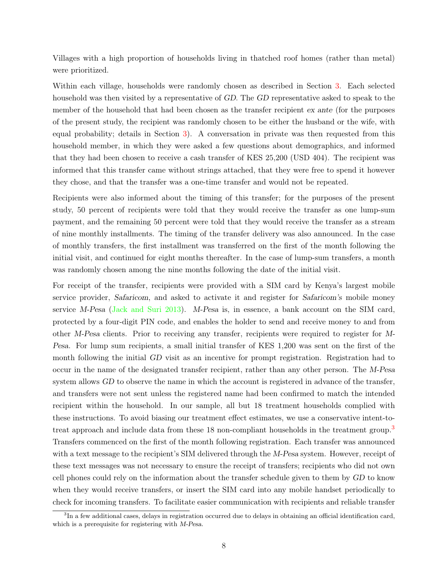Villages with a high proportion of households living in thatched roof homes (rather than metal) were prioritized.

Within each village, households were randomly chosen as described in Section [3.](#page-8-0) Each selected household was then visited by a representative of GD. The GD representative asked to speak to the member of the household that had been chosen as the transfer recipient ex ante (for the purposes of the present study, the recipient was randomly chosen to be either the husband or the wife, with equal probability; details in Section [3\)](#page-8-0). A conversation in private was then requested from this household member, in which they were asked a few questions about demographics, and informed that they had been chosen to receive a cash transfer of KES 25,200 (USD 404). The recipient was informed that this transfer came without strings attached, that they were free to spend it however they chose, and that the transfer was a one-time transfer and would not be repeated.

Recipients were also informed about the timing of this transfer; for the purposes of the present study, 50 percent of recipients were told that they would receive the transfer as one lump-sum payment, and the remaining 50 percent were told that they would receive the transfer as a stream of nine monthly installments. The timing of the transfer delivery was also announced. In the case of monthly transfers, the first installment was transferred on the first of the month following the initial visit, and continued for eight months thereafter. In the case of lump-sum transfers, a month was randomly chosen among the nine months following the date of the initial visit.

For receipt of the transfer, recipients were provided with a SIM card by Kenya's largest mobile service provider, Safaricom, and asked to activate it and register for Safaricom's mobile money service M-Pesa [\(Jack and Suri 2013\)](#page-40-9). M-Pesa is, in essence, a bank account on the SIM card, protected by a four-digit PIN code, and enables the holder to send and receive money to and from other M-Pesa clients. Prior to receiving any transfer, recipients were required to register for M-Pesa. For lump sum recipients, a small initial transfer of KES 1,200 was sent on the first of the month following the initial GD visit as an incentive for prompt registration. Registration had to occur in the name of the designated transfer recipient, rather than any other person. The M-Pesa system allows GD to observe the name in which the account is registered in advance of the transfer, and transfers were not sent unless the registered name had been confirmed to match the intended recipient within the household. In our sample, all but 18 treatment households complied with these instructions. To avoid biasing our treatment effect estimates, we use a conservative intent-to-treat approach and include data from these 18 non-compliant households in the treatment group.<sup>[3](#page-0-0)</sup> Transfers commenced on the first of the month following registration. Each transfer was announced with a text message to the recipient's SIM delivered through the M-Pesa system. However, receipt of these text messages was not necessary to ensure the receipt of transfers; recipients who did not own cell phones could rely on the information about the transfer schedule given to them by GD to know when they would receive transfers, or insert the SIM card into any mobile handset periodically to check for incoming transfers. To facilitate easier communication with recipients and reliable transfer

<sup>&</sup>lt;sup>3</sup>In a few additional cases, delays in registration occurred due to delays in obtaining an official identification card, which is a prerequisite for registering with M-Pesa.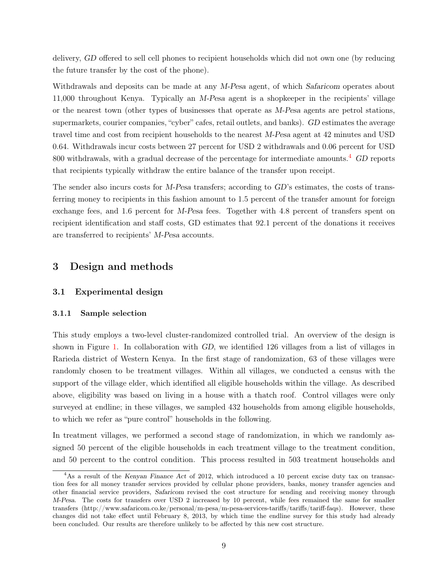delivery, GD offered to sell cell phones to recipient households which did not own one (by reducing the future transfer by the cost of the phone).

Withdrawals and deposits can be made at any M-Pesa agent, of which Safaricom operates about 11,000 throughout Kenya. Typically an M-Pesa agent is a shopkeeper in the recipients' village or the nearest town (other types of businesses that operate as M-Pesa agents are petrol stations, supermarkets, courier companies, "cyber" cafes, retail outlets, and banks). GD estimates the average travel time and cost from recipient households to the nearest M-Pesa agent at 42 minutes and USD 0.64. Withdrawals incur costs between 27 percent for USD 2 withdrawals and 0.06 percent for USD 800 withdrawals, with a gradual decrease of the percentage for intermediate amounts.<sup>[4](#page-0-0)</sup> GD reports that recipients typically withdraw the entire balance of the transfer upon receipt.

The sender also incurs costs for M-Pesa transfers; according to GD's estimates, the costs of transferring money to recipients in this fashion amount to 1.5 percent of the transfer amount for foreign exchange fees, and 1.6 percent for M-Pesa fees. Together with 4.8 percent of transfers spent on recipient identification and staff costs, GD estimates that 92.1 percent of the donations it receives are transferred to recipients' M-Pesa accounts.

## <span id="page-8-0"></span>3 Design and methods

#### 3.1 Experimental design

#### 3.1.1 Sample selection

This study employs a two-level cluster-randomized controlled trial. An overview of the design is shown in Figure [1.](#page-44-0) In collaboration with GD, we identified 126 villages from a list of villages in Rarieda district of Western Kenya. In the first stage of randomization, 63 of these villages were randomly chosen to be treatment villages. Within all villages, we conducted a census with the support of the village elder, which identified all eligible households within the village. As described above, eligibility was based on living in a house with a thatch roof. Control villages were only surveyed at endline; in these villages, we sampled 432 households from among eligible households, to which we refer as "pure control" households in the following.

In treatment villages, we performed a second stage of randomization, in which we randomly assigned 50 percent of the eligible households in each treatment village to the treatment condition, and 50 percent to the control condition. This process resulted in 503 treatment households and

 ${}^{4}$ As a result of the Kenyan Finance Act of 2012, which introduced a 10 percent excise duty tax on transaction fees for all money transfer services provided by cellular phone providers, banks, money transfer agencies and other financial service providers, Safaricom revised the cost structure for sending and receiving money through M-Pesa. The costs for transfers over USD 2 increased by 10 percent, while fees remained the same for smaller transfers (http://www.safaricom.co.ke/personal/m-pesa/m-pesa-services-tariffs/tariffs/tariff-faqs). However, these changes did not take effect until February 8, 2013, by which time the endline survey for this study had already been concluded. Our results are therefore unlikely to be affected by this new cost structure.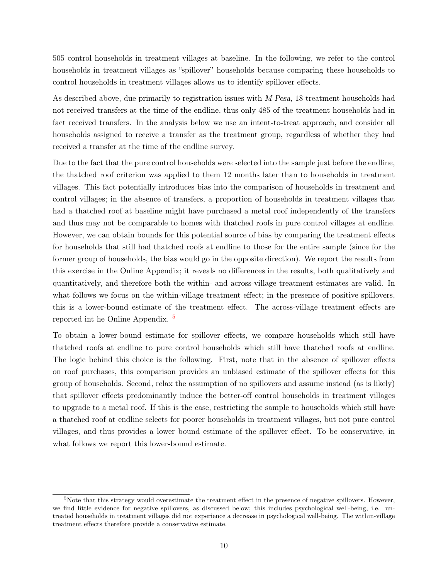505 control households in treatment villages at baseline. In the following, we refer to the control households in treatment villages as "spillover" households because comparing these households to control households in treatment villages allows us to identify spillover effects.

As described above, due primarily to registration issues with M-Pesa, 18 treatment households had not received transfers at the time of the endline, thus only 485 of the treatment households had in fact received transfers. In the analysis below we use an intent-to-treat approach, and consider all households assigned to receive a transfer as the treatment group, regardless of whether they had received a transfer at the time of the endline survey.

Due to the fact that the pure control households were selected into the sample just before the endline, the thatched roof criterion was applied to them 12 months later than to households in treatment villages. This fact potentially introduces bias into the comparison of households in treatment and control villages; in the absence of transfers, a proportion of households in treatment villages that had a thatched roof at baseline might have purchased a metal roof independently of the transfers and thus may not be comparable to homes with thatched roofs in pure control villages at endline. However, we can obtain bounds for this potential source of bias by comparing the treatment effects for households that still had thatched roofs at endline to those for the entire sample (since for the former group of households, the bias would go in the opposite direction). We report the results from this exercise in the Online Appendix; it reveals no differences in the results, both qualitatively and quantitatively, and therefore both the within- and across-village treatment estimates are valid. In what follows we focus on the within-village treatment effect; in the presence of positive spillovers, this is a lower-bound estimate of the treatment effect. The across-village treatment effects are reported int he Online Appendix. [5](#page-0-0)

To obtain a lower-bound estimate for spillover effects, we compare households which still have thatched roofs at endline to pure control households which still have thatched roofs at endline. The logic behind this choice is the following. First, note that in the absence of spillover effects on roof purchases, this comparison provides an unbiased estimate of the spillover effects for this group of households. Second, relax the assumption of no spillovers and assume instead (as is likely) that spillover effects predominantly induce the better-off control households in treatment villages to upgrade to a metal roof. If this is the case, restricting the sample to households which still have a thatched roof at endline selects for poorer households in treatment villages, but not pure control villages, and thus provides a lower bound estimate of the spillover effect. To be conservative, in what follows we report this lower-bound estimate.

 $5\text{Note that this strategy would overestimate the treatment effect in the presence of negative soillovers. However, }$ we find little evidence for negative spillovers, as discussed below; this includes psychological well-being, i.e. untreated households in treatment villages did not experience a decrease in psychological well-being. The within-village treatment effects therefore provide a conservative estimate.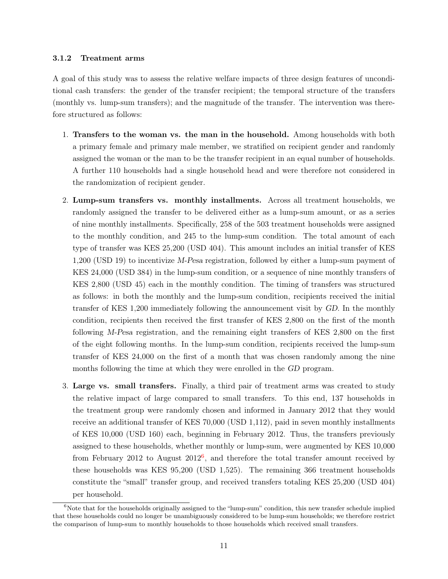#### 3.1.2 Treatment arms

A goal of this study was to assess the relative welfare impacts of three design features of unconditional cash transfers: the gender of the transfer recipient; the temporal structure of the transfers (monthly vs. lump-sum transfers); and the magnitude of the transfer. The intervention was therefore structured as follows:

- 1. Transfers to the woman vs. the man in the household. Among households with both a primary female and primary male member, we stratified on recipient gender and randomly assigned the woman or the man to be the transfer recipient in an equal number of households. A further 110 households had a single household head and were therefore not considered in the randomization of recipient gender.
- 2. Lump-sum transfers vs. monthly installments. Across all treatment households, we randomly assigned the transfer to be delivered either as a lump-sum amount, or as a series of nine monthly installments. Specifically, 258 of the 503 treatment households were assigned to the monthly condition, and 245 to the lump-sum condition. The total amount of each type of transfer was KES 25,200 (USD 404). This amount includes an initial transfer of KES 1,200 (USD 19) to incentivize M-Pesa registration, followed by either a lump-sum payment of KES 24,000 (USD 384) in the lump-sum condition, or a sequence of nine monthly transfers of KES 2,800 (USD 45) each in the monthly condition. The timing of transfers was structured as follows: in both the monthly and the lump-sum condition, recipients received the initial transfer of KES 1,200 immediately following the announcement visit by GD. In the monthly condition, recipients then received the first transfer of KES 2,800 on the first of the month following M-Pesa registration, and the remaining eight transfers of KES 2,800 on the first of the eight following months. In the lump-sum condition, recipients received the lump-sum transfer of KES 24,000 on the first of a month that was chosen randomly among the nine months following the time at which they were enrolled in the GD program.
- 3. Large vs. small transfers. Finally, a third pair of treatment arms was created to study the relative impact of large compared to small transfers. To this end, 137 households in the treatment group were randomly chosen and informed in January 2012 that they would receive an additional transfer of KES 70,000 (USD 1,112), paid in seven monthly installments of KES 10,000 (USD 160) each, beginning in February 2012. Thus, the transfers previously assigned to these households, whether monthly or lump-sum, were augmented by KES 10,000 from February 2012 to August  $2012^6$  $2012^6$ , and therefore the total transfer amount received by these households was KES 95,200 (USD 1,525). The remaining 366 treatment households constitute the "small" transfer group, and received transfers totaling KES 25,200 (USD 404) per household.

<sup>&</sup>lt;sup>6</sup>Note that for the households originally assigned to the "lump-sum" condition, this new transfer schedule implied that these households could no longer be unambiguously considered to be lump-sum households; we therefore restrict the comparison of lump-sum to monthly households to those households which received small transfers.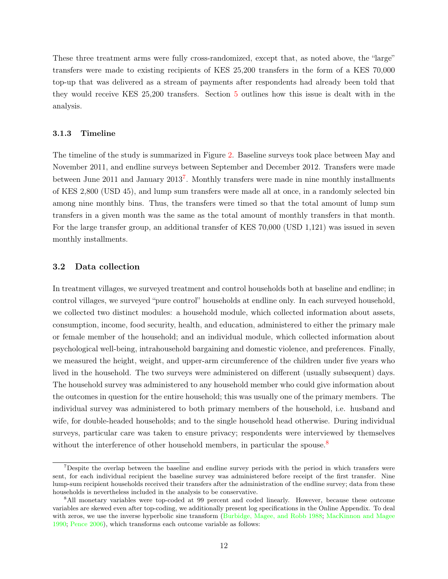These three treatment arms were fully cross-randomized, except that, as noted above, the "large" transfers were made to existing recipients of KES 25,200 transfers in the form of a KES 70,000 top-up that was delivered as a stream of payments after respondents had already been told that they would receive KES 25,200 transfers. Section [5](#page-23-0) outlines how this issue is dealt with in the analysis.

#### 3.1.3 Timeline

The timeline of the study is summarized in Figure [2.](#page-45-0) Baseline surveys took place between May and November 2011, and endline surveys between September and December 2012. Transfers were made between June 2011 and January 2013<sup>[7](#page-0-0)</sup>. Monthly transfers were made in nine monthly installments of KES 2,800 (USD 45), and lump sum transfers were made all at once, in a randomly selected bin among nine monthly bins. Thus, the transfers were timed so that the total amount of lump sum transfers in a given month was the same as the total amount of monthly transfers in that month. For the large transfer group, an additional transfer of KES 70,000 (USD 1,121) was issued in seven monthly installments.

### 3.2 Data collection

In treatment villages, we surveyed treatment and control households both at baseline and endline; in control villages, we surveyed "pure control" households at endline only. In each surveyed household, we collected two distinct modules: a household module, which collected information about assets, consumption, income, food security, health, and education, administered to either the primary male or female member of the household; and an individual module, which collected information about psychological well-being, intrahousehold bargaining and domestic violence, and preferences. Finally, we measured the height, weight, and upper-arm circumference of the children under five years who lived in the household. The two surveys were administered on different (usually subsequent) days. The household survey was administered to any household member who could give information about the outcomes in question for the entire household; this was usually one of the primary members. The individual survey was administered to both primary members of the household, i.e. husband and wife, for double-headed households; and to the single household head otherwise. During individual surveys, particular care was taken to ensure privacy; respondents were interviewed by themselves without the interference of other household members, in particular the spouse.<sup>[8](#page-0-0)</sup>

<sup>7</sup>Despite the overlap between the baseline and endline survey periods with the period in which transfers were sent, for each individual recipient the baseline survey was administered before receipt of the first transfer. Nine lump-sum recipient households received their transfers after the administration of the endline survey; data from these households is nevertheless included in the analysis to be conservative.

<sup>&</sup>lt;sup>8</sup>All monetary variables were top-coded at 99 percent and coded linearly. However, because these outcome variables are skewed even after top-coding, we additionally present log specifications in the Online Appendix. To deal with zeros, we use the inverse hyperbolic sine transform [\(Burbidge, Magee, and Robb 1988;](#page-38-9) [MacKinnon and Magee](#page-41-8) [1990;](#page-41-8) [Pence 2006\)](#page-42-5), which transforms each outcome variable as follows: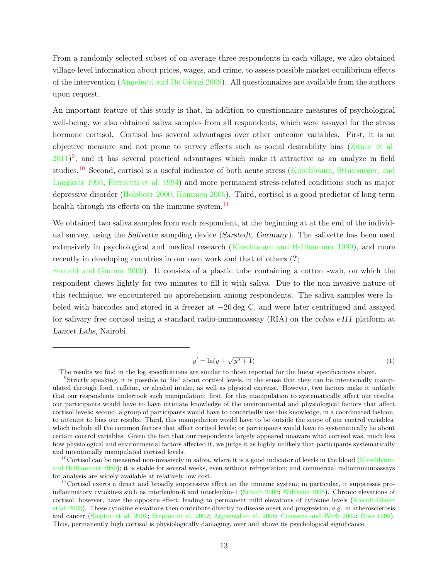From a randomly selected subset of on average three respondents in each village, we also obtained village-level information about prices, wages, and crime, to assess possible market equilibrium effects of the intervention [\(Angelucci and De Giorgi 2009\)](#page-37-9). All questionnaires are available from the authors upon request.

An important feature of this study is that, in addition to questionnaire measures of psychological well-being, we also obtained saliva samples from all respondents, which were assayed for the stress hormone cortisol. Cortisol has several advantages over other outcome variables. First, it is an objective measure and not prone to survey effects such as social desirability bias [\(Zwane et al.](#page-43-4)  $(2011)^9$  $(2011)^9$  $(2011)^9$  $(2011)^9$ , and it has several practical advantages which make it attractive as an analyze in field studies.<sup>[10](#page-0-0)</sup> Second, cortisol is a useful indicator of both acute stress [\(Kirschbaum, Strasburger, and](#page-41-9) [Langkrär 1993;](#page-41-9) [Ferracuti et al. 1994\)](#page-40-10) and more permanent stress-related conditions such as major depressive disorder [\(Holsboer 2000;](#page-40-11) [Hammen 2005\)](#page-40-12). Third, cortisol is a good predictor of long-term health through its effects on the immune system. $\frac{11}{11}$  $\frac{11}{11}$  $\frac{11}{11}$ 

We obtained two saliva samples from each respondent, at the beginning at at the end of the individual survey, using the Salivette sampling device (Sarstedt, Germany). The salivette has been used extensively in psychological and medical research [\(Kirschbaum and Hellhammer 1989\)](#page-41-10), and more recently in developing countries in our own work and that of others  $($ .

[Fernald and Gunnar 2009\)](#page-39-10). It consists of a plastic tube containing a cotton swab, on which the respondent chews lightly for two minutes to fill it with saliva. Due to the non-invasive nature of this technique, we encountered no apprehension among respondents. The saliva samples were labeled with barcodes and stored in a freezer at −20 deg C, and were later centrifuged and assayed for salivary free cortisol using a standard radio-immunoassay (RIA) on the cobas e411 platform at Lancet Labs, Nairobi.

$$
y' = \ln(y + \sqrt{y^2 + 1})
$$
 (1)

The results we find in the log specifications are similar to those reported for the linear specifications above.

 $10$ Cortisol can be measured non-invasively in saliva, where it is a good indicator of levels in the blood [\(Kirschbaum](#page-41-10) [and Hellhammer 1989\)](#page-41-10); it is stable for several weeks, even without refrigeration; and commercial radioimmunoassays for analysis are widely available at relatively low cost.

<sup>9</sup>Strictly speaking, it is possible to "lie" about cortisol levels, in the sense that they can be intentionally manipulated through food, caffeine, or alcohol intake, as well as physical exercise. However, two factors make it unlikely that our respondents undertook such manipulation: first, for this manipulation to systematically affect our results, our participants would have to have intimate knowledge of the environmental and physiological factors that affect cortisol levels; second, a group of participants would have to concertedly use this knowledge, in a coordinated fashion, to attempt to bias our results. Third, this manipulation would have to be outside the scope of our control variables, which include all the common factors that affect cortisol levels; or participants would have to systematically lie about certain control variables. Given the fact that our respondents largely appeared unaware what cortisol was, much less how physiological and environmental factors affected it, we judge it as highly unlikely that participants systematically and intentionally manipulated cortisol levels.

 $11$ Cortisol exerts a direct and broadly suppressive effect on the immune system; in particular, it suppresses proinflammatory cytokines such as interleukin-6 and interleukin-1 [\(Straub 2006;](#page-42-6) [Wilckens 1995\)](#page-43-5). Chronic elevations of cortisol, however, have the opposite effect, leading to permanent mild elevations of cytokine levels [\(Kiecolt-Glaser](#page-41-11) [et al. 2003\)](#page-41-11). These cytokine elevations then contribute directly to disease onset and progression, e.g. in atherosclerosis and cancer [\(Steptoe et al. 2001;](#page-42-7) [Steptoe et al. 2002;](#page-42-8) [Aggarwal et al. 2006;](#page-37-10) [Coussens and Werb 2002;](#page-38-10) [Ross 1999\)](#page-42-9). Thus, permanently high cortisol is physiologically damaging, over and above its psychological significance.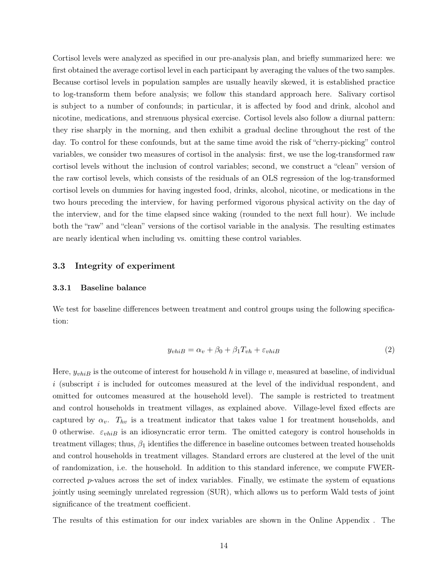Cortisol levels were analyzed as specified in our pre-analysis plan, and briefly summarized here: we first obtained the average cortisol level in each participant by averaging the values of the two samples. Because cortisol levels in population samples are usually heavily skewed, it is established practice to log-transform them before analysis; we follow this standard approach here. Salivary cortisol is subject to a number of confounds; in particular, it is affected by food and drink, alcohol and nicotine, medications, and strenuous physical exercise. Cortisol levels also follow a diurnal pattern: they rise sharply in the morning, and then exhibit a gradual decline throughout the rest of the day. To control for these confounds, but at the same time avoid the risk of "cherry-picking" control variables, we consider two measures of cortisol in the analysis: first, we use the log-transformed raw cortisol levels without the inclusion of control variables; second, we construct a "clean" version of the raw cortisol levels, which consists of the residuals of an OLS regression of the log-transformed cortisol levels on dummies for having ingested food, drinks, alcohol, nicotine, or medications in the two hours preceding the interview, for having performed vigorous physical activity on the day of the interview, and for the time elapsed since waking (rounded to the next full hour). We include both the "raw" and "clean" versions of the cortisol variable in the analysis. The resulting estimates are nearly identical when including vs. omitting these control variables.

#### 3.3 Integrity of experiment

#### 3.3.1 Baseline balance

We test for baseline differences between treatment and control groups using the following specification:

$$
y_{vhiB} = \alpha_v + \beta_0 + \beta_1 T_{vh} + \varepsilon_{vhiB}
$$
\n<sup>(2)</sup>

Here,  $y_{vhiB}$  is the outcome of interest for household h in village v, measured at baseline, of individual  $i$  (subscript i is included for outcomes measured at the level of the individual respondent, and omitted for outcomes measured at the household level). The sample is restricted to treatment and control households in treatment villages, as explained above. Village-level fixed effects are captured by  $\alpha_v$ .  $T_{hv}$  is a treatment indicator that takes value 1 for treatment households, and 0 otherwise.  $\varepsilon_{vhiB}$  is an idiosyncratic error term. The omitted category is control households in treatment villages; thus,  $\beta_1$  identifies the difference in baseline outcomes between treated households and control households in treatment villages. Standard errors are clustered at the level of the unit of randomization, i.e. the household. In addition to this standard inference, we compute FWERcorrected p-values across the set of index variables. Finally, we estimate the system of equations jointly using seemingly unrelated regression (SUR), which allows us to perform Wald tests of joint significance of the treatment coefficient.

The results of this estimation for our index variables are shown in the Online Appendix . The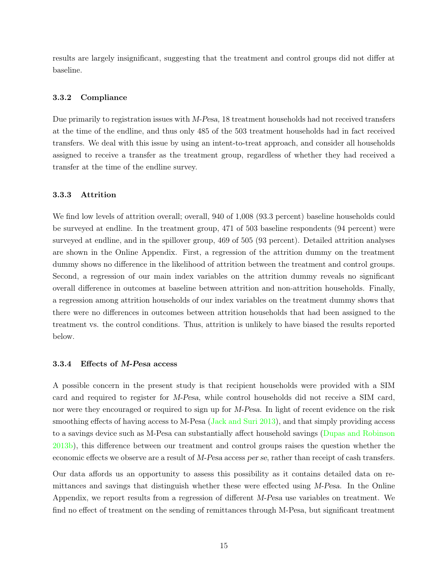results are largely insignificant, suggesting that the treatment and control groups did not differ at baseline.

#### 3.3.2 Compliance

Due primarily to registration issues with M-Pesa, 18 treatment households had not received transfers at the time of the endline, and thus only 485 of the 503 treatment households had in fact received transfers. We deal with this issue by using an intent-to-treat approach, and consider all households assigned to receive a transfer as the treatment group, regardless of whether they had received a transfer at the time of the endline survey.

#### 3.3.3 Attrition

We find low levels of attrition overall; overall, 940 of 1,008 (93.3 percent) baseline households could be surveyed at endline. In the treatment group, 471 of 503 baseline respondents (94 percent) were surveyed at endline, and in the spillover group, 469 of 505 (93 percent). Detailed attrition analyses are shown in the Online Appendix. First, a regression of the attrition dummy on the treatment dummy shows no difference in the likelihood of attrition between the treatment and control groups. Second, a regression of our main index variables on the attrition dummy reveals no significant overall difference in outcomes at baseline between attrition and non-attrition households. Finally, a regression among attrition households of our index variables on the treatment dummy shows that there were no differences in outcomes between attrition households that had been assigned to the treatment vs. the control conditions. Thus, attrition is unlikely to have biased the results reported below.

#### 3.3.4 Effects of M-Pesa access

A possible concern in the present study is that recipient households were provided with a SIM card and required to register for M-Pesa, while control households did not receive a SIM card, nor were they encouraged or required to sign up for M-Pesa. In light of recent evidence on the risk smoothing effects of having access to M-Pesa [\(Jack and Suri 2013\)](#page-40-9), and that simply providing access to a savings device such as M-Pesa can substantially affect household savings [\(Dupas and Robinson](#page-39-11) [2013b\)](#page-39-11), this difference between our treatment and control groups raises the question whether the economic effects we observe are a result of M-Pesa access per se, rather than receipt of cash transfers.

Our data affords us an opportunity to assess this possibility as it contains detailed data on remittances and savings that distinguish whether these were effected using M-Pesa. In the Online Appendix, we report results from a regression of different M-Pesa use variables on treatment. We find no effect of treatment on the sending of remittances through M-Pesa, but significant treatment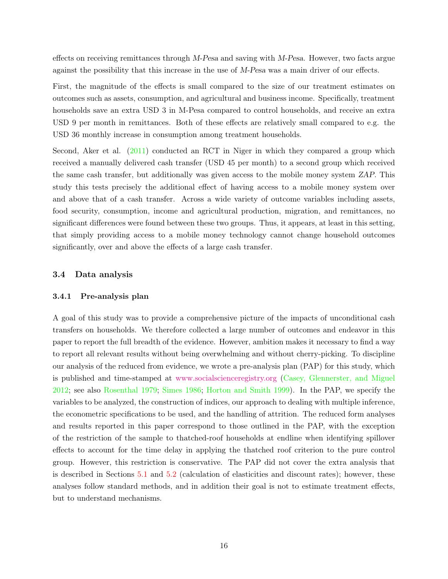effects on receiving remittances through M-Pesa and saving with M-Pesa. However, two facts argue against the possibility that this increase in the use of M-Pesa was a main driver of our effects.

First, the magnitude of the effects is small compared to the size of our treatment estimates on outcomes such as assets, consumption, and agricultural and business income. Specifically, treatment households save an extra USD 3 in M-Pesa compared to control households, and receive an extra USD 9 per month in remittances. Both of these effects are relatively small compared to e.g. the USD 36 monthly increase in consumption among treatment households.

Second, Aker et al. [\(2011\)](#page-37-11) conducted an RCT in Niger in which they compared a group which received a manually delivered cash transfer (USD 45 per month) to a second group which received the same cash transfer, but additionally was given access to the mobile money system ZAP. This study this tests precisely the additional effect of having access to a mobile money system over and above that of a cash transfer. Across a wide variety of outcome variables including assets, food security, consumption, income and agricultural production, migration, and remittances, no significant differences were found between these two groups. Thus, it appears, at least in this setting, that simply providing access to a mobile money technology cannot change household outcomes significantly, over and above the effects of a large cash transfer.

#### 3.4 Data analysis

#### 3.4.1 Pre-analysis plan

A goal of this study was to provide a comprehensive picture of the impacts of unconditional cash transfers on households. We therefore collected a large number of outcomes and endeavor in this paper to report the full breadth of the evidence. However, ambition makes it necessary to find a way to report all relevant results without being overwhelming and without cherry-picking. To discipline our analysis of the reduced from evidence, we wrote a pre-analysis plan (PAP) for this study, which is published and time-stamped at [www.socialscienceregistry.org](http://www.socialscienceregistry.org) [\(Casey, Glennerster, and Miguel](#page-38-11) [2012;](#page-38-11) see also [Rosenthal 1979;](#page-42-10) [Simes 1986;](#page-42-11) [Horton and Smith 1999\)](#page-40-13). In the PAP, we specify the variables to be analyzed, the construction of indices, our approach to dealing with multiple inference, the econometric specifications to be used, and the handling of attrition. The reduced form analyses and results reported in this paper correspond to those outlined in the PAP, with the exception of the restriction of the sample to thatched-roof households at endline when identifying spillover effects to account for the time delay in applying the thatched roof criterion to the pure control group. However, this restriction is conservative. The PAP did not cover the extra analysis that is described in Sections [5.1](#page-23-1) and [5.2](#page-32-0) (calculation of elasticities and discount rates); however, these analyses follow standard methods, and in addition their goal is not to estimate treatment effects, but to understand mechanisms.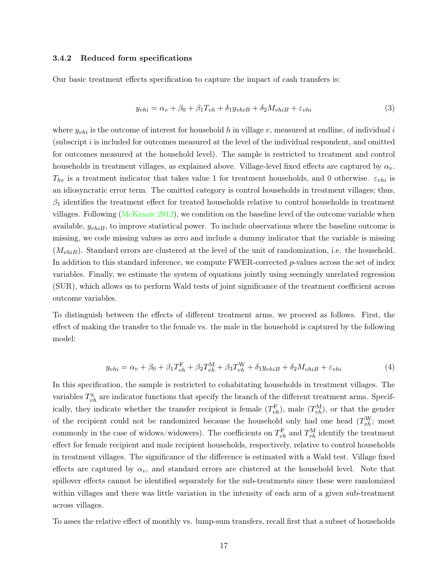#### 3.4.2 Reduced form specifications

Our basic treatment effects specification to capture the impact of cash transfers is:

<span id="page-16-0"></span>
$$
y_{vhi} = \alpha_v + \beta_0 + \beta_1 T_{vh} + \delta_1 y_{vhi} + \delta_2 M_{vhi} + \varepsilon_{vhi}
$$
\n<sup>(3)</sup>

where  $y_{vhi}$  is the outcome of interest for household h in village v, measured at endline, of individual i (subscript  $i$  is included for outcomes measured at the level of the individual respondent, and omitted for outcomes measured at the household level). The sample is restricted to treatment and control households in treatment villages, as explained above. Village-level fixed effects are captured by  $\alpha_v$ .  $T_{hv}$  is a treatment indicator that takes value 1 for treatment households, and 0 otherwise.  $\varepsilon_{vhi}$  is an idiosyncratic error term. The omitted category is control households in treatment villages; thus,  $\beta_1$  identifies the treatment effect for treated households relative to control households in treatment villages. Following [\(McKenzie 2012\)](#page-42-12), we condition on the baseline level of the outcome variable when available,  $y_{vhiB}$ , to improve statistical power. To include observations where the baseline outcome is missing, we code missing values as zero and include a dummy indicator that the variable is missing  $(M_{whiB})$ . Standard errors are clustered at the level of the unit of randomization, i.e. the household. In addition to this standard inference, we compute FWER-corrected  $p$ -values across the set of index variables. Finally, we estimate the system of equations jointly using seemingly unrelated regression (SUR), which allows us to perform Wald tests of joint significance of the treatment coefficient across outcome variables.

To distinguish between the effects of different treatment arms, we proceed as follows. First, the effect of making the transfer to the female vs. the male in the household is captured by the following model:

$$
y_{vhi} = \alpha_v + \beta_0 + \beta_1 T_{vh}^{\text{F}} + \beta_2 T_{vh}^{\text{M}} + \beta_3 T_{vh}^{\text{W}} + \delta_1 y_{vhiB} + \delta_2 M_{vhiB} + \varepsilon_{vhi}
$$
(4)

In this specification, the sample is restricted to cohabitating households in treatment villages. The variables  $T_{vh}^{\mathbf{x}}$  are indicator functions that specify the branch of the different treatment arms. Specifically, they indicate whether the transfer recipient is female  $(T_{vh}^{\text{F}})$ , male  $(T_{vh}^{\text{M}})$ , or that the gender of the recipient could not be randomized because the household only had one head  $(T_{vh}^W;$  most commonly in the case of widows/widowers). The coefficients on  $T_{vh}^{\text{F}}$  and  $T_{vh}^{\text{M}}$  identify the treatment effect for female recipient and male recipient households, respectively, relative to control households in treatment villages. The significance of the difference is estimated with a Wald test. Village fixed effects are captured by  $\alpha_v$ , and standard errors are clustered at the household level. Note that spillover effects cannot be identified separately for the sub-treatments since these were randomized within villages and there was little variation in the intensity of each arm of a given sub-treatment across villages.

To asses the relative effect of monthly vs. lump-sum transfers, recall first that a subset of households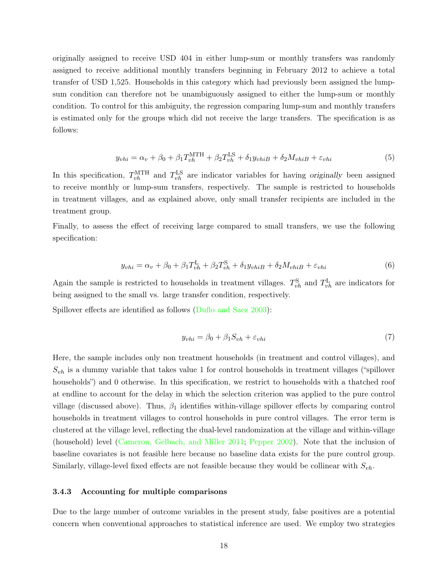originally assigned to receive USD 404 in either lump-sum or monthly transfers was randomly assigned to receive additional monthly transfers beginning in February 2012 to achieve a total transfer of USD 1,525. Households in this category which had previously been assigned the lumpsum condition can therefore not be unambiguously assigned to either the lump-sum or monthly condition. To control for this ambiguity, the regression comparing lump-sum and monthly transfers is estimated only for the groups which did not receive the large transfers. The specification is as follows:

$$
y_{vhi} = \alpha_v + \beta_0 + \beta_1 T_{vh}^{\text{MTH}} + \beta_2 T_{vh}^{\text{LS}} + \delta_1 y_{vhi} + \delta_2 M_{vhi} + \varepsilon_{vhi}
$$
\n
$$
\tag{5}
$$

In this specification,  $T_{vh}^{\text{MTH}}$  and  $T_{vh}^{\text{LS}}$  are indicator variables for having originally been assigned to receive monthly or lump-sum transfers, respectively. The sample is restricted to households in treatment villages, and as explained above, only small transfer recipients are included in the treatment group.

Finally, to assess the effect of receiving large compared to small transfers, we use the following specification:

$$
y_{vhi} = \alpha_v + \beta_0 + \beta_1 T_{vh}^{\mathcal{L}} + \beta_2 T_{vh}^{\mathcal{S}} + \delta_1 y_{vhiB} + \delta_2 M_{vhiB} + \varepsilon_{vhi}
$$
(6)

Again the sample is restricted to households in treatment villages.  $T_{vh}^{\text{S}}$  and  $T_{vh}^{\text{L}}$  are indicators for being assigned to the small vs. large transfer condition, respectively.

Spillover effects are identified as follows [\(Duflo and Saez 2003\)](#page-39-12):

<span id="page-17-0"></span>
$$
y_{vhi} = \beta_0 + \beta_1 S_{vh} + \varepsilon_{vhi} \tag{7}
$$

Here, the sample includes only non treatment households (in treatment and control villages), and  $S_{vh}$  is a dummy variable that takes value 1 for control households in treatment villages ("spillover") households") and 0 otherwise. In this specification, we restrict to households with a thatched roof at endline to account for the delay in which the selection criterion was applied to the pure control village (discussed above). Thus,  $\beta_1$  identifies within-village spillover effects by comparing control households in treatment villages to control households in pure control villages. The error term is clustered at the village level, reflecting the dual-level randomization at the village and within-village (household) level [\(Cameron, Gelbach, and Miller 2011;](#page-38-12) [Pepper 2002\)](#page-42-13). Note that the inclusion of baseline covariates is not feasible here because no baseline data exists for the pure control group. Similarly, village-level fixed effects are not feasible because they would be collinear with  $S_{vh}$ .

#### 3.4.3 Accounting for multiple comparisons

Due to the large number of outcome variables in the present study, false positives are a potential concern when conventional approaches to statistical inference are used. We employ two strategies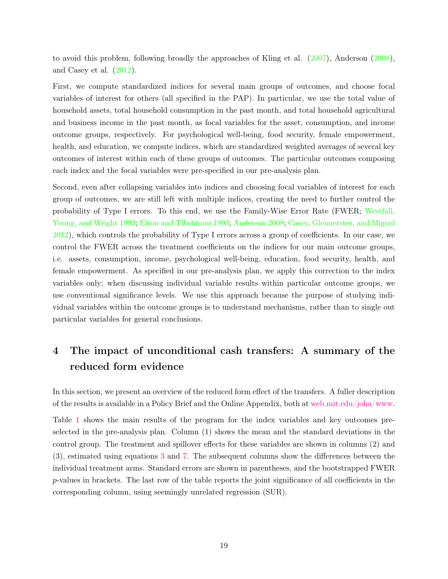to avoid this problem, following broadly the approaches of Kling et al. [\(2007\)](#page-41-7), Anderson [\(2008\)](#page-37-12), and Casey et al. [\(2012\)](#page-38-11).

First, we compute standardized indices for several main groups of outcomes, and choose focal variables of interest for others (all specified in the PAP). In particular, we use the total value of household assets, total household consumption in the past month, and total household agricultural and business income in the past month, as focal variables for the asset, consumption, and income outcome groups, respectively. For psychological well-being, food security, female empowerment, health, and education, we compute indices, which are standardized weighted averages of several key outcomes of interest within each of these groups of outcomes. The particular outcomes composing each index and the focal variables were pre-specified in our pre-analysis plan.

Second, even after collapsing variables into indices and choosing focal variables of interest for each group of outcomes, we are still left with multiple indices, creating the need to further control the probability of Type I errors. To this end, we use the Family-Wise Error Rate (FWER; [Westfall,](#page-43-6) [Young, and Wright 1993;](#page-43-6) [Efron and Tibshirani 1993;](#page-39-13) [Anderson 2008;](#page-37-12) [Casey, Glennerster, and Miguel](#page-38-11) [2012\)](#page-38-11), which controls the probability of Type I errors across a group of coefficients. In our case, we control the FWER across the treatment coefficients on the indices for our main outcome groups, i.e. assets, consumption, income, psychological well-being, education, food security, health, and female empowerment. As specified in our pre-analysis plan, we apply this correction to the index variables only; when discussing individual variable results within particular outcome groups, we use conventional significance levels. We use this approach because the purpose of studying individual variables within the outcome groups is to understand mechanisms, rather than to single out particular variables for general conclusions.

## <span id="page-18-0"></span>4 The impact of unconditional cash transfers: A summary of the reduced form evidence

In this section, we present an overview of the reduced form effect of the transfers. A fuller description of the results is available in a Policy Brief and the Online Appendix, both at [web.mit.edu/joha/www.](http://web.mit.edu/joha/www)

Table [1](#page-48-0) shows the main results of the program for the index variables and key outcomes preselected in the pre-analysis plan. Column (1) shows the mean and the standard deviations in the control group. The treatment and spillover effects for these variables are shown in columns (2) and (3), estimated using equations [3](#page-16-0) and [7.](#page-17-0) The subsequent columns show the differences between the individual treatment arms. Standard errors are shown in parentheses, and the bootstrapped FWER p-values in brackets. The last row of the table reports the joint significance of all coefficients in the corresponding column, using seemingly unrelated regression (SUR).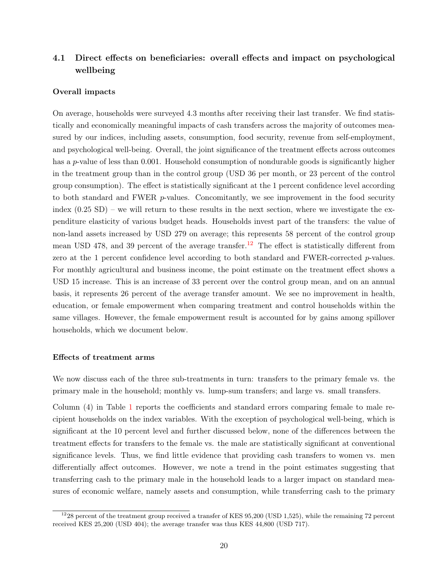## 4.1 Direct effects on beneficiaries: overall effects and impact on psychological wellbeing

#### Overall impacts

On average, households were surveyed 4.3 months after receiving their last transfer. We find statistically and economically meaningful impacts of cash transfers across the majority of outcomes measured by our indices, including assets, consumption, food security, revenue from self-employment, and psychological well-being. Overall, the joint significance of the treatment effects across outcomes has a *p*-value of less than 0.001. Household consumption of nondurable goods is significantly higher in the treatment group than in the control group (USD 36 per month, or 23 percent of the control group consumption). The effect is statistically significant at the 1 percent confidence level according to both standard and FWER p-values. Concomitantly, we see improvement in the food security index  $(0.25 \text{ SD})$  – we will return to these results in the next section, where we investigate the expenditure elasticity of various budget heads. Households invest part of the transfers: the value of non-land assets increased by USD 279 on average; this represents 58 percent of the control group mean USD 478, and 39 percent of the average transfer.<sup>[12](#page-0-0)</sup> The effect is statistically different from zero at the 1 percent confidence level according to both standard and FWER-corrected  $p$ -values. For monthly agricultural and business income, the point estimate on the treatment effect shows a USD 15 increase. This is an increase of 33 percent over the control group mean, and on an annual basis, it represents 26 percent of the average transfer amount. We see no improvement in health, education, or female empowerment when comparing treatment and control households within the same villages. However, the female empowerment result is accounted for by gains among spillover households, which we document below.

#### Effects of treatment arms

We now discuss each of the three sub-treatments in turn: transfers to the primary female vs. the primary male in the household; monthly vs. lump-sum transfers; and large vs. small transfers.

Column (4) in Table [1](#page-48-0) reports the coefficients and standard errors comparing female to male recipient households on the index variables. With the exception of psychological well-being, which is significant at the 10 percent level and further discussed below, none of the differences between the treatment effects for transfers to the female vs. the male are statistically significant at conventional significance levels. Thus, we find little evidence that providing cash transfers to women vs. men differentially affect outcomes. However, we note a trend in the point estimates suggesting that transferring cash to the primary male in the household leads to a larger impact on standard measures of economic welfare, namely assets and consumption, while transferring cash to the primary

 $1228$  percent of the treatment group received a transfer of KES 95,200 (USD 1,525), while the remaining 72 percent received KES 25,200 (USD 404); the average transfer was thus KES 44,800 (USD 717).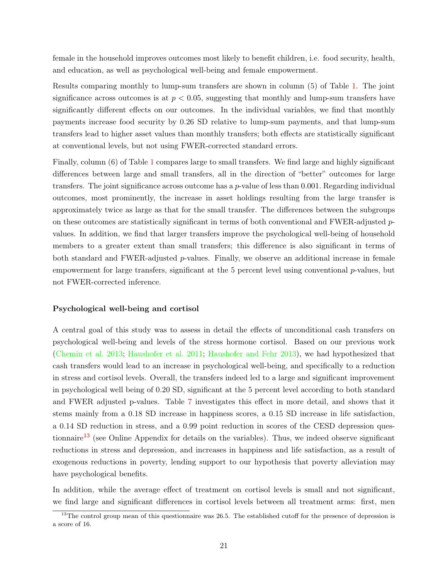female in the household improves outcomes most likely to benefit children, i.e. food security, health, and education, as well as psychological well-being and female empowerment.

Results comparing monthly to lump-sum transfers are shown in column (5) of Table [1.](#page-48-0) The joint significance across outcomes is at  $p < 0.05$ , suggesting that monthly and lump-sum transfers have significantly different effects on our outcomes. In the individual variables, we find that monthly payments increase food security by 0.26 SD relative to lump-sum payments, and that lump-sum transfers lead to higher asset values than monthly transfers; both effects are statistically significant at conventional levels, but not using FWER-corrected standard errors.

Finally, column (6) of Table [1](#page-48-0) compares large to small transfers. We find large and highly significant differences between large and small transfers, all in the direction of "better" outcomes for large transfers. The joint significance across outcome has a p-value of less than 0.001. Regarding individual outcomes, most prominently, the increase in asset holdings resulting from the large transfer is approximately twice as large as that for the small transfer. The differences between the subgroups on these outcomes are statistically significant in terms of both conventional and FWER-adjusted  $p$ values. In addition, we find that larger transfers improve the psychological well-being of household members to a greater extent than small transfers; this difference is also significant in terms of both standard and FWER-adjusted p-values. Finally, we observe an additional increase in female empowerment for large transfers, significant at the 5 percent level using conventional  $p$ -values, but not FWER-corrected inference.

#### Psychological well-being and cortisol

A central goal of this study was to assess in detail the effects of unconditional cash transfers on psychological well-being and levels of the stress hormone cortisol. Based on our previous work [\(Chemin et al. 2013;](#page-38-5) [Haushofer et al. 2011;](#page-40-5) [Haushofer and Fehr 2013\)](#page-40-6), we had hypothesized that cash transfers would lead to an increase in psychological well-being, and specifically to a reduction in stress and cortisol levels. Overall, the transfers indeed led to a large and significant improvement in psychological well being of 0.20 SD, significant at the 5 percent level according to both standard and FWER adjusted p-values. Table [7](#page-54-0) investigates this effect in more detail, and shows that it stems mainly from a 0.18 SD increase in happiness scores, a 0.15 SD increase in life satisfaction, a 0.14 SD reduction in stress, and a 0.99 point reduction in scores of the CESD depression ques-tionnaire<sup>[13](#page-0-0)</sup> (see Online Appendix for details on the variables). Thus, we indeed observe significant reductions in stress and depression, and increases in happiness and life satisfaction, as a result of exogenous reductions in poverty, lending support to our hypothesis that poverty alleviation may have psychological benefits.

In addition, while the average effect of treatment on cortisol levels is small and not significant, we find large and significant differences in cortisol levels between all treatment arms: first, men

 $13$ The control group mean of this questionnaire was 26.5. The established cutoff for the presence of depression is a score of 16.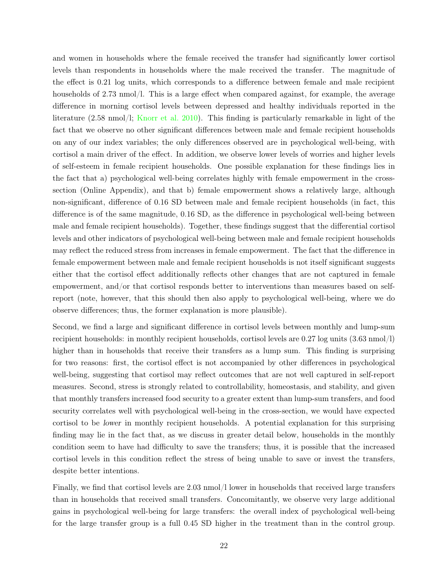and women in households where the female received the transfer had significantly lower cortisol levels than respondents in households where the male received the transfer. The magnitude of the effect is 0.21 log units, which corresponds to a difference between female and male recipient households of 2.73 nmol/l. This is a large effect when compared against, for example, the average difference in morning cortisol levels between depressed and healthy individuals reported in the literature (2.58 nmol/l; [Knorr et al. 2010\)](#page-41-12). This finding is particularly remarkable in light of the fact that we observe no other significant differences between male and female recipient households on any of our index variables; the only differences observed are in psychological well-being, with cortisol a main driver of the effect. In addition, we observe lower levels of worries and higher levels of self-esteem in female recipient households. One possible explanation for these findings lies in the fact that a) psychological well-being correlates highly with female empowerment in the crosssection (Online Appendix), and that b) female empowerment shows a relatively large, although non-significant, difference of 0.16 SD between male and female recipient households (in fact, this difference is of the same magnitude, 0.16 SD, as the difference in psychological well-being between male and female recipient households). Together, these findings suggest that the differential cortisol levels and other indicators of psychological well-being between male and female recipient households may reflect the reduced stress from increases in female empowerment. The fact that the difference in female empowerment between male and female recipient households is not itself significant suggests either that the cortisol effect additionally reflects other changes that are not captured in female empowerment, and/or that cortisol responds better to interventions than measures based on selfreport (note, however, that this should then also apply to psychological well-being, where we do observe differences; thus, the former explanation is more plausible).

Second, we find a large and significant difference in cortisol levels between monthly and lump-sum recipient households: in monthly recipient households, cortisol levels are 0.27 log units (3.63 nmol/l) higher than in households that receive their transfers as a lump sum. This finding is surprising for two reasons: first, the cortisol effect is not accompanied by other differences in psychological well-being, suggesting that cortisol may reflect outcomes that are not well captured in self-report measures. Second, stress is strongly related to controllability, homeostasis, and stability, and given that monthly transfers increased food security to a greater extent than lump-sum transfers, and food security correlates well with psychological well-being in the cross-section, we would have expected cortisol to be lower in monthly recipient households. A potential explanation for this surprising finding may lie in the fact that, as we discuss in greater detail below, households in the monthly condition seem to have had difficulty to save the transfers; thus, it is possible that the increased cortisol levels in this condition reflect the stress of being unable to save or invest the transfers, despite better intentions.

Finally, we find that cortisol levels are 2.03 nmol/l lower in households that received large transfers than in households that received small transfers. Concomitantly, we observe very large additional gains in psychological well-being for large transfers: the overall index of psychological well-being for the large transfer group is a full 0.45 SD higher in the treatment than in the control group.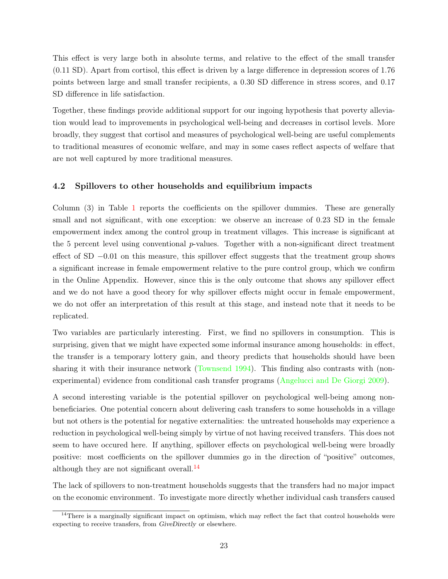This effect is very large both in absolute terms, and relative to the effect of the small transfer (0.11 SD). Apart from cortisol, this effect is driven by a large difference in depression scores of 1.76 points between large and small transfer recipients, a 0.30 SD difference in stress scores, and 0.17 SD difference in life satisfaction.

Together, these findings provide additional support for our ingoing hypothesis that poverty alleviation would lead to improvements in psychological well-being and decreases in cortisol levels. More broadly, they suggest that cortisol and measures of psychological well-being are useful complements to traditional measures of economic welfare, and may in some cases reflect aspects of welfare that are not well captured by more traditional measures.

#### 4.2 Spillovers to other households and equilibrium impacts

Column (3) in Table [1](#page-48-0) reports the coefficients on the spillover dummies. These are generally small and not significant, with one exception: we observe an increase of 0.23 SD in the female empowerment index among the control group in treatment villages. This increase is significant at the 5 percent level using conventional  $p$ -values. Together with a non-significant direct treatment effect of SD −0.01 on this measure, this spillover effect suggests that the treatment group shows a significant increase in female empowerment relative to the pure control group, which we confirm in the Online Appendix. However, since this is the only outcome that shows any spillover effect and we do not have a good theory for why spillover effects might occur in female empowerment, we do not offer an interpretation of this result at this stage, and instead note that it needs to be replicated.

Two variables are particularly interesting. First, we find no spillovers in consumption. This is surprising, given that we might have expected some informal insurance among households: in effect, the transfer is a temporary lottery gain, and theory predicts that households should have been sharing it with their insurance network [\(Townsend 1994\)](#page-43-7). This finding also contrasts with (nonexperimental) evidence from conditional cash transfer programs [\(Angelucci and De Giorgi 2009\)](#page-37-9).

A second interesting variable is the potential spillover on psychological well-being among nonbeneficiaries. One potential concern about delivering cash transfers to some households in a village but not others is the potential for negative externalities: the untreated households may experience a reduction in psychological well-being simply by virtue of not having received transfers. This does not seem to have occured here. If anything, spillover effects on psychological well-being were broadly positive: most coefficients on the spillover dummies go in the direction of "positive" outcomes, although they are not significant overall. $^{14}$  $^{14}$  $^{14}$ 

The lack of spillovers to non-treatment households suggests that the transfers had no major impact on the economic environment. To investigate more directly whether individual cash transfers caused

 $14$ There is a marginally significant impact on optimism, which may reflect the fact that control households were expecting to receive transfers, from GiveDirectly or elsewhere.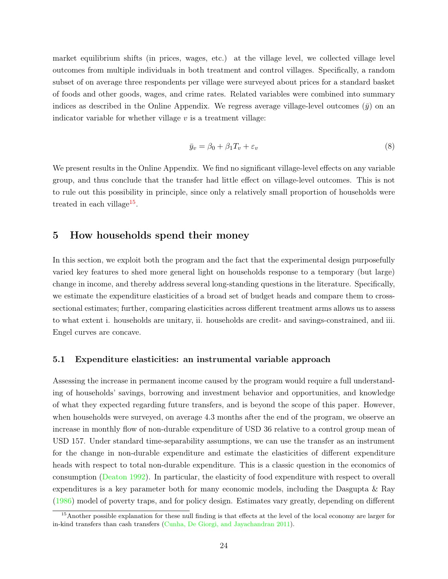market equilibrium shifts (in prices, wages, etc.) at the village level, we collected village level outcomes from multiple individuals in both treatment and control villages. Specifically, a random subset of on average three respondents per village were surveyed about prices for a standard basket of foods and other goods, wages, and crime rates. Related variables were combined into summary indices as described in the Online Appendix. We regress average village-level outcomes  $(\bar{y})$  on an indicator variable for whether village  $v$  is a treatment village:

$$
\bar{y}_v = \beta_0 + \beta_1 T_v + \varepsilon_v \tag{8}
$$

We present results in the Online Appendix. We find no significant village-level effects on any variable group, and thus conclude that the transfer had little effect on village-level outcomes. This is not to rule out this possibility in principle, since only a relatively small proportion of households were treated in each village<sup>[15](#page-0-0)</sup>.

### <span id="page-23-0"></span>5 How households spend their money

In this section, we exploit both the program and the fact that the experimental design purposefully varied key features to shed more general light on households response to a temporary (but large) change in income, and thereby address several long-standing questions in the literature. Specifically, we estimate the expenditure elasticities of a broad set of budget heads and compare them to crosssectional estimates; further, comparing elasticities across different treatment arms allows us to assess to what extent i. households are unitary, ii. households are credit- and savings-constrained, and iii. Engel curves are concave.

#### <span id="page-23-1"></span>5.1 Expenditure elasticities: an instrumental variable approach

Assessing the increase in permanent income caused by the program would require a full understanding of households' savings, borrowing and investment behavior and opportunities, and knowledge of what they expected regarding future transfers, and is beyond the scope of this paper. However, when households were surveyed, on average 4.3 months after the end of the program, we observe an increase in monthly flow of non-durable expenditure of USD 36 relative to a control group mean of USD 157. Under standard time-separability assumptions, we can use the transfer as an instrument for the change in non-durable expenditure and estimate the elasticities of different expenditure heads with respect to total non-durable expenditure. This is a classic question in the economics of consumption [\(Deaton 1992\)](#page-38-0). In particular, the elasticity of food expenditure with respect to overall expenditures is a key parameter both for many economic models, including the Dasgupta & Ray [\(1986\)](#page-38-13) model of poverty traps, and for policy design. Estimates vary greatly, depending on different

<sup>&</sup>lt;sup>15</sup>Another possible explanation for these null finding is that effects at the level of the local economy are larger for in-kind transfers than cash transfers [\(Cunha, De Giorgi, and Jayachandran 2011\)](#page-38-4).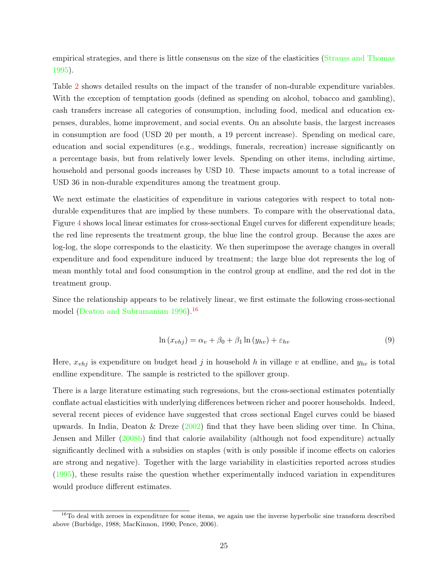empirical strategies, and there is little consensus on the size of the elasticities [\(Strauss and Thomas](#page-43-8) [1995\)](#page-43-8).

Table [2](#page-49-0) shows detailed results on the impact of the transfer of non-durable expenditure variables. With the exception of temptation goods (defined as spending on alcohol, tobacco and gambling), cash transfers increase all categories of consumption, including food, medical and education expenses, durables, home improvement, and social events. On an absolute basis, the largest increases in consumption are food (USD 20 per month, a 19 percent increase). Spending on medical care, education and social expenditures (e.g., weddings, funerals, recreation) increase significantly on a percentage basis, but from relatively lower levels. Spending on other items, including airtime, household and personal goods increases by USD 10. These impacts amount to a total increase of USD 36 in non-durable expenditures among the treatment group.

We next estimate the elasticities of expenditure in various categories with respect to total nondurable expenditures that are implied by these numbers. To compare with the observational data, Figure [4](#page-47-0) shows local linear estimates for cross-sectional Engel curves for different expenditure heads; the red line represents the treatment group, the blue line the control group. Because the axes are log-log, the slope corresponds to the elasticity. We then superimpose the average changes in overall expenditure and food expenditure induced by treatment; the large blue dot represents the log of mean monthly total and food consumption in the control group at endline, and the red dot in the treatment group.

Since the relationship appears to be relatively linear, we first estimate the following cross-sectional model [\(Deaton and Subramanian 1996\)](#page-39-1).<sup>[16](#page-0-0)</sup>

<span id="page-24-0"></span>
$$
\ln(x_{vhj}) = \alpha_v + \beta_0 + \beta_1 \ln(y_{hv}) + \varepsilon_{hv}
$$
\n(9)

Here,  $x_{vhj}$  is expenditure on budget head j in household h in village v at endline, and  $y_{hv}$  is total endline expenditure. The sample is restricted to the spillover group.

There is a large literature estimating such regressions, but the cross-sectional estimates potentially conflate actual elasticities with underlying differences between richer and poorer households. Indeed, several recent pieces of evidence have suggested that cross sectional Engel curves could be biased upwards. In India, Deaton & Dreze  $(2002)$  find that they have been sliding over time. In China, Jensen and Miller [\(2008b\)](#page-40-14) find that calorie availability (although not food expenditure) actually significantly declined with a subsidies on staples (with is only possible if income effects on calories are strong and negative). Together with the large variability in elasticities reported across studies [\(1995\)](#page-43-8), these results raise the question whether experimentally induced variation in expenditures would produce different estimates.

 $16$ To deal with zeroes in expenditure for some items, we again use the inverse hyperbolic sine transform described above (Burbidge, 1988; MacKinnon, 1990; Pence, 2006).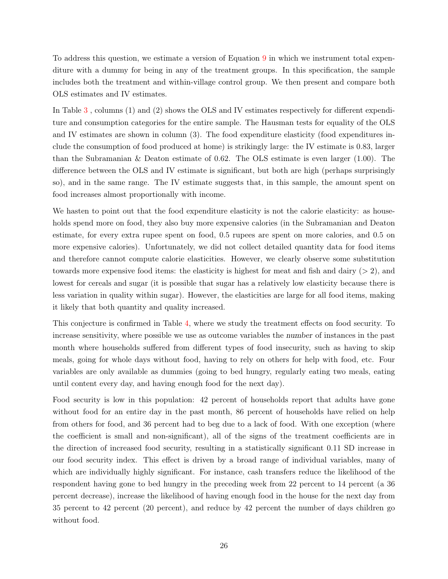To address this question, we estimate a version of Equation [9](#page-24-0) in which we instrument total expenditure with a dummy for being in any of the treatment groups. In this specification, the sample includes both the treatment and within-village control group. We then present and compare both OLS estimates and IV estimates.

In Table [3](#page-50-0) , columns (1) and (2) shows the OLS and IV estimates respectively for different expenditure and consumption categories for the entire sample. The Hausman tests for equality of the OLS and IV estimates are shown in column (3). The food expenditure elasticity (food expenditures include the consumption of food produced at home) is strikingly large: the IV estimate is 0.83, larger than the Subramanian & Deaton estimate of 0.62. The OLS estimate is even larger (1.00). The difference between the OLS and IV estimate is significant, but both are high (perhaps surprisingly so), and in the same range. The IV estimate suggests that, in this sample, the amount spent on food increases almost proportionally with income.

We hasten to point out that the food expenditure elasticity is not the calorie elasticity: as households spend more on food, they also buy more expensive calories (in the Subramanian and Deaton estimate, for every extra rupee spent on food, 0.5 rupees are spent on more calories, and 0.5 on more expensive calories). Unfortunately, we did not collect detailed quantity data for food items and therefore cannot compute calorie elasticities. However, we clearly observe some substitution towards more expensive food items: the elasticity is highest for meat and fish and dairy  $(> 2)$ , and lowest for cereals and sugar (it is possible that sugar has a relatively low elasticity because there is less variation in quality within sugar). However, the elasticities are large for all food items, making it likely that both quantity and quality increased.

This conjecture is confirmed in Table [4,](#page-51-0) where we study the treatment effects on food security. To increase sensitivity, where possible we use as outcome variables the number of instances in the past month where households suffered from different types of food insecurity, such as having to skip meals, going for whole days without food, having to rely on others for help with food, etc. Four variables are only available as dummies (going to bed hungry, regularly eating two meals, eating until content every day, and having enough food for the next day).

Food security is low in this population: 42 percent of households report that adults have gone without food for an entire day in the past month, 86 percent of households have relied on help from others for food, and 36 percent had to beg due to a lack of food. With one exception (where the coefficient is small and non-significant), all of the signs of the treatment coefficients are in the direction of increased food security, resulting in a statistically significant 0.11 SD increase in our food security index. This effect is driven by a broad range of individual variables, many of which are individually highly significant. For instance, cash transfers reduce the likelihood of the respondent having gone to bed hungry in the preceding week from 22 percent to 14 percent (a 36 percent decrease), increase the likelihood of having enough food in the house for the next day from 35 percent to 42 percent (20 percent), and reduce by 42 percent the number of days children go without food.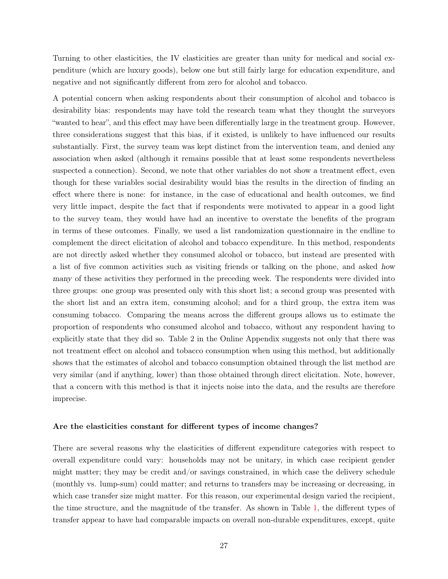Turning to other elasticities, the IV elasticities are greater than unity for medical and social expenditure (which are luxury goods), below one but still fairly large for education expenditure, and negative and not significantly different from zero for alcohol and tobacco.

A potential concern when asking respondents about their consumption of alcohol and tobacco is desirability bias: respondents may have told the research team what they thought the surveyors "wanted to hear", and this effect may have been differentially large in the treatment group. However, three considerations suggest that this bias, if it existed, is unlikely to have influenced our results substantially. First, the survey team was kept distinct from the intervention team, and denied any association when asked (although it remains possible that at least some respondents nevertheless suspected a connection). Second, we note that other variables do not show a treatment effect, even though for these variables social desirability would bias the results in the direction of finding an effect where there is none: for instance, in the case of educational and health outcomes, we find very little impact, despite the fact that if respondents were motivated to appear in a good light to the survey team, they would have had an incentive to overstate the benefits of the program in terms of these outcomes. Finally, we used a list randomization questionnaire in the endline to complement the direct elicitation of alcohol and tobacco expenditure. In this method, respondents are not directly asked whether they consumed alcohol or tobacco, but instead are presented with a list of five common activities such as visiting friends or talking on the phone, and asked how many of these activities they performed in the preceding week. The respondents were divided into three groups: one group was presented only with this short list; a second group was presented with the short list and an extra item, consuming alcohol; and for a third group, the extra item was consuming tobacco. Comparing the means across the different groups allows us to estimate the proportion of respondents who consumed alcohol and tobacco, without any respondent having to explicitly state that they did so. Table 2 in the Online Appendix suggests not only that there was not treatment effect on alcohol and tobacco consumption when using this method, but additionally shows that the estimates of alcohol and tobacco consumption obtained through the list method are very similar (and if anything, lower) than those obtained through direct elicitation. Note, however, that a concern with this method is that it injects noise into the data, and the results are therefore imprecise.

#### Are the elasticities constant for different types of income changes?

There are several reasons why the elasticities of different expenditure categories with respect to overall expenditure could vary: households may not be unitary, in which case recipient gender might matter; they may be credit and/or savings constrained, in which case the delivery schedule (monthly vs. lump-sum) could matter; and returns to transfers may be increasing or decreasing, in which case transfer size might matter. For this reason, our experimental design varied the recipient, the time structure, and the magnitude of the transfer. As shown in Table [1,](#page-48-0) the different types of transfer appear to have had comparable impacts on overall non-durable expenditures, except, quite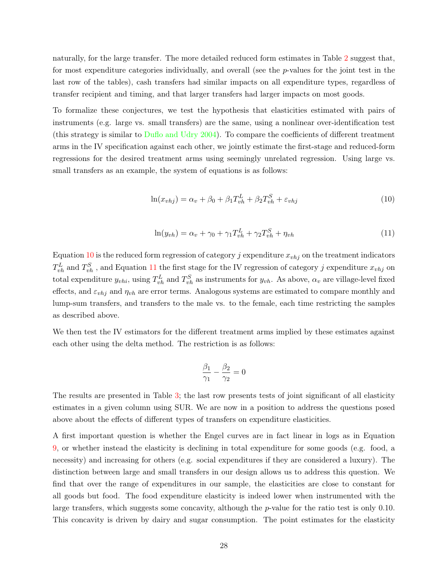naturally, for the large transfer. The more detailed reduced form estimates in Table [2](#page-49-0) suggest that, for most expenditure categories individually, and overall (see the p-values for the joint test in the last row of the tables), cash transfers had similar impacts on all expenditure types, regardless of transfer recipient and timing, and that larger transfers had larger impacts on most goods.

To formalize these conjectures, we test the hypothesis that elasticities estimated with pairs of instruments (e.g. large vs. small transfers) are the same, using a nonlinear over-identification test (this strategy is similar to [Duflo and Udry 2004\)](#page-39-0). To compare the coefficients of different treatment arms in the IV specification against each other, we jointly estimate the first-stage and reduced-form regressions for the desired treatment arms using seemingly unrelated regression. Using large vs. small transfers as an example, the system of equations is as follows:

<span id="page-27-0"></span>
$$
\ln(x_{vhj}) = \alpha_v + \beta_0 + \beta_1 T_{vh}^L + \beta_2 T_{vh}^S + \varepsilon_{vhj}
$$
\n
$$
(10)
$$

<span id="page-27-1"></span>
$$
\ln(y_{vh}) = \alpha_v + \gamma_0 + \gamma_1 T_{vh}^L + \gamma_2 T_{vh}^S + \eta_{vh}
$$
\n(11)

Equation [10](#page-27-0) is the reduced form regression of category j expenditure  $x_{vhj}$  on the treatment indicators  $T_{vh}^L$  and  $T_{vh}^S$  , and Equation [11](#page-27-1) the first stage for the IV regression of category j expenditure  $x_{vhj}$  on total expenditure  $y_{vhi}$ , using  $T_{vh}^L$  and  $T_{vh}^S$  as instruments for  $y_{vh}$ . As above,  $\alpha_v$  are village-level fixed effects, and  $\varepsilon_{vhj}$  and  $\eta_{vh}$  are error terms. Analogous systems are estimated to compare monthly and lump-sum transfers, and transfers to the male vs. to the female, each time restricting the samples as described above.

We then test the IV estimators for the different treatment arms implied by these estimates against each other using the delta method. The restriction is as follows:

$$
\frac{\beta_1}{\gamma_1} - \frac{\beta_2}{\gamma_2} = 0
$$

The results are presented in Table [3;](#page-50-0) the last row presents tests of joint significant of all elasticity estimates in a given column using SUR. We are now in a position to address the questions posed above about the effects of different types of transfers on expenditure elasticities.

A first important question is whether the Engel curves are in fact linear in logs as in Equation [9,](#page-24-0) or whether instead the elasticity is declining in total expenditure for some goods (e.g. food, a necessity) and increasing for others (e.g. social expenditures if they are considered a luxury). The distinction between large and small transfers in our design allows us to address this question. We find that over the range of expenditures in our sample, the elasticities are close to constant for all goods but food. The food expenditure elasticity is indeed lower when instrumented with the large transfers, which suggests some concavity, although the p-value for the ratio test is only 0.10. This concavity is driven by dairy and sugar consumption. The point estimates for the elasticity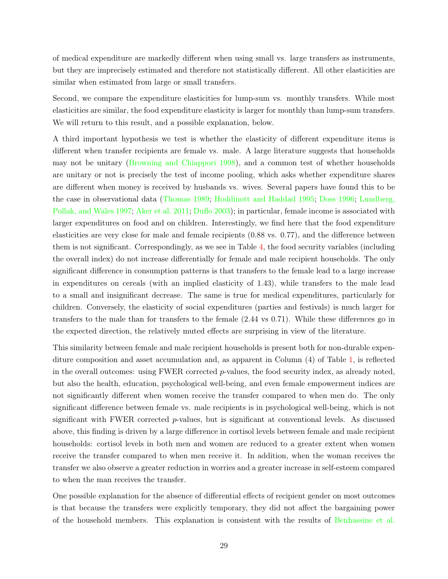of medical expenditure are markedly different when using small vs. large transfers as instruments, but they are imprecisely estimated and therefore not statistically different. All other elasticities are similar when estimated from large or small transfers.

Second, we compare the expenditure elasticities for lump-sum vs. monthly transfers. While most elasticities are similar, the food expenditure elasticity is larger for monthly than lump-sum transfers. We will return to this result, and a possible explanation, below.

A third important hypothesis we test is whether the elasticity of different expenditure items is different when transfer recipients are female vs. male. A large literature suggests that households may not be unitary [\(Browning and Chiappori 1998\)](#page-38-15), and a common test of whether households are unitary or not is precisely the test of income pooling, which asks whether expenditure shares are different when money is received by husbands vs. wives. Several papers have found this to be the case in observational data [\(Thomas 1989;](#page-43-0) [Hoddinott and Haddad 1995;](#page-40-15) [Doss 1996;](#page-39-14) [Lundberg,](#page-41-13) [Pollak, and Wales 1997;](#page-41-13) [Aker et al. 2011;](#page-37-11) [Duflo 2003\)](#page-39-7); in particular, female income is associated with larger expenditures on food and on children. Interestingly, we find here that the food expenditure elasticities are very close for male and female recipients (0.88 vs. 0.77), and the difference between them is not significant. Correspondingly, as we see in Table [4,](#page-51-0) the food security variables (including the overall index) do not increase differentially for female and male recipient households. The only significant difference in consumption patterns is that transfers to the female lead to a large increase in expenditures on cereals (with an implied elasticity of 1.43), while transfers to the male lead to a small and insignificant decrease. The same is true for medical expenditures, particularly for children. Conversely, the elasticity of social expenditures (parties and festivals) is much larger for transfers to the male than for transfers to the female (2.44 vs 0.71). While these differences go in the expected direction, the relatively muted effects are surprising in view of the literature.

This similarity between female and male recipient households is present both for non-durable expenditure composition and asset accumulation and, as apparent in Column (4) of Table [1,](#page-48-0) is reflected in the overall outcomes: using FWER corrected  $p$ -values, the food security index, as already noted, but also the health, education, psychological well-being, and even female empowerment indices are not significantly different when women receive the transfer compared to when men do. The only significant difference between female vs. male recipients is in psychological well-being, which is not significant with FWER corrected p-values, but is significant at conventional levels. As discussed above, this finding is driven by a large difference in cortisol levels between female and male recipient households: cortisol levels in both men and women are reduced to a greater extent when women receive the transfer compared to when men receive it. In addition, when the woman receives the transfer we also observe a greater reduction in worries and a greater increase in self-esteem compared to when the man receives the transfer.

One possible explanation for the absence of differential effects of recipient gender on most outcomes is that because the transfers were explicitly temporary, they did not affect the bargaining power of the household members. This explanation is consistent with the results of [Benhassine et al.](#page-37-0)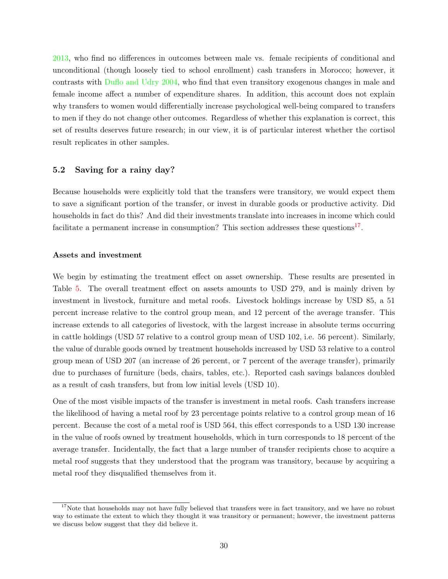[2013,](#page-37-0) who find no differences in outcomes between male vs. female recipients of conditional and unconditional (though loosely tied to school enrollment) cash transfers in Morocco; however, it contrasts with [Duflo and Udry 2004,](#page-39-0) who find that even transitory exogenous changes in male and female income affect a number of expenditure shares. In addition, this account does not explain why transfers to women would differentially increase psychological well-being compared to transfers to men if they do not change other outcomes. Regardless of whether this explanation is correct, this set of results deserves future research; in our view, it is of particular interest whether the cortisol result replicates in other samples.

#### 5.2 Saving for a rainy day?

Because households were explicitly told that the transfers were transitory, we would expect them to save a significant portion of the transfer, or invest in durable goods or productive activity. Did households in fact do this? And did their investments translate into increases in income which could facilitate a permanent increase in consumption? This section addresses these questions<sup>[17](#page-0-0)</sup>.

#### Assets and investment

We begin by estimating the treatment effect on asset ownership. These results are presented in Table [5.](#page-52-0) The overall treatment effect on assets amounts to USD 279, and is mainly driven by investment in livestock, furniture and metal roofs. Livestock holdings increase by USD 85, a 51 percent increase relative to the control group mean, and 12 percent of the average transfer. This increase extends to all categories of livestock, with the largest increase in absolute terms occurring in cattle holdings (USD 57 relative to a control group mean of USD 102, i.e. 56 percent). Similarly, the value of durable goods owned by treatment households increased by USD 53 relative to a control group mean of USD 207 (an increase of 26 percent, or 7 percent of the average transfer), primarily due to purchases of furniture (beds, chairs, tables, etc.). Reported cash savings balances doubled as a result of cash transfers, but from low initial levels (USD 10).

One of the most visible impacts of the transfer is investment in metal roofs. Cash transfers increase the likelihood of having a metal roof by 23 percentage points relative to a control group mean of 16 percent. Because the cost of a metal roof is USD 564, this effect corresponds to a USD 130 increase in the value of roofs owned by treatment households, which in turn corresponds to 18 percent of the average transfer. Incidentally, the fact that a large number of transfer recipients chose to acquire a metal roof suggests that they understood that the program was transitory, because by acquiring a metal roof they disqualified themselves from it.

 $17$ Note that households may not have fully believed that transfers were in fact transitory, and we have no robust way to estimate the extent to which they thought it was transitory or permanent; however, the investment patterns we discuss below suggest that they did believe it.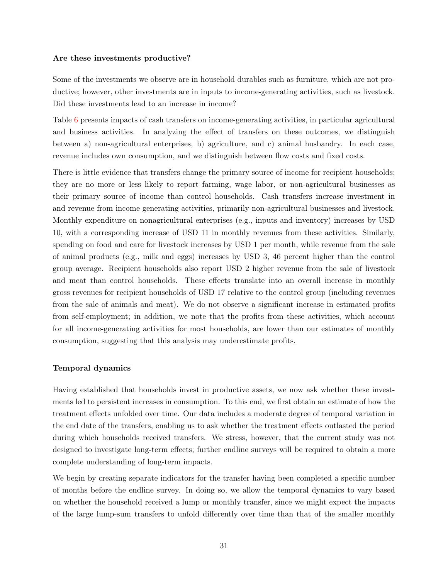#### Are these investments productive?

Some of the investments we observe are in household durables such as furniture, which are not productive; however, other investments are in inputs to income-generating activities, such as livestock. Did these investments lead to an increase in income?

Table [6](#page-53-0) presents impacts of cash transfers on income-generating activities, in particular agricultural and business activities. In analyzing the effect of transfers on these outcomes, we distinguish between a) non-agricultural enterprises, b) agriculture, and c) animal husbandry. In each case, revenue includes own consumption, and we distinguish between flow costs and fixed costs.

There is little evidence that transfers change the primary source of income for recipient households; they are no more or less likely to report farming, wage labor, or non-agricultural businesses as their primary source of income than control households. Cash transfers increase investment in and revenue from income generating activities, primarily non-agricultural businesses and livestock. Monthly expenditure on nonagricultural enterprises (e.g., inputs and inventory) increases by USD 10, with a corresponding increase of USD 11 in monthly revenues from these activities. Similarly, spending on food and care for livestock increases by USD 1 per month, while revenue from the sale of animal products (e.g., milk and eggs) increases by USD 3, 46 percent higher than the control group average. Recipient households also report USD 2 higher revenue from the sale of livestock and meat than control households. These effects translate into an overall increase in monthly gross revenues for recipient households of USD 17 relative to the control group (including revenues from the sale of animals and meat). We do not observe a significant increase in estimated profits from self-employment; in addition, we note that the profits from these activities, which account for all income-generating activities for most households, are lower than our estimates of monthly consumption, suggesting that this analysis may underestimate profits.

#### Temporal dynamics

Having established that households invest in productive assets, we now ask whether these investments led to persistent increases in consumption. To this end, we first obtain an estimate of how the treatment effects unfolded over time. Our data includes a moderate degree of temporal variation in the end date of the transfers, enabling us to ask whether the treatment effects outlasted the period during which households received transfers. We stress, however, that the current study was not designed to investigate long-term effects; further endline surveys will be required to obtain a more complete understanding of long-term impacts.

We begin by creating separate indicators for the transfer having been completed a specific number of months before the endline survey. In doing so, we allow the temporal dynamics to vary based on whether the household received a lump or monthly transfer, since we might expect the impacts of the large lump-sum transfers to unfold differently over time than that of the smaller monthly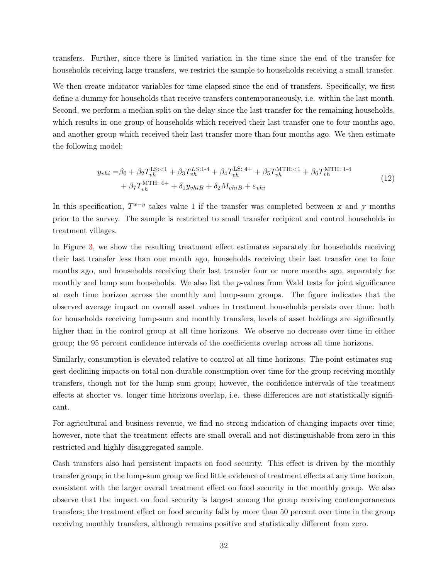transfers. Further, since there is limited variation in the time since the end of the transfer for households receiving large transfers, we restrict the sample to households receiving a small transfer.

We then create indicator variables for time elapsed since the end of transfers. Specifically, we first define a dummy for households that receive transfers contemporaneously, i.e. within the last month. Second, we perform a median split on the delay since the last transfer for the remaining households, which results in one group of households which received their last transfer one to four months ago, and another group which received their last transfer more than four months ago. We then estimate the following model:

$$
y_{vhi} = \beta_0 + \beta_2 T_{vh}^{\text{LS}:<1} + \beta_3 T_{vh}^{\text{LS}:1-4} + \beta_4 T_{vh}^{\text{LS}:4+} + \beta_5 T_{vh}^{\text{MTH}:<1} + \beta_6 T_{vh}^{\text{MTH}:1-4} + \beta_7 T_{vh}^{\text{MTH}:4+} + \delta_1 y_{vhiB} + \delta_2 M_{vhiB} + \varepsilon_{vhi}
$$
\n(12)

In this specification,  $T^{x-y}$  takes value 1 if the transfer was completed between x and y months prior to the survey. The sample is restricted to small transfer recipient and control households in treatment villages.

In Figure [3,](#page-46-0) we show the resulting treatment effect estimates separately for households receiving their last transfer less than one month ago, households receiving their last transfer one to four months ago, and households receiving their last transfer four or more months ago, separately for monthly and lump sum households. We also list the  $p$ -values from Wald tests for joint significance at each time horizon across the monthly and lump-sum groups. The figure indicates that the observed average impact on overall asset values in treatment households persists over time: both for households receiving lump-sum and monthly transfers, levels of asset holdings are significantly higher than in the control group at all time horizons. We observe no decrease over time in either group; the 95 percent confidence intervals of the coefficients overlap across all time horizons.

Similarly, consumption is elevated relative to control at all time horizons. The point estimates suggest declining impacts on total non-durable consumption over time for the group receiving monthly transfers, though not for the lump sum group; however, the confidence intervals of the treatment effects at shorter vs. longer time horizons overlap, i.e. these differences are not statistically significant.

For agricultural and business revenue, we find no strong indication of changing impacts over time; however, note that the treatment effects are small overall and not distinguishable from zero in this restricted and highly disaggregated sample.

Cash transfers also had persistent impacts on food security. This effect is driven by the monthly transfer group; in the lump-sum group we find little evidence of treatment effects at any time horizon, consistent with the larger overall treatment effect on food security in the monthly group. We also observe that the impact on food security is largest among the group receiving contemporaneous transfers; the treatment effect on food security falls by more than 50 percent over time in the group receiving monthly transfers, although remains positive and statistically different from zero.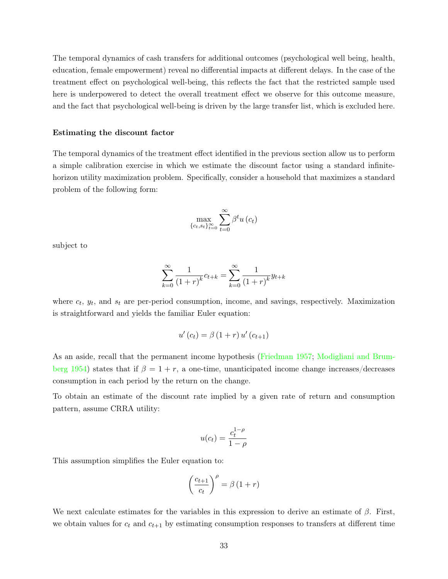The temporal dynamics of cash transfers for additional outcomes (psychological well being, health, education, female empowerment) reveal no differential impacts at different delays. In the case of the treatment effect on psychological well-being, this reflects the fact that the restricted sample used here is underpowered to detect the overall treatment effect we observe for this outcome measure, and the fact that psychological well-being is driven by the large transfer list, which is excluded here.

#### <span id="page-32-0"></span>Estimating the discount factor

The temporal dynamics of the treatment effect identified in the previous section allow us to perform a simple calibration exercise in which we estimate the discount factor using a standard infinitehorizon utility maximization problem. Specifically, consider a household that maximizes a standard problem of the following form:

$$
\max_{\{c_t, s_t\}_{t=0}^{\infty}} \sum_{t=0}^{\infty} \beta^t u(c_t)
$$

subject to

$$
\sum_{k=0}^{\infty} \frac{1}{(1+r)^k} c_{t+k} = \sum_{k=0}^{\infty} \frac{1}{(1+r)^k} y_{t+k}
$$

where  $c_t$ ,  $y_t$ , and  $s_t$  are per-period consumption, income, and savings, respectively. Maximization is straightforward and yields the familiar Euler equation:

$$
u'(c_t) = \beta (1+r) u'(c_{t+1})
$$

As an aside, recall that the permanent income hypothesis [\(Friedman 1957;](#page-40-16) [Modigliani and Brum](#page-42-14)[berg 1954\)](#page-42-14) states that if  $\beta = 1 + r$ , a one-time, unanticipated income change increases/decreases consumption in each period by the return on the change.

To obtain an estimate of the discount rate implied by a given rate of return and consumption pattern, assume CRRA utility:

$$
u(c_t) = \frac{c_t^{1-\rho}}{1-\rho}
$$

This assumption simplifies the Euler equation to:

$$
\left(\frac{c_{t+1}}{c_t}\right)^{\rho} = \beta (1+r)
$$

We next calculate estimates for the variables in this expression to derive an estimate of  $\beta$ . First, we obtain values for  $c_t$  and  $c_{t+1}$  by estimating consumption responses to transfers at different time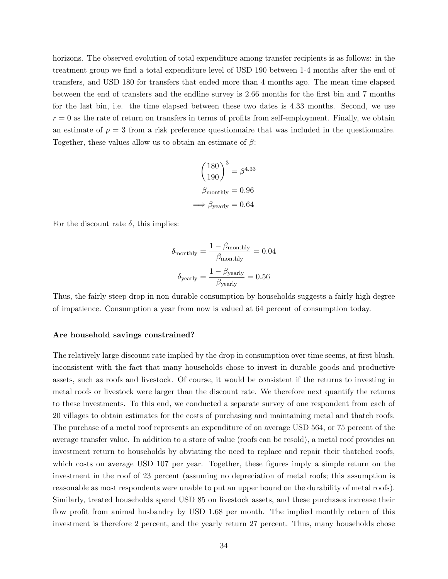horizons. The observed evolution of total expenditure among transfer recipients is as follows: in the treatment group we find a total expenditure level of USD 190 between 1-4 months after the end of transfers, and USD 180 for transfers that ended more than 4 months ago. The mean time elapsed between the end of transfers and the endline survey is 2.66 months for the first bin and 7 months for the last bin, i.e. the time elapsed between these two dates is 4.33 months. Second, we use  $r = 0$  as the rate of return on transfers in terms of profits from self-employment. Finally, we obtain an estimate of  $\rho = 3$  from a risk preference questionnaire that was included in the questionnaire. Together, these values allow us to obtain an estimate of  $\beta$ :

$$
\left(\frac{180}{190}\right)^3 = \beta^{4.33}
$$

$$
\beta_{\text{monthly}} = 0.96
$$

$$
\implies \beta_{\text{yearly}} = 0.64
$$

For the discount rate  $\delta$ , this implies:

$$
\delta_{\text{monthly}} = \frac{1 - \beta_{\text{monthly}}}{\beta_{\text{monthly}}} = 0.04
$$

$$
\delta_{\text{yearly}} = \frac{1 - \beta_{\text{yearly}}}{\beta_{\text{yearly}}} = 0.56
$$

Thus, the fairly steep drop in non durable consumption by households suggests a fairly high degree of impatience. Consumption a year from now is valued at 64 percent of consumption today.

#### Are household savings constrained?

The relatively large discount rate implied by the drop in consumption over time seems, at first blush, inconsistent with the fact that many households chose to invest in durable goods and productive assets, such as roofs and livestock. Of course, it would be consistent if the returns to investing in metal roofs or livestock were larger than the discount rate. We therefore next quantify the returns to these investments. To this end, we conducted a separate survey of one respondent from each of 20 villages to obtain estimates for the costs of purchasing and maintaining metal and thatch roofs. The purchase of a metal roof represents an expenditure of on average USD 564, or 75 percent of the average transfer value. In addition to a store of value (roofs can be resold), a metal roof provides an investment return to households by obviating the need to replace and repair their thatched roofs, which costs on average USD 107 per year. Together, these figures imply a simple return on the investment in the roof of 23 percent (assuming no depreciation of metal roofs; this assumption is reasonable as most respondents were unable to put an upper bound on the durability of metal roofs). Similarly, treated households spend USD 85 on livestock assets, and these purchases increase their flow profit from animal husbandry by USD 1.68 per month. The implied monthly return of this investment is therefore 2 percent, and the yearly return 27 percent. Thus, many households chose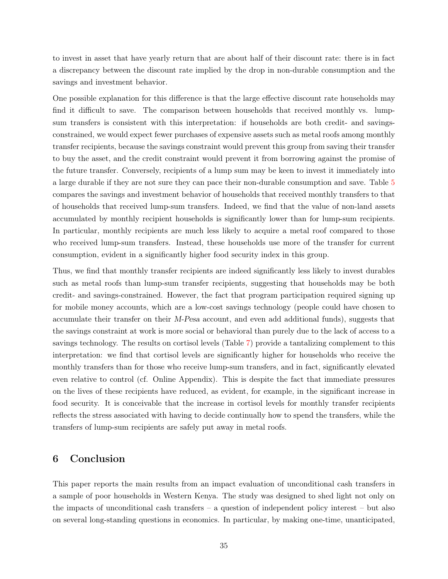to invest in asset that have yearly return that are about half of their discount rate: there is in fact a discrepancy between the discount rate implied by the drop in non-durable consumption and the savings and investment behavior.

One possible explanation for this difference is that the large effective discount rate households may find it difficult to save. The comparison between households that received monthly vs. lumpsum transfers is consistent with this interpretation: if households are both credit- and savingsconstrained, we would expect fewer purchases of expensive assets such as metal roofs among monthly transfer recipients, because the savings constraint would prevent this group from saving their transfer to buy the asset, and the credit constraint would prevent it from borrowing against the promise of the future transfer. Conversely, recipients of a lump sum may be keen to invest it immediately into a large durable if they are not sure they can pace their non-durable consumption and save. Table [5](#page-52-0) compares the savings and investment behavior of households that received monthly transfers to that of households that received lump-sum transfers. Indeed, we find that the value of non-land assets accumulated by monthly recipient households is significantly lower than for lump-sum recipients. In particular, monthly recipients are much less likely to acquire a metal roof compared to those who received lump-sum transfers. Instead, these households use more of the transfer for current consumption, evident in a significantly higher food security index in this group.

Thus, we find that monthly transfer recipients are indeed significantly less likely to invest durables such as metal roofs than lump-sum transfer recipients, suggesting that households may be both credit- and savings-constrained. However, the fact that program participation required signing up for mobile money accounts, which are a low-cost savings technology (people could have chosen to accumulate their transfer on their M-Pesa account, and even add additional funds), suggests that the savings constraint at work is more social or behavioral than purely due to the lack of access to a savings technology. The results on cortisol levels (Table [7\)](#page-54-0) provide a tantalizing complement to this interpretation: we find that cortisol levels are significantly higher for households who receive the monthly transfers than for those who receive lump-sum transfers, and in fact, significantly elevated even relative to control (cf. Online Appendix). This is despite the fact that immediate pressures on the lives of these recipients have reduced, as evident, for example, in the significant increase in food security. It is conceivable that the increase in cortisol levels for monthly transfer recipients reflects the stress associated with having to decide continually how to spend the transfers, while the transfers of lump-sum recipients are safely put away in metal roofs.

## <span id="page-34-0"></span>6 Conclusion

This paper reports the main results from an impact evaluation of unconditional cash transfers in a sample of poor households in Western Kenya. The study was designed to shed light not only on the impacts of unconditional cash transfers – a question of independent policy interest – but also on several long-standing questions in economics. In particular, by making one-time, unanticipated,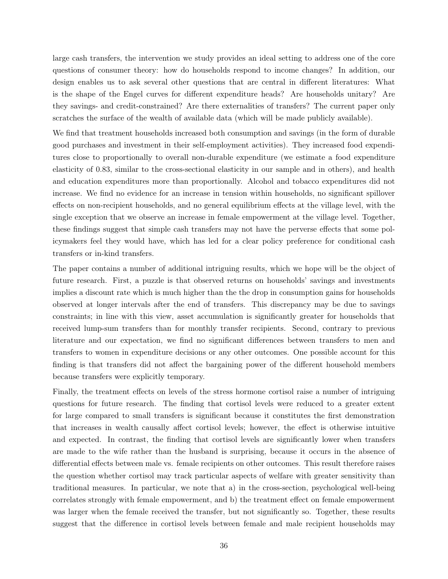large cash transfers, the intervention we study provides an ideal setting to address one of the core questions of consumer theory: how do households respond to income changes? In addition, our design enables us to ask several other questions that are central in different literatures: What is the shape of the Engel curves for different expenditure heads? Are households unitary? Are they savings- and credit-constrained? Are there externalities of transfers? The current paper only scratches the surface of the wealth of available data (which will be made publicly available).

We find that treatment households increased both consumption and savings (in the form of durable good purchases and investment in their self-employment activities). They increased food expenditures close to proportionally to overall non-durable expenditure (we estimate a food expenditure elasticity of 0.83, similar to the cross-sectional elasticity in our sample and in others), and health and education expenditures more than proportionally. Alcohol and tobacco expenditures did not increase. We find no evidence for an increase in tension within households, no significant spillover effects on non-recipient households, and no general equilibrium effects at the village level, with the single exception that we observe an increase in female empowerment at the village level. Together, these findings suggest that simple cash transfers may not have the perverse effects that some policymakers feel they would have, which has led for a clear policy preference for conditional cash transfers or in-kind transfers.

The paper contains a number of additional intriguing results, which we hope will be the object of future research. First, a puzzle is that observed returns on households' savings and investments implies a discount rate which is much higher than the the drop in consumption gains for households observed at longer intervals after the end of transfers. This discrepancy may be due to savings constraints; in line with this view, asset accumulation is significantly greater for households that received lump-sum transfers than for monthly transfer recipients. Second, contrary to previous literature and our expectation, we find no significant differences between transfers to men and transfers to women in expenditure decisions or any other outcomes. One possible account for this finding is that transfers did not affect the bargaining power of the different household members because transfers were explicitly temporary.

Finally, the treatment effects on levels of the stress hormone cortisol raise a number of intriguing questions for future research. The finding that cortisol levels were reduced to a greater extent for large compared to small transfers is significant because it constitutes the first demonstration that increases in wealth causally affect cortisol levels; however, the effect is otherwise intuitive and expected. In contrast, the finding that cortisol levels are significantly lower when transfers are made to the wife rather than the husband is surprising, because it occurs in the absence of differential effects between male vs. female recipients on other outcomes. This result therefore raises the question whether cortisol may track particular aspects of welfare with greater sensitivity than traditional measures. In particular, we note that a) in the cross-section, psychological well-being correlates strongly with female empowerment, and b) the treatment effect on female empowerment was larger when the female received the transfer, but not significantly so. Together, these results suggest that the difference in cortisol levels between female and male recipient households may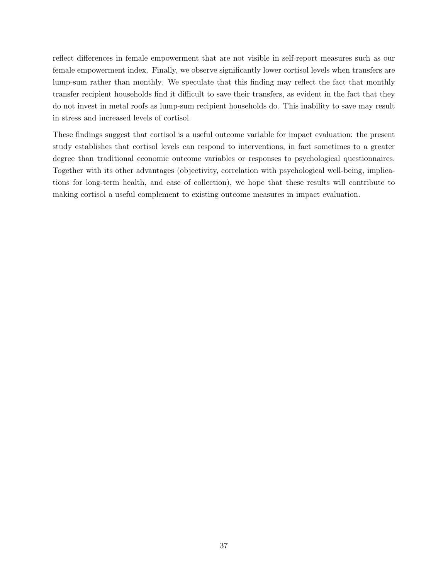reflect differences in female empowerment that are not visible in self-report measures such as our female empowerment index. Finally, we observe significantly lower cortisol levels when transfers are lump-sum rather than monthly. We speculate that this finding may reflect the fact that monthly transfer recipient households find it difficult to save their transfers, as evident in the fact that they do not invest in metal roofs as lump-sum recipient households do. This inability to save may result in stress and increased levels of cortisol.

These findings suggest that cortisol is a useful outcome variable for impact evaluation: the present study establishes that cortisol levels can respond to interventions, in fact sometimes to a greater degree than traditional economic outcome variables or responses to psychological questionnaires. Together with its other advantages (objectivity, correlation with psychological well-being, implications for long-term health, and ease of collection), we hope that these results will contribute to making cortisol a useful complement to existing outcome measures in impact evaluation.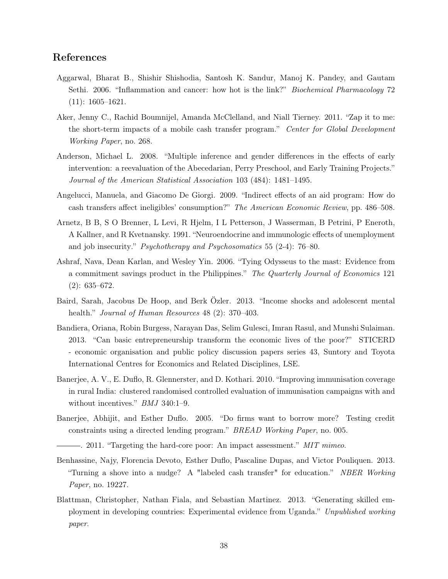## References

- <span id="page-37-10"></span>Aggarwal, Bharat B., Shishir Shishodia, Santosh K. Sandur, Manoj K. Pandey, and Gautam Sethi. 2006. "Inflammation and cancer: how hot is the link?" *Biochemical Pharmacology* 72 (11): 1605–1621.
- <span id="page-37-11"></span>Aker, Jenny C., Rachid Boumnijel, Amanda McClelland, and Niall Tierney. 2011. "Zap it to me: the short-term impacts of a mobile cash transfer program." Center for Global Development Working Paper, no. 268.
- <span id="page-37-12"></span>Anderson, Michael L. 2008. "Multiple inference and gender differences in the effects of early intervention: a reevaluation of the Abecedarian, Perry Preschool, and Early Training Projects." Journal of the American Statistical Association 103 (484): 1481–1495.
- <span id="page-37-9"></span>Angelucci, Manuela, and Giacomo De Giorgi. 2009. "Indirect effects of an aid program: How do cash transfers affect ineligibles' consumption?" The American Economic Review, pp. 486–508.
- <span id="page-37-7"></span>Arnetz, B B, S O Brenner, L Levi, R Hjelm, I L Petterson, J Wasserman, B Petrini, P Eneroth, A Kallner, and R Kvetnansky. 1991. "Neuroendocrine and immunologic effects of unemployment and job insecurity." Psychotherapy and Psychosomatics 55 (2-4): 76–80.
- <span id="page-37-1"></span>Ashraf, Nava, Dean Karlan, and Wesley Yin. 2006. "Tying Odysseus to the mast: Evidence from a commitment savings product in the Philippines." The Quarterly Journal of Economics 121 (2): 635–672.
- <span id="page-37-8"></span>Baird, Sarah, Jacobus De Hoop, and Berk Özler. 2013. "Income shocks and adolescent mental health." *Journal of Human Resources* 48 (2): 370–403.
- <span id="page-37-5"></span>Bandiera, Oriana, Robin Burgess, Narayan Das, Selim Gulesci, Imran Rasul, and Munshi Sulaiman. 2013. "Can basic entrepreneurship transform the economic lives of the poor?" STICERD - economic organisation and public policy discussion papers series 43, Suntory and Toyota International Centres for Economics and Related Disciplines, LSE.
- <span id="page-37-6"></span>Banerjee, A. V., E. Duflo, R. Glennerster, and D. Kothari. 2010. "Improving immunisation coverage in rural India: clustered randomised controlled evaluation of immunisation campaigns with and without incentives." *BMJ* 340:1-9.
- <span id="page-37-4"></span><span id="page-37-2"></span>Banerjee, Abhijit, and Esther Duflo. 2005. "Do firms want to borrow more? Testing credit constraints using a directed lending program." BREAD Working Paper, no. 005.
	- -. 2011. "Targeting the hard-core poor: An impact assessment." MIT mimeo.
- <span id="page-37-0"></span>Benhassine, Najy, Florencia Devoto, Esther Duflo, Pascaline Dupas, and Victor Pouliquen. 2013. "Turning a shove into a nudge? A "labeled cash transfer" for education." NBER Working Paper, no. 19227.
- <span id="page-37-3"></span>Blattman, Christopher, Nathan Fiala, and Sebastian Martinez. 2013. "Generating skilled employment in developing countries: Experimental evidence from Uganda." Unpublished working paper.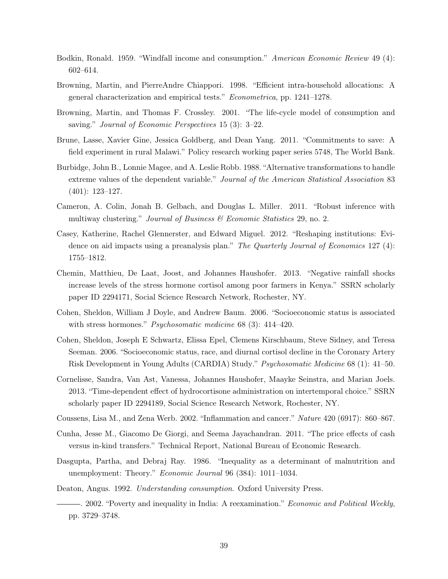- <span id="page-38-2"></span>Bodkin, Ronald. 1959. "Windfall income and consumption." American Economic Review 49 (4): 602–614.
- <span id="page-38-15"></span>Browning, Martin, and PierreAndre Chiappori. 1998. "Efficient intra-household allocations: A general characterization and empirical tests." Econometrica, pp. 1241–1278.
- <span id="page-38-1"></span>Browning, Martin, and Thomas F. Crossley. 2001. "The life-cycle model of consumption and saving." Journal of Economic Perspectives 15 (3): 3–22.
- <span id="page-38-3"></span>Brune, Lasse, Xavier Gine, Jessica Goldberg, and Dean Yang. 2011. "Commitments to save: A field experiment in rural Malawi." Policy research working paper series 5748, The World Bank.
- <span id="page-38-9"></span>Burbidge, John B., Lonnie Magee, and A. Leslie Robb. 1988. "Alternative transformations to handle extreme values of the dependent variable." Journal of the American Statistical Association 83 (401): 123–127.
- <span id="page-38-12"></span>Cameron, A. Colin, Jonah B. Gelbach, and Douglas L. Miller. 2011. "Robust inference with multiway clustering." Journal of Business  $\mathcal C$  Economic Statistics 29, no. 2.
- <span id="page-38-11"></span>Casey, Katherine, Rachel Glennerster, and Edward Miguel. 2012. "Reshaping institutions: Evidence on aid impacts using a preanalysis plan." The Quarterly Journal of Economics 127 (4): 1755–1812.
- <span id="page-38-5"></span>Chemin, Matthieu, De Laat, Joost, and Johannes Haushofer. 2013. "Negative rainfall shocks increase levels of the stress hormone cortisol among poor farmers in Kenya." SSRN scholarly paper ID 2294171, Social Science Research Network, Rochester, NY.
- <span id="page-38-8"></span>Cohen, Sheldon, William J Doyle, and Andrew Baum. 2006. "Socioeconomic status is associated with stress hormones." *Psychosomatic medicine* 68 (3): 414–420.
- <span id="page-38-7"></span>Cohen, Sheldon, Joseph E Schwartz, Elissa Epel, Clemens Kirschbaum, Steve Sidney, and Teresa Seeman. 2006. "Socioeconomic status, race, and diurnal cortisol decline in the Coronary Artery Risk Development in Young Adults (CARDIA) Study." Psychosomatic Medicine 68 (1): 41–50.
- <span id="page-38-6"></span>Cornelisse, Sandra, Van Ast, Vanessa, Johannes Haushofer, Maayke Seinstra, and Marian Joels. 2013. "Time-dependent effect of hydrocortisone administration on intertemporal choice." SSRN scholarly paper ID 2294189, Social Science Research Network, Rochester, NY.
- <span id="page-38-10"></span>Coussens, Lisa M., and Zena Werb. 2002. "Inflammation and cancer." Nature 420 (6917): 860–867.
- <span id="page-38-4"></span>Cunha, Jesse M., Giacomo De Giorgi, and Seema Jayachandran. 2011. "The price effects of cash versus in-kind transfers." Technical Report, National Bureau of Economic Research.
- <span id="page-38-13"></span>Dasgupta, Partha, and Debraj Ray. 1986. "Inequality as a determinant of malnutrition and unemployment: Theory." *Economic Journal* 96 (384): 1011–1034.
- <span id="page-38-14"></span><span id="page-38-0"></span>Deaton, Angus. 1992. Understanding consumption. Oxford University Press.
- . 2002. "Poverty and inequality in India: A reexamination." Economic and Political Weekly, pp. 3729–3748.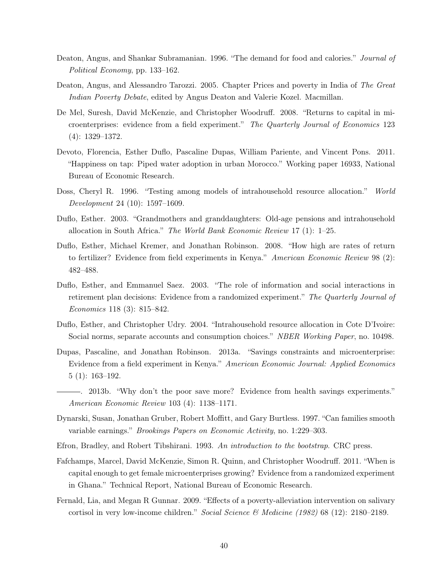- <span id="page-39-1"></span>Deaton, Angus, and Shankar Subramanian. 1996. "The demand for food and calories." Journal of Political Economy, pp. 133–162.
- <span id="page-39-3"></span>Deaton, Angus, and Alessandro Tarozzi. 2005. Chapter Prices and poverty in India of The Great Indian Poverty Debate, edited by Angus Deaton and Valerie Kozel. Macmillan.
- <span id="page-39-5"></span>De Mel, Suresh, David McKenzie, and Christopher Woodruff. 2008. "Returns to capital in microenterprises: evidence from a field experiment." The Quarterly Journal of Economics 123 (4): 1329–1372.
- <span id="page-39-8"></span>Devoto, Florencia, Esther Duflo, Pascaline Dupas, William Pariente, and Vincent Pons. 2011. "Happiness on tap: Piped water adoption in urban Morocco." Working paper 16933, National Bureau of Economic Research.
- <span id="page-39-14"></span>Doss, Cheryl R. 1996. "Testing among models of intrahousehold resource allocation." World Development 24 (10): 1597–1609.
- <span id="page-39-7"></span>Duflo, Esther. 2003. "Grandmothers and granddaughters: Old-age pensions and intrahousehold allocation in South Africa." The World Bank Economic Review 17 (1): 1–25.
- <span id="page-39-9"></span>Duflo, Esther, Michael Kremer, and Jonathan Robinson. 2008. "How high are rates of return to fertilizer? Evidence from field experiments in Kenya." American Economic Review 98 (2): 482–488.
- <span id="page-39-12"></span>Duflo, Esther, and Emmanuel Saez. 2003. "The role of information and social interactions in retirement plan decisions: Evidence from a randomized experiment." The Quarterly Journal of Economics 118 (3): 815–842.
- <span id="page-39-0"></span>Duflo, Esther, and Christopher Udry. 2004. "Intrahousehold resource allocation in Cote D'Ivoire: Social norms, separate accounts and consumption choices." NBER Working Paper, no. 10498.
- <span id="page-39-4"></span>Dupas, Pascaline, and Jonathan Robinson. 2013a. "Savings constraints and microenterprise: Evidence from a field experiment in Kenya." American Economic Journal: Applied Economics 5 (1): 163–192.
- <span id="page-39-11"></span>. 2013b. "Why don't the poor save more? Evidence from health savings experiments." American Economic Review 103 (4): 1138–1171.
- <span id="page-39-2"></span>Dynarski, Susan, Jonathan Gruber, Robert Moffitt, and Gary Burtless. 1997. "Can families smooth variable earnings." Brookings Papers on Economic Activity, no. 1:229–303.
- <span id="page-39-13"></span>Efron, Bradley, and Robert Tibshirani. 1993. An introduction to the bootstrap. CRC press.
- <span id="page-39-6"></span>Fafchamps, Marcel, David McKenzie, Simon R. Quinn, and Christopher Woodruff. 2011. "When is capital enough to get female microenterprises growing? Evidence from a randomized experiment in Ghana." Technical Report, National Bureau of Economic Research.
- <span id="page-39-10"></span>Fernald, Lia, and Megan R Gunnar. 2009. "Effects of a poverty-alleviation intervention on salivary cortisol in very low-income children." Social Science & Medicine (1982) 68 (12): 2180–2189.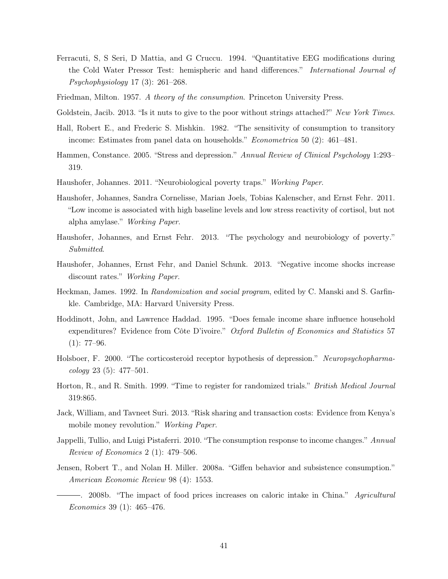- <span id="page-40-10"></span>Ferracuti, S, S Seri, D Mattia, and G Cruccu. 1994. "Quantitative EEG modifications during the Cold Water Pressor Test: hemispheric and hand differences." International Journal of Psychophysiology 17 (3): 261–268.
- <span id="page-40-16"></span>Friedman, Milton. 1957. A theory of the consumption. Princeton University Press.
- <span id="page-40-8"></span>Goldstein, Jacib. 2013. "Is it nuts to give to the poor without strings attached?" New York Times.
- <span id="page-40-0"></span>Hall, Robert E., and Frederic S. Mishkin. 1982. "The sensitivity of consumption to transitory income: Estimates from panel data on households." Econometrica 50 (2): 461–481.
- <span id="page-40-12"></span>Hammen, Constance. 2005. "Stress and depression." Annual Review of Clinical Psychology 1:293– 319.
- <span id="page-40-7"></span>Haushofer, Johannes. 2011. "Neurobiological poverty traps." Working Paper.
- <span id="page-40-5"></span>Haushofer, Johannes, Sandra Cornelisse, Marian Joels, Tobias Kalenscher, and Ernst Fehr. 2011. "Low income is associated with high baseline levels and low stress reactivity of cortisol, but not alpha amylase." Working Paper.
- <span id="page-40-6"></span>Haushofer, Johannes, and Ernst Fehr. 2013. "The psychology and neurobiology of poverty." Submitted.
- <span id="page-40-4"></span>Haushofer, Johannes, Ernst Fehr, and Daniel Schunk. 2013. "Negative income shocks increase discount rates." Working Paper.
- <span id="page-40-2"></span>Heckman, James. 1992. In Randomization and social program, edited by C. Manski and S. Garfinkle. Cambridge, MA: Harvard University Press.
- <span id="page-40-15"></span>Hoddinott, John, and Lawrence Haddad. 1995. "Does female income share influence household expenditures? Evidence from Côte D'ivoire." Oxford Bulletin of Economics and Statistics 57  $(1): 77-96.$
- <span id="page-40-11"></span>Holsboer, F. 2000. "The corticosteroid receptor hypothesis of depression." Neuropsychopharmacology 23 (5): 477–501.
- <span id="page-40-13"></span>Horton, R., and R. Smith. 1999. "Time to register for randomized trials." British Medical Journal 319:865.
- <span id="page-40-9"></span>Jack, William, and Tavneet Suri. 2013. "Risk sharing and transaction costs: Evidence from Kenya's mobile money revolution." Working Paper.
- <span id="page-40-1"></span>Jappelli, Tullio, and Luigi Pistaferri. 2010. "The consumption response to income changes." Annual Review of Economics 2 (1): 479–506.
- <span id="page-40-14"></span><span id="page-40-3"></span>Jensen, Robert T., and Nolan H. Miller. 2008a. "Giffen behavior and subsistence consumption." American Economic Review 98 (4): 1553.
	- -. 2008b. "The impact of food prices increases on caloric intake in China." Agricultural Economics 39 (1): 465–476.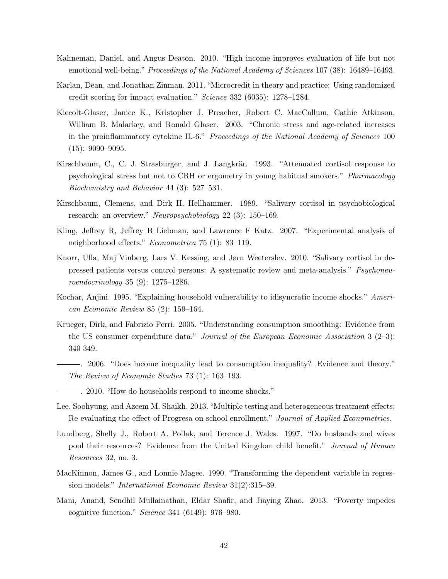- <span id="page-41-6"></span>Kahneman, Daniel, and Angus Deaton. 2010. "High income improves evaluation of life but not emotional well-being." *Proceedings of the National Academy of Sciences* 107 (38): 16489–16493.
- <span id="page-41-4"></span>Karlan, Dean, and Jonathan Zinman. 2011. "Microcredit in theory and practice: Using randomized credit scoring for impact evaluation." Science 332 (6035): 1278–1284.
- <span id="page-41-11"></span>Kiecolt-Glaser, Janice K., Kristopher J. Preacher, Robert C. MacCallum, Cathie Atkinson, William B. Malarkey, and Ronald Glaser. 2003. "Chronic stress and age-related increases in the proinflammatory cytokine IL-6." Proceedings of the National Academy of Sciences 100  $(15): 9090 - 9095.$
- <span id="page-41-9"></span>Kirschbaum, C., C. J. Strasburger, and J. Langkrär. 1993. "Attenuated cortisol response to psychological stress but not to CRH or ergometry in young habitual smokers." Pharmacology Biochemistry and Behavior 44 (3): 527–531.
- <span id="page-41-10"></span>Kirschbaum, Clemens, and Dirk H. Hellhammer. 1989. "Salivary cortisol in psychobiological research: an overview." Neuropsychobiology 22 (3): 150–169.
- <span id="page-41-7"></span>Kling, Jeffrey R, Jeffrey B Liebman, and Lawrence F Katz. 2007. "Experimental analysis of neighborhood effects." Econometrica 75 (1): 83–119.
- <span id="page-41-12"></span>Knorr, Ulla, Maj Vinberg, Lars V. Kessing, and Jørn Weeterslev. 2010. "Salivary cortisol in depressed patients versus control persons: A systematic review and meta-analysis." Psychoneuroendocrinology 35 (9): 1275–1286.
- <span id="page-41-3"></span>Kochar, Anjini. 1995. "Explaining household vulnerability to idisyncratic income shocks." American Economic Review 85 (2): 159–164.
- <span id="page-41-1"></span>Krueger, Dirk, and Fabrizio Perri. 2005. "Understanding consumption smoothing: Evidence from the US consumer expenditure data." Journal of the European Economic Association  $3$  (2–3): 340 349.
- <span id="page-41-2"></span>. 2006. "Does income inequality lead to consumption inequality? Evidence and theory." The Review of Economic Studies 73 (1): 163–193.
- <span id="page-41-0"></span>. 2010. "How do households respond to income shocks."
- <span id="page-41-14"></span>Lee, Soohyung, and Azeem M. Shaikh. 2013. "Multiple testing and heterogeneous treatment effects: Re-evaluating the effect of Progresa on school enrollment." Journal of Applied Econometrics.
- <span id="page-41-13"></span>Lundberg, Shelly J., Robert A. Pollak, and Terence J. Wales. 1997. "Do husbands and wives pool their resources? Evidence from the United Kingdom child benefit." Journal of Human Resources 32, no. 3.
- <span id="page-41-8"></span>MacKinnon, James G., and Lonnie Magee. 1990. "Transforming the dependent variable in regression models." International Economic Review 31(2):315–39.
- <span id="page-41-5"></span>Mani, Anand, Sendhil Mullainathan, Eldar Shafir, and Jiaying Zhao. 2013. "Poverty impedes cognitive function." Science 341 (6149): 976–980.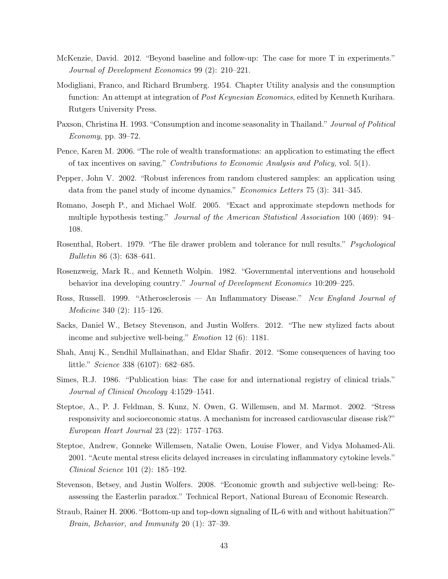- <span id="page-42-12"></span>McKenzie, David. 2012. "Beyond baseline and follow-up: The case for more T in experiments." Journal of Development Economics 99 (2): 210–221.
- <span id="page-42-14"></span>Modigliani, Franco, and Richard Brumberg. 1954. Chapter Utility analysis and the consumption function: An attempt at integration of Post Keynesian Economics, edited by Kenneth Kurihara. Rutgers University Press.
- <span id="page-42-1"></span>Paxson, Christina H. 1993. "Consumption and income seasonality in Thailand." Journal of Political Economy, pp. 39–72.
- <span id="page-42-5"></span>Pence, Karen M. 2006. "The role of wealth transformations: an application to estimating the effect of tax incentives on saving." Contributions to Economic Analysis and Policy, vol. 5(1).
- <span id="page-42-13"></span>Pepper, John V. 2002. "Robust inferences from random clustered samples: an application using data from the panel study of income dynamics." Economics Letters 75 (3): 341–345.
- <span id="page-42-15"></span>Romano, Joseph P., and Michael Wolf. 2005. "Exact and approximate stepdown methods for multiple hypothesis testing." *Journal of the American Statistical Association* 100 (469): 94– 108.
- <span id="page-42-10"></span>Rosenthal, Robert. 1979. "The file drawer problem and tolerance for null results." Psychological Bulletin 86 (3): 638–641.
- <span id="page-42-0"></span>Rosenzweig, Mark R., and Kenneth Wolpin. 1982. "Governmental interventions and household behavior ina developing country." Journal of Development Economics 10:209–225.
- <span id="page-42-9"></span>Ross, Russell. 1999. "Atherosclerosis — An Inflammatory Disease." New England Journal of Medicine 340 (2): 115–126.
- <span id="page-42-4"></span>Sacks, Daniel W., Betsey Stevenson, and Justin Wolfers. 2012. "The new stylized facts about income and subjective well-being." Emotion 12 (6): 1181.
- <span id="page-42-2"></span>Shah, Anuj K., Sendhil Mullainathan, and Eldar Shafir. 2012. "Some consequences of having too little." Science 338 (6107): 682–685.
- <span id="page-42-11"></span>Simes, R.J. 1986. "Publication bias: The case for and international registry of clinical trials." Journal of Clinical Oncology 4:1529–1541.
- <span id="page-42-8"></span>Steptoe, A., P. J. Feldman, S. Kunz, N. Owen, G. Willemsen, and M. Marmot. 2002. "Stress responsivity and socioeconomic status. A mechanism for increased cardiovascular disease risk?" European Heart Journal 23 (22): 1757–1763.
- <span id="page-42-7"></span>Steptoe, Andrew, Gonneke Willemsen, Natalie Owen, Louise Flower, and Vidya Mohamed-Ali. 2001. "Acute mental stress elicits delayed increases in circulating inflammatory cytokine levels." Clinical Science 101 (2): 185–192.
- <span id="page-42-3"></span>Stevenson, Betsey, and Justin Wolfers. 2008. "Economic growth and subjective well-being: Reassessing the Easterlin paradox." Technical Report, National Bureau of Economic Research.
- <span id="page-42-6"></span>Straub, Rainer H. 2006. "Bottom-up and top-down signaling of IL-6 with and without habituation?" Brain, Behavior, and Immunity 20 (1): 37–39.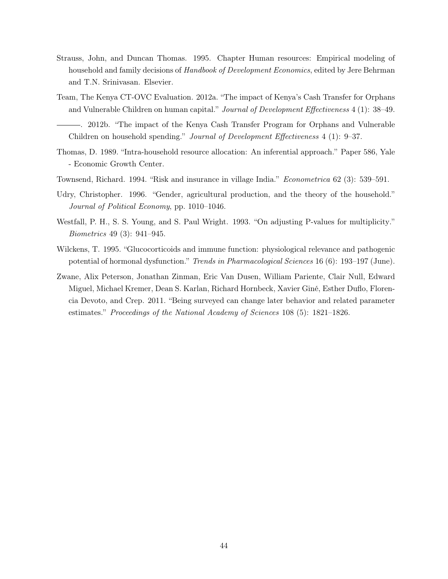- <span id="page-43-8"></span>Strauss, John, and Duncan Thomas. 1995. Chapter Human resources: Empirical modeling of household and family decisions of Handbook of Development Economics, edited by Jere Behrman and T.N. Srinivasan. Elsevier.
- <span id="page-43-2"></span>Team, The Kenya CT-OVC Evaluation. 2012a. "The impact of Kenya's Cash Transfer for Orphans and Vulnerable Children on human capital." Journal of Development Effectiveness 4 (1): 38–49.
- <span id="page-43-3"></span>. 2012b. "The impact of the Kenya Cash Transfer Program for Orphans and Vulnerable Children on household spending." Journal of Development Effectiveness 4 (1): 9–37.
- <span id="page-43-0"></span>Thomas, D. 1989. "Intra-household resource allocation: An inferential approach." Paper 586, Yale - Economic Growth Center.
- <span id="page-43-7"></span>Townsend, Richard. 1994. "Risk and insurance in village India." Econometrica 62 (3): 539–591.
- <span id="page-43-1"></span>Udry, Christopher. 1996. "Gender, agricultural production, and the theory of the household." Journal of Political Economy, pp. 1010–1046.
- <span id="page-43-6"></span>Westfall, P. H., S. S. Young, and S. Paul Wright. 1993. "On adjusting P-values for multiplicity." Biometrics 49 (3): 941–945.
- <span id="page-43-5"></span>Wilckens, T. 1995. "Glucocorticoids and immune function: physiological relevance and pathogenic potential of hormonal dysfunction." Trends in Pharmacological Sciences 16 (6): 193–197 (June).
- <span id="page-43-4"></span>Zwane, Alix Peterson, Jonathan Zinman, Eric Van Dusen, William Pariente, Clair Null, Edward Miguel, Michael Kremer, Dean S. Karlan, Richard Hornbeck, Xavier Giné, Esther Duflo, Florencia Devoto, and Crep. 2011. "Being surveyed can change later behavior and related parameter estimates." Proceedings of the National Academy of Sciences 108 (5): 1821–1826.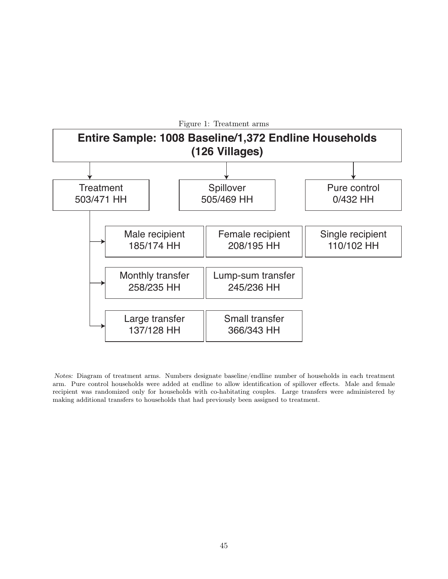<span id="page-44-0"></span>

Notes: Diagram of treatment arms. Numbers designate baseline/endline number of households in each treatment arm. Pure control households were added at endline to allow identification of spillover effects. Male and female recipient was randomized only for households with co-habitating couples. Large transfers were administered by making additional transfers to households that had previously been assigned to treatment.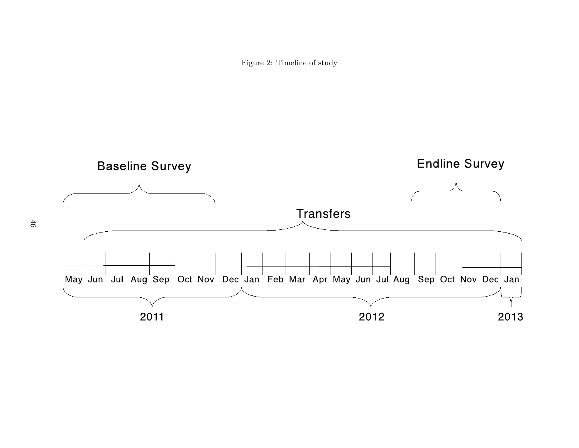<span id="page-45-0"></span>Figure 2: Timeline of study

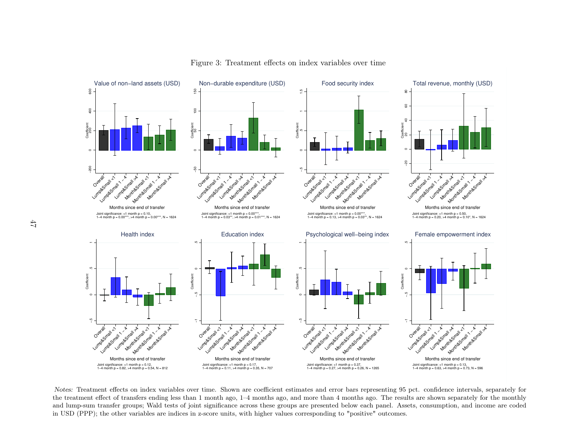

<span id="page-46-0"></span>Figure 3: Treatment effects on index variables over time

Notes: Treatment effects on index variables over time. Shown are coefficient estimates and error bars representing <sup>95</sup> pct. confidence intervals, separately for the treatment effect of transfers ending less than 1 month ago, 1–4 months ago, and more than 4 months ago. The results are shown separately for the monthly and lump-sum transfer groups; Wald tests of joint significance across these groups are presented below each panel. Assets, consumption, and income are codedin USD (PPP); the other variables are indices in z-score units, with higher values corresponding to "positive" outcomes.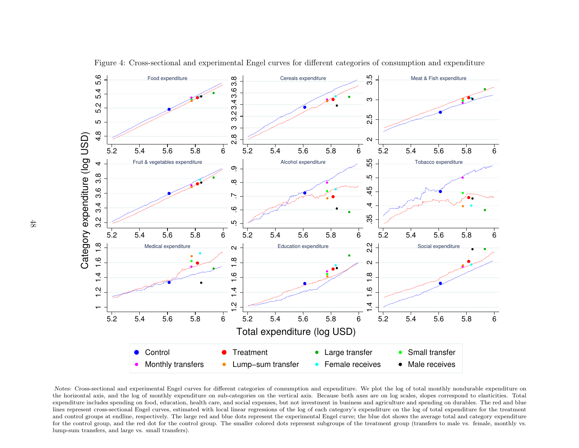

<span id="page-47-0"></span>Figure 4: Cross-sectional and experimental Engel curves for different categories of consumption and expenditure

Notes: Cross-sectional and experimental Engel curves for different categories of consumption and expenditure. We <sup>p</sup>lot the log of total monthly nondurable expenditure on the horizontal axis, and the log of monthly expenditure on sub-categories on the vertical axis. Because both axes are on log scales, slopes correspond to elasticities. Total expenditure includes spending on food, education, health care, and social expenses, but not investment in business and agriculture and spending on durables. The red and blue lines represent cross-sectional Engel curves, estimated with local linear regressions of the log of each category's expenditure on the log of total expenditure for the treatment and control groups at endline, respectively. The large red and blue dots represent the experimental Engel curve; the blue dot shows the average total and category expenditure for the control group, and the red dot for the control group. The smaller colored dots represent subgroups of the treatment group (transfers to male vs. female, monthly vs.lump-sum transfers, and large vs. small transfers).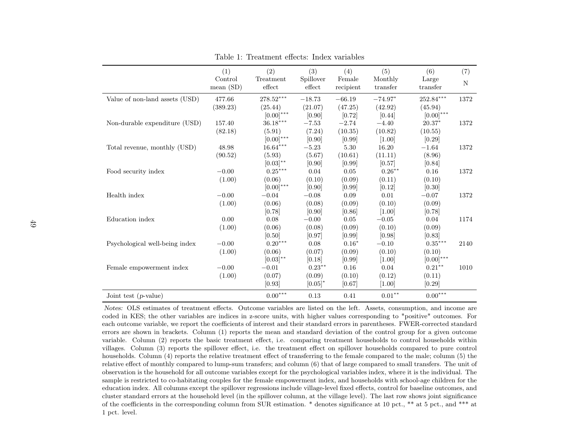|                                | (1)                 | (2)                 | (3)                 | (4)                 | (5)                 | (6)               | (7)  |
|--------------------------------|---------------------|---------------------|---------------------|---------------------|---------------------|-------------------|------|
|                                | Control<br>mean(SD) | Treatment<br>effect | Spillover<br>effect | Female<br>recipient | Monthly<br>transfer | Large<br>transfer | N    |
| Value of non-land assets (USD) | 477.66              | $278.52***$         | $-18.73$            | $-66.19$            | $-74.97*$           | $252.84***$       | 1372 |
|                                | (389.23)            | (25.44)             | (21.07)             | (47.25)             | (42.92)             | (45.94)           |      |
|                                |                     | $[0.00]^{***}$      | [0.90]              | [0.72]              | [0.44]              | $[0.00]^{***}$    |      |
| Non-durable expenditure (USD)  | 157.40              | $36.18***$          | $-7.53$             | $-2.74$             | $-4.40$             | $20.37*$          | 1372 |
|                                | (82.18)             | (5.91)              | (7.24)              | (10.35)             | (10.82)             | (10.55)           |      |
|                                |                     | $[0.00]^{***}$      | [0.90]              | [0.99]              | $[1.00]$            | [0.29]            |      |
| Total revenue, monthly (USD)   | 48.98               | $16.64***$          | $-5.23$             | 5.30                | 16.20               | $-1.64$           | 1372 |
|                                | (90.52)             | (5.93)              | (5.67)              | (10.61)             | (11.11)             | (8.96)            |      |
|                                |                     | $[0.03]^{**}$       | [0.90]              | [0.99]              | [0.57]              | [0.84]            |      |
| Food security index            | $-0.00$             | $0.25***$           | 0.04                | $0.05\,$            | $0.26***$           | 0.16              | 1372 |
|                                | (1.00)              | (0.06)              | (0.10)              | (0.09)              | (0.11)              | (0.10)            |      |
|                                |                     | $[0.00]^{***}$      | [0.90]              | [0.99]              | [0.12]              | [0.30]            |      |
| Health index                   | $-0.00$             | $-0.04$             | $-0.08$             | 0.09                | 0.01                | $-0.07$           | 1372 |
|                                | (1.00)              | (0.06)              | (0.08)              | (0.09)              | (0.10)              | (0.09)            |      |
|                                |                     | [0.78]              | [0.90]              | [0.86]              | $[1.00]$            | [0.78]            |      |
| Education index                | 0.00                | 0.08                | $-0.00$             | 0.05                | $-0.05$             | 0.04              | 1174 |
|                                | (1.00)              | (0.06)              | (0.08)              | (0.09)              | (0.10)              | (0.09)            |      |
|                                |                     | [0.50]              | [0.97]              | [0.99]              | [0.98]              | [0.83]            |      |
| Psychological well-being index | $-0.00$             | $0.20***$           | 0.08                | $0.16*$             | $-0.10$             | $0.35***$         | 2140 |
|                                | (1.00)              | (0.06)              | (0.07)              | (0.09)              | (0.10)              | (0.10)            |      |
|                                |                     | $[0.03]^{**}$       | [0.18]              | [0.99]              | $[1.00]$            | $[0.00]^{***}$    |      |
| Female empowerment index       | $-0.00$             | $-0.01$             | $0.23***$           | 0.16                | 0.04                | $0.21***$         | 1010 |
|                                | (1.00)              | (0.07)              | (0.09)              | (0.10)              | (0.12)              | (0.11)            |      |
|                                |                     | [0.93]              | $[0.05]^*$          | [0.67]              | $[1.00]$            | [0.29]            |      |
| Joint test $(p\text{-value})$  |                     | $0.00***$           | 0.13                | 0.41                | $0.01***$           | $0.00^{***}\,$    |      |

<span id="page-48-0"></span>Table 1: Treatment effects: Index variables

Notes: OLS estimates of treatment effects. Outcome variables are listed on the left. Assets, consumption, and income are coded in KES; the other variables are indices in z-score units, with higher values corresponding to "positive" outcomes. For each outcome variable, we report the coefficients of interest and their standard errors in parentheses. FWER-corrected standard errors are shown in brackets. Column (1) reports the mean and standard deviation of the control group for <sup>a</sup> <sup>g</sup>iven outcome variable. Column (2) reports the basic treatment effect, i.e. comparing treatment households to control households within villages. Column (3) reports the spillover effect, i.e. the treatment effect on spillover households compared to pure control households. Column (4) reports the relative treatment effect of transferring to the female compared to the male; column (5) the relative effect of monthly compared to lump-sum transfers; and column (6) that of large compared to small transfers. The unit of observation is the household for all outcome variables except for the psychological variables index, where it is the individual. The sample is restricted to co-habitating couples for the female empowerment index, and households with school-age children for the education index. All columns except the spillover regressions include village-level fixed effects, control for baseline outcomes, and cluster standard errors at the household level (in the spillover column, at the village level). The last row shows joint significance of the coefficients in the corresponding column from SUR estimation. \* denotes significance at 10 pct., \*\* at 5 pct., and \*\*\* at1 pct. level.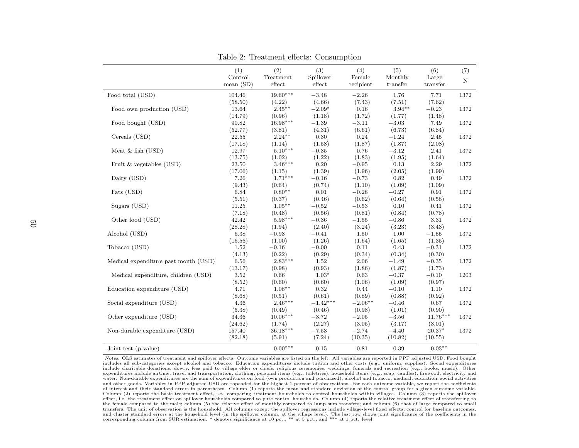|                                      | (1)         | (2)        | (3)        | (4)        | (5)       | (6)        | (7)  |
|--------------------------------------|-------------|------------|------------|------------|-----------|------------|------|
|                                      | Control     | Treatment  | Spillover  | Female     | Monthly   | Large      | N    |
|                                      | mean $(SD)$ | effect     | effect     | recipient  | transfer  | transfer   |      |
| Food total (USD)                     | 104.46      | $19.60***$ | $-3.48$    | $-2.26$    | 1.76      | 7.71       | 1372 |
|                                      | (58.50)     | (4.22)     | (4.66)     | (7.43)     | (7.51)    | (7.62)     |      |
| Food own production (USD)            | 13.64       | $2.45***$  | $-2.09*$   | 0.16       | $3.94***$ | $-0.23$    | 1372 |
|                                      | (14.79)     | (0.96)     | (1.18)     | (1.72)     | (1.77)    | (1.48)     |      |
| Food bought (USD)                    | 90.82       | $16.98***$ | $-1.39$    | $-3.11$    | $-3.03$   | 7.49       | 1372 |
|                                      | (52.77)     | (3.81)     | (4.31)     | (6.61)     | (6.73)    | (6.84)     |      |
| Cereals (USD)                        | 22.55       | $2.24***$  | 0.30       | $\rm 0.24$ | $-1.24$   | 2.45       | 1372 |
|                                      | (17.18)     | (1.14)     | (1.58)     | (1.87)     | (1.87)    | (2.08)     |      |
| Meat $&$ fish (USD)                  | 12.97       | $5.10***$  | $-0.35$    | 0.76       | $-3.12$   | 2.41       | 1372 |
|                                      | (13.75)     | (1.02)     | (1.22)     | (1.83)     | (1.95)    | (1.64)     |      |
| Fruit $&$ vegetables (USD)           | 23.50       | $3.46***$  | 0.20       | $-0.95$    | 0.13      | 2.29       | 1372 |
|                                      | (17.06)     | (1.15)     | (1.39)     | (1.96)     | (2.05)    | (1.99)     |      |
| Dairy (USD)                          | 7.26        | $1.71***$  | $-0.16$    | $-0.73$    | 0.82      | 0.49       | 1372 |
|                                      | (9.43)      | (0.64)     | (0.74)     | (1.10)     | (1.09)    | (1.09)     |      |
| Fats (USD)                           | 6.84        | $0.80**$   | 0.01       | $-0.28$    | $-0.27$   | 0.91       | 1372 |
|                                      | (5.51)      | (0.37)     | (0.46)     | (0.62)     | (0.64)    | (0.58)     |      |
| Sugars (USD)                         | 11.25       | $1.05***$  | $-0.52$    | $-0.53$    | 0.10      | 0.41       | 1372 |
|                                      | (7.18)      | (0.48)     | (0.56)     | (0.81)     | (0.84)    | (0.78)     |      |
| Other food (USD)                     | 42.42       | $5.98***$  | $-0.36$    | $-1.55$    | $-0.86$   | 3.31       | 1372 |
|                                      | (28.28)     | (1.94)     | (2.40)     | (3.24)     | (3.23)    | (3.43)     |      |
| Alcohol (USD)                        | 6.38        | $-0.93$    | $-0.41$    | 1.50       | 1.00      | $-1.55$    | 1372 |
|                                      | (16.56)     | (1.00)     | (1.26)     | (1.64)     | (1.65)    | (1.35)     |      |
| Tobacco (USD)                        | 1.52        | $-0.16$    | $-0.00$    | 0.11       | 0.43      | $-0.31$    | 1372 |
|                                      | (4.13)      | (0.22)     | (0.29)     | (0.34)     | (0.34)    | (0.30)     |      |
| Medical expenditure past month (USD) | 6.56        | $2.83***$  | 1.52       | 2.06       | $-1.49$   | $-0.35$    | 1372 |
|                                      | (13.17)     | (0.98)     | (0.93)     | (1.86)     | (1.87)    | (1.73)     |      |
| Medical expenditure, children (USD)  | 3.52        | 0.66       | $1.03*$    | 0.63       | $-0.37$   | $-0.10$    | 1203 |
|                                      | (8.52)      | (0.60)     | (0.60)     | (1.06)     | (1.09)    | (0.97)     |      |
| Education expenditure (USD)          | 4.71        | $1.08***$  | 0.32       | 0.44       | $-0.10$   | 1.10       | 1372 |
|                                      | (8.68)      | (0.51)     | (0.61)     | (0.89)     | (0.88)    | (0.92)     |      |
| Social expenditure (USD)             | 4.36        | $2.46***$  | $-1.42***$ | $-2.06**$  | $-0.46$   | 0.67       | 1372 |
|                                      | (5.38)      | (0.49)     | (0.46)     | (0.98)     | (1.01)    | (0.90)     |      |
| Other expenditure (USD)              | 34.36       | $10.06***$ | $-3.72$    | $-2.05$    | $-3.56$   | $11.76***$ | 1372 |
|                                      | (24.62)     | (1.74)     | (2.27)     | (3.05)     | (3.17)    | (3.01)     |      |
| Non-durable expenditure (USD)        | 157.40      | $36.18***$ | $-7.53$    | $-2.74$    | $-4.40$   | 20.37*     | 1372 |
|                                      | (82.18)     | (5.91)     | (7.24)     | (10.35)    | (10.82)   | (10.55)    |      |
| Joint test $(p\text{-value})$        |             | $0.00***$  | 0.15       | 0.81       | 0.39      | $0.03**$   |      |

<span id="page-49-0"></span>Table 2: Treatment effects: Consumption

Notes: OLS estimates of treatment and spillover effects. Outcome variables are listed on the left. All variables are reported in PPP adjusted USD. Food bought includes all sub-categories except alcohol and tobacco. Education expenditures include tuition and other costs (e.g., uniform, supplies). Social expenditures include charitable donations, dowry, fees paid to village elder or chiefs, religious ceremonies, weddings, funerals and recreation (e.g., books, music). Other expenditures include airtime, travel and transportation, clothing, persona<sup>l</sup> items (e.g., toiletries), household items (e.g., soap, candles), firewood, electricity and water. Non-durable expenditures are the sum of expenditures on food (own production and purchased), alcohol and tobacco, medical, education, social activities and other goods. Variables in PPP adjusted USD are topcoded for the highest 1 percent of observations. For each outcome variable, we report the coefficients of interest and their standard errors in parentheses. Column (1) reports the mean and standard deviation of the control group for <sup>a</sup> <sup>g</sup>iven outcome variable. Column (2) reports the basic treatment effect, i.e. comparing treatment households to control households within villages. Column (3) reports the spillover effect, i.e. the treatment effect on spillover households compared to pure control households. Column (4) reports the relative treatment effect of transferring to the female compared to the male; column (5) the relative effect of monthly compared to lump-sum transfers; and column (6) that of large compared to small transfers. The unit of observation is the household. All columns except the spillover regressions include village-level fixed effects, control for baseline outcomes, and cluster standard errors at the household level (in the spillover column, at the village level). The last row shows joint significance of the coefficients in thecorresponding column from SUR estimation. \* denotes significance at 10 pct., \*\* at 5 pct., and \*\*\* at <sup>1</sup> pct. level.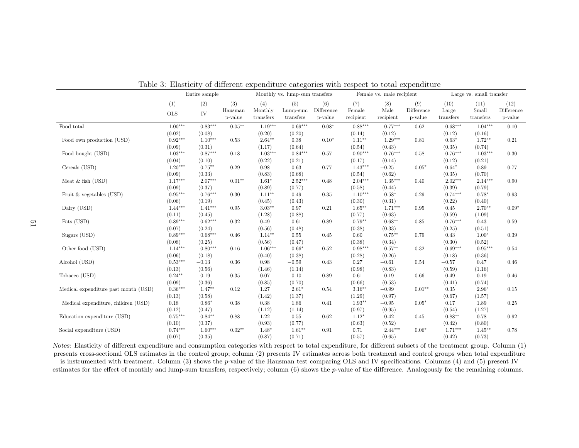|                                      |                   | Entire sample |                           | Monthly vs. lump-sum transfers |                              | Female vs. male recipient    |                            |                          | Large vs. small transfer     |                            |                            |                               |
|--------------------------------------|-------------------|---------------|---------------------------|--------------------------------|------------------------------|------------------------------|----------------------------|--------------------------|------------------------------|----------------------------|----------------------------|-------------------------------|
|                                      | (1)<br><b>OLS</b> | (2)<br>IV     | (3)<br>Hausman<br>p-value | (4)<br>Monthly<br>transfers    | (5)<br>Lump-sum<br>transfers | (6)<br>Difference<br>p-value | (7)<br>Female<br>recipient | (8)<br>Male<br>recipient | (9)<br>Difference<br>p-value | (10)<br>Large<br>transfers | (11)<br>Small<br>transfers | (12)<br>Difference<br>p-value |
| Food total                           | $1.00***$         | $0.83***$     | $0.05***$                 | $1.19***$                      | $0.69***$                    | $0.08*$                      | $0.88***$                  | $0.77***$                | 0.62                         | $0.68***$                  | $1.04***$                  | 0.10                          |
|                                      | (0.02)            | (0.08)        |                           | (0.20)                         | (0.20)                       |                              | (0.14)                     | (0.12)                   |                              | (0.12)                     | (0.16)                     |                               |
| Food own production (USD)            | $0.92***$         | $1.10***$     | 0.53                      | $2.64***$                      | 0.38                         | $0.10*$                      | $1.11***$                  | $1.29***$                | 0.81                         | $0.63*$                    | $1.72**$                   | 0.21                          |
|                                      | (0.09)            | (0.31)        |                           | (1.17)                         | (0.64)                       |                              | (0.54)                     | (0.43)                   |                              | (0.35)                     | (0.74)                     |                               |
| Food bought (USD)                    | $1.03***$         | $0.87***$     | 0.18                      | $1.03***$                      | $0.84***$                    | 0.57                         | $0.90***$                  | $0.76***$                | 0.58                         | $0.76***$                  | $1.03***$                  | 0.30                          |
|                                      | (0.04)            | (0.10)        |                           | (0.22)                         | (0.21)                       |                              | (0.17)                     | (0.14)                   |                              | (0.12)                     | (0.21)                     |                               |
| Cereals (USD)                        | $1.20***$         | $0.75***$     | 0.29                      | 0.98                           | 0.63                         | 0.77                         | $1.43***$                  | $-0.25$                  | $0.05*$                      | $0.64*$                    | 0.89                       | 0.77                          |
|                                      | (0.09)            | (0.33)        |                           | (0.83)                         | (0.68)                       |                              | (0.54)                     | (0.62)                   |                              | (0.35)                     | (0.70)                     |                               |
| Meat $&$ fish (USD)                  | $1.17***$         | $2.07***$     | $0.01**$                  | $1.61*$                        | $2.52***$                    | 0.48                         | $2.04***$                  | $1.35***$                | 0.40                         | $2.02***$                  | $2.14***$                  | 0.90                          |
|                                      | (0.09)            | (0.37)        |                           | (0.89)                         | (0.77)                       |                              | (0.58)                     | (0.44)                   |                              | (0.39)                     | (0.79)                     |                               |
| Fruit & vegetables (USD)             | $0.95***$         | $0.76***$     | 0.30                      | $1.11***$                      | 0.49                         | 0.35                         | $1.10***$                  | $0.58*$                  | 0.29                         | $0.74***$                  | $0.78*$                    | 0.93                          |
|                                      | (0.06)            | (0.19)        |                           | (0.45)                         | (0.43)                       |                              | (0.30)                     | (0.31)                   |                              | (0.22)                     | (0.40)                     |                               |
| Dairy (USD)                          | $1.44***$         | $1.41***$     | 0.95                      | $3.03**$                       | 0.97                         | 0.21                         | $1.65***$                  | $1.71***$                | 0.95                         | 0.45                       | $2.70**$                   | $0.09*$                       |
|                                      | (0.11)            | (0.45)        |                           | (1.28)                         | (0.88)                       |                              | (0.77)                     | (0.63)                   |                              | (0.59)                     | (1.09)                     |                               |
| Fats (USD)                           | $0.89***$         | $0.62***$     | 0.32                      | 0.49                           | 0.61                         | 0.89                         | $0.79**$                   | $0.68***$                | 0.85                         | $0.76***$                  | 0.43                       | 0.59                          |
|                                      | (0.07)            | (0.24)        |                           | (0.56)                         | (0.48)                       |                              | (0.38)                     | (0.33)                   |                              | (0.25)                     | (0.51)                     |                               |
| Sugars (USD)                         | $0.89***$         | $0.68***$     | 0.46                      | $1.14**$                       | 0.55                         | 0.45                         | 0.60                       | $0.75***$                | 0.79                         | 0.43                       | $1.00*$                    | 0.39                          |
|                                      | (0.08)            | (0.25)        |                           | (0.56)                         | (0.47)                       |                              | (0.38)                     | (0.34)                   |                              | (0.30)                     | (0.52)                     |                               |
| Other food (USD)                     | $1.14***$         | $0.80***$     | 0.16                      | $1.06***$                      | $0.66*$                      | 0.52                         | $0.98***$                  | $0.57**$                 | 0.32                         | $0.69***$                  | $0.95***$                  | 0.54                          |
|                                      | (0.06)            | (0.18)        |                           | (0.40)                         | (0.38)                       |                              | (0.28)                     | (0.26)                   |                              | (0.18)                     | (0.36)                     |                               |
| Alcohol (USD)                        | $0.53***$         | $-0.13$       | 0.36                      | 0.98                           | $-0.59$                      | 0.43                         | 0.27                       | $-0.61$                  | 0.54                         | $-0.57$                    | 0.47                       | 0.46                          |
|                                      | (0.13)            | (0.56)        |                           | (1.46)                         | (1.14)                       |                              | (0.98)                     | (0.83)                   |                              | (0.59)                     | (1.16)                     |                               |
| Tobacco (USD)                        | $0.24**$          | $-0.19$       | 0.35                      | 0.07                           | $-0.10$                      | 0.89                         | $-0.61$                    | $-0.19$                  | 0.66                         | $-0.49$                    | 0.19                       | 0.46                          |
|                                      | (0.09)            | (0.36)        |                           | (0.85)                         | (0.70)                       |                              | (0.66)                     | (0.53)                   |                              | (0.41)                     | (0.74)                     |                               |
| Medical expenditure past month (USD) | $0.36***$         | $1.47**$      | 0.12                      | 1.27                           | $2.61*$                      | 0.54                         | $3.16***$                  | $-0.99$                  | $0.01**$                     | 0.35                       | $2.96*$                    | 0.15                          |
|                                      | (0.13)            | (0.58)        |                           | (1.42)                         | (1.37)                       |                              | (1.29)                     | (0.97)                   |                              | (0.67)                     | (1.57)                     |                               |
| Medical expenditure, children (USD)  | 0.18              | $0.86*$       | 0.38                      | 0.38                           | 1.86                         | 0.41                         | $1.93**$                   | $-0.95$                  | $0.05*$                      | 0.17                       | 1.89                       | 0.25                          |
|                                      | (0.12)            | (0.47)        |                           | (1.12)                         | (1.14)                       |                              | (0.97)                     | (0.95)                   |                              | (0.54)                     | (1.27)                     |                               |
| Education expenditure (USD)          | $0.75***$         | $0.84**$      | 0.88                      | 1.22                           | 0.55                         | 0.62                         | $1.12*$                    | 0.42                     | 0.45                         | $0.88**$                   | 0.78                       | 0.92                          |
|                                      | (0.10)            | (0.37)        |                           | (0.93)                         | (0.77)                       |                              | (0.63)                     | (0.52)                   |                              | (0.42)                     | (0.80)                     |                               |
| Social expenditure (USD)             | $0.74***$         | $1.60***$     | $0.02**$                  | $1.48*$                        | $1.61**$                     | 0.91                         | 0.71                       | $2.44***$                | $0.06*$                      | $1.71***$                  | $1.45***$                  | 0.78                          |
|                                      | (0.07)            | (0.35)        |                           | (0.87)                         | (0.71)                       |                              | (0.57)                     | (0.65)                   |                              | (0.42)                     | (0.73)                     |                               |

<span id="page-50-0"></span>Table 3: Elasticity of different expenditure categories with respect to total expenditure

Notes: Elasticity of different expenditure and consumption categories with respect to total expenditure, for different subsets of the treatment group. Column (1) presents cross-sectional OLS estimates in the control group; column (2) presents IV estimates across both treatment and control groups when total expenditureis instrumented with treatment. Column (3) shows the p-value of the Hausman test comparing OLS and IV specifications. Columns (4) and (5) present IV estimates for the effect of monthly and lump-sum transfers, respectively; column (6) shows the p-value of the difference. Analogously for the remaining columns.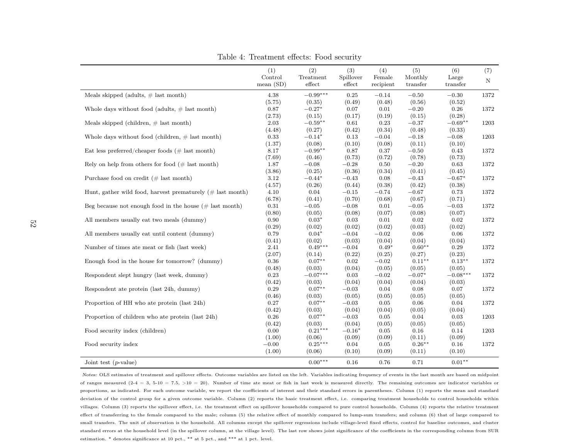|                                                               | (1)         | (2)        | (3)       | (4)       | (5)       | (6)        | (7)  |
|---------------------------------------------------------------|-------------|------------|-----------|-----------|-----------|------------|------|
|                                                               | Control     | Treatment  | Spillover | Female    | Monthly   | Large      | N    |
|                                                               | mean $(SD)$ | effect     | effect    | recipient | transfer  | transfer   |      |
| Meals skipped (adults, $\#$ last month)                       | 4.38        | $-0.99***$ | 0.25      | $-0.14$   | $-0.50$   | $-0.30$    | 1372 |
|                                                               | (5.75)      | (0.35)     | (0.49)    | (0.48)    | (0.56)    | (0.52)     |      |
| Whole days without food (adults, $\#$ last month)             | 0.87        | $-0.27*$   | 0.07      | 0.01      | $-0.20$   | 0.26       | 1372 |
|                                                               | (2.73)      | (0.15)     | (0.17)    | (0.19)    | (0.15)    | (0.28)     |      |
| Meals skipped (children, # last month)                        | 2.03        | $-0.59**$  | 0.61      | 0.23      | $-0.37$   | $-0.69**$  | 1203 |
|                                                               | (4.48)      | (0.27)     | (0.42)    | (0.34)    | (0.48)    | (0.33)     |      |
| Whole days without food (children, $\#$ last month)           | 0.33        | $-0.14*$   | 0.13      | $-0.04$   | $-0.18$   | $-0.08$    | 1203 |
|                                                               | (1.37)      | (0.08)     | (0.10)    | (0.08)    | (0.11)    | (0.10)     |      |
| Eat less preferred/cheaper foods ( $\#$ last month)           | 8.17        | $-0.99**$  | 0.87      | 0.37      | $-0.50$   | 0.43       | 1372 |
|                                                               | (7.69)      | (0.46)     | (0.73)    | (0.72)    | (0.78)    | (0.73)     |      |
| Rely on help from others for food $(\#$ last month)           | 1.87        | $-0.08$    | $-0.28$   | 0.50      | $-0.20$   | $\,0.63\,$ | 1372 |
|                                                               | (3.86)      | (0.25)     | (0.36)    | (0.34)    | (0.41)    | (0.45)     |      |
| Purchase food on credit $(\#$ last month)                     | 3.12        | $-0.44*$   | $-0.43$   | 0.08      | $-0.43$   | $-0.67*$   | 1372 |
|                                                               | (4.57)      | (0.26)     | (0.44)    | (0.38)    | (0.42)    | (0.38)     |      |
| Hunt, gather wild food, harvest prematurely $(\#$ last month) | 4.10        | 0.04       | $-0.15$   | $-0.74$   | $-0.67$   | 0.73       | 1372 |
|                                                               | (6.78)      | (0.41)     | (0.70)    | (0.68)    | (0.67)    | (0.71)     |      |
| Beg because not enough food in the house $(\#$ last month)    | 0.31        | $-0.05$    | $-0.08$   | 0.01      | $-0.05$   | $-0.03$    | 1372 |
|                                                               | (0.80)      | (0.05)     | (0.08)    | (0.07)    | (0.08)    | (0.07)     |      |
| All members usually eat two meals (dummy)                     | 0.90        | $0.03*$    | 0.03      | 0.01      | 0.02      | 0.02       | 1372 |
|                                                               | (0.29)      | (0.02)     | (0.02)    | (0.02)    | (0.03)    | (0.02)     |      |
| All members usually eat until content (dummy)                 | 0.79        | $0.04*$    | $-0.04$   | $-0.02$   | 0.06      | 0.06       | 1372 |
|                                                               | (0.41)      | (0.02)     | (0.03)    | (0.04)    | (0.04)    | (0.04)     |      |
| Number of times ate meat or fish (last week)                  | 2.41        | $0.49***$  | $-0.04$   | $0.49*$   | $0.60**$  | 0.29       | 1372 |
|                                                               | (2.07)      | (0.14)     | (0.22)    | (0.25)    | (0.27)    | (0.23)     |      |
| Enough food in the house for tomorrow? (dummy)                | 0.36        | $0.07**$   | 0.02      | $-0.02$   | $0.11***$ | $0.13***$  | 1372 |
|                                                               | (0.48)      | (0.03)     | (0.04)    | (0.05)    | (0.05)    | (0.05)     |      |
| Respondent slept hungry (last week, dummy)                    | 0.23        | $-0.07***$ | 0.03      | $-0.02$   | $-0.07*$  | $-0.08***$ | 1372 |
|                                                               | (0.42)      | (0.03)     | (0.04)    | (0.04)    | (0.04)    | (0.03)     |      |
| Respondent ate protein (last 24h, dummy)                      | $0.29\,$    | $0.07**$   | $-0.03$   | 0.04      | $0.08\,$  | $0.07\,$   | 1372 |
|                                                               | (0.46)      | (0.03)     | (0.05)    | (0.05)    | (0.05)    | (0.05)     |      |
| Proportion of HH who ate protein (last 24h)                   | 0.27        | $0.07**$   | $-0.03$   | 0.05      | 0.06      | 0.04       | 1372 |
|                                                               | (0.42)      | (0.03)     | (0.04)    | (0.04)    | (0.05)    | (0.04)     |      |
| Proportion of children who ate protein (last 24h)             | 0.26        | $0.07**$   | $-0.03$   | $0.05\,$  | 0.04      | $\rm 0.03$ | 1203 |
|                                                               | (0.42)      | (0.03)     | (0.04)    | (0.05)    | (0.05)    | (0.05)     |      |
| Food security index (children)                                | 0.00        | $0.21***$  | $-0.16*$  | 0.05      | 0.16      | 0.14       | 1203 |
|                                                               | (1.00)      | (0.06)     | (0.09)    | (0.09)    | (0.11)    | (0.09)     |      |
| Food security index                                           | $-0.00$     | $0.25***$  | 0.04      | $0.05\,$  | $0.26***$ | 0.16       | 1372 |
|                                                               | (1.00)      | (0.06)     | (0.10)    | (0.09)    | (0.11)    | (0.10)     |      |
|                                                               |             |            |           |           |           |            |      |
| Joint test $(p$ -value)                                       |             | $0.00***$  | 0.16      | 0.76      | 0.71      | $0.01**$   |      |

<span id="page-51-0"></span>Table 4: Treatment effects: Food security

Notes: OLS estimates of treatment and spillover effects. Outcome variables are listed on the left. Variables indicating frequency of events in the last month are based on midpointof ranges measured  $(2-4 = 3, 5-10 = 7.5, >10 = 20)$ . Number of time ate meat or fish in last week is measured directly. The remaining outcomes are indicator variables or proportions, as indicated. For each outcome variable, we report the coefficients of interest and their standard errors in parentheses. Column (1) reports the mean and standarddeviation of the control group for a given outcome variable. Column (2) reports the basic treatment effect, i.e. comparing treatment households to control households within villages. Column (3) reports the spillover effect, i.e. the treatment effect on spillover households compared to pure control households. Column (4) reports the relative treatmenteffect of transferring to the female compared to the male; column (5) the relative effect of monthly compared to lump-sum transfers; and column (6) that of large compared tosmall transfers. The unit of observation is the household. All columns except the spillover regressions include village-level fixed effects, control for baseline outcomes, and clusterstandard errors at the household level (in the spillover column, at the village level). The last row shows joint significance of the coefficients in the corresponding column from SURestimation. \* denotes significance at 10 pct., \*\* at 5 pct., and \*\*\* at <sup>1</sup> pct. level.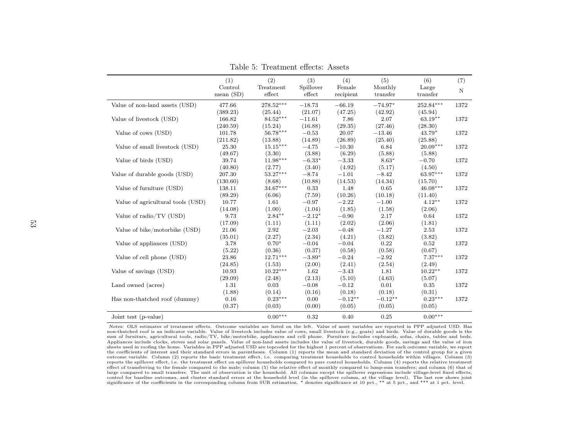|                                   | (1)<br>Control | (2)<br>Treatment | (3)<br>Spillover | (4)<br>Female | (5)<br>Monthly | (6)<br>Large | (7)  |
|-----------------------------------|----------------|------------------|------------------|---------------|----------------|--------------|------|
|                                   | mean(SD)       | effect           | effect           | recipient     | transfer       | transfer     | N    |
| Value of non-land assets (USD)    | 477.66         | 278.52***        | $-18.73$         | $-66.19$      | $-74.97*$      | 252.84***    | 1372 |
|                                   | (389.23)       | (25.44)          | (21.07)          | (47.25)       | (42.92)        | (45.94)      |      |
| Value of livestock (USD)          | 166.82         | 84.52***         | $-11.61$         | 7.86          | 2.07           | 63.19**      | 1372 |
|                                   | (240.59)       | (15.24)          | (16.88)          | (29.35)       | (27.46)        | (28.30)      |      |
| Value of cows (USD)               | 101.78         | 56.78***         | $-0.53$          | 20.07         | $-13.46$       | 43.79*       | 1372 |
|                                   | (211.82)       | (13.88)          | (14.89)          | (26.89)       | (25.40)        | (25.88)      |      |
| Value of small livestock (USD)    | 25.30          | $15.15***$       | $-4.75$          | $-10.30$      | 6.84           | $20.09***$   | 1372 |
|                                   | (49.67)        | (3.30)           | (3.88)           | (6.29)        | (5.88)         | (5.88)       |      |
| Value of birds (USD)              | 39.74          | $11.98***$       | $-6.33*$         | $-3.33$       | $8.63*$        | $-0.70$      | 1372 |
|                                   | (40.80)        | (2.77)           | (3.40)           | (4.92)        | (5.17)         | (4.50)       |      |
| Value of durable goods (USD)      | 207.30         | 53.27***         | $-8.74$          | $-1.01$       | $-8.42$        | 63.97***     | 1372 |
|                                   | (130.60)       | (8.68)           | (10.88)          | (14.53)       | (14.34)        | (15.70)      |      |
| Value of furniture (USD)          | 138.11         | 34.67***         | 0.33             | 1.48          | 0.65           | $46.08***$   | 1372 |
|                                   | (89.29)        | (6.06)           | (7.59)           | (10.26)       | (10.18)        | (11.40)      |      |
| Value of agricultural tools (USD) | 10.77          | 1.61             | $-0.97$          | $-2.22$       | $-1.00$        | $4.12**$     | 1372 |
|                                   | (14.08)        | (1.00)           | (1.04)           | (1.85)        | (1.58)         | (2.06)       |      |
| Value of radio/TV (USD)           | 9.73           | $2.84**$         | $-2.12*$         | $-0.90$       | 2.17           | 0.64         | 1372 |
|                                   | (17.09)        | (1.11)           | (1.11)           | (2.02)        | (2.06)         | (1.81)       |      |
| Value of bike/motorbike (USD)     | 21.06          | 2.92             | $-2.03$          | $-0.48$       | $-1.27$        | 2.53         | 1372 |
|                                   | (35.01)        | (2.27)           | (2.34)           | (4.21)        | (3.82)         | (3.82)       |      |
| Value of appliances (USD)         | 3.78           | $0.70*$          | $-0.04$          | $-0.04$       | 0.22           | 0.52         | 1372 |
|                                   | (5.22)         | (0.36)           | (0.37)           | (0.58)        | (0.58)         | (0.67)       |      |
| Value of cell phone (USD)         | 23.86          | $12.71***$       | $-3.89*$         | $-0.24$       | $-2.92$        | $7.37***$    | 1372 |
|                                   | (24.85)        | (1.53)           | (2.00)           | (2.41)        | (2.54)         | (2.49)       |      |
| Value of savings (USD)            | 10.93          | $10.22***$       | 1.62             | $-3.43$       | 1.81           | $10.22**$    | 1372 |
|                                   | (29.09)        | (2.48)           | (2.13)           | (5.10)        | (4.63)         | (5.07)       |      |
| Land owned (acres)                | 1.31           | 0.03             | $-0.08$          | $-0.12$       | 0.01           | 0.35         | 1372 |
|                                   | (1.88)         | (0.14)           | (0.16)           | (0.18)        | (0.18)         | (0.31)       |      |
| Has non-thatched roof (dummy)     | 0.16           | $0.23***$        | 0.00             | $-0.12**$     | $-0.12**$      | $0.23***$    | 1372 |
|                                   | (0.37)         | (0.03)           | (0.00)           | (0.05)        | (0.05)         | (0.05)       |      |
| Joint test $(p\text{-value})$     |                | $0.00***$        | 0.32             | 0.40          | 0.25           | $0.00***$    |      |

<span id="page-52-0"></span>Table 5: Treatment effects: Assets

Notes: OLS estimates of treatment effects. Outcome variables are listed on the left. Value of asset variables are reported in PPP adjusted USD. Has non-thatched roof is an indicator variable. Value of livestock includes value of cows, small livestock (e.g., goats) and birds. Value of durable goods is the sum of furniture, agricultural tools, radio/TV, bike/motorbike, appliances and cell <sup>p</sup>hone. Furniture includes cupboards, sofas, chairs, tables and beds. Appliances include clocks, stoves and solar panels. Value of non-land assets includes the value of livestock, durable goods, savings and the value of iron sheets used in roofing the home. Variables in PPP adjusted USD are topcoded for the highest 1 percent of observations. For each outcome variable, we report the coefficients of interest and their standard errors in parentheses. Column (1) reports the mean and standard deviation of the control group for <sup>a</sup> <sup>g</sup>iven outcome variable. Column (2) reports the basic treatment effect, i.e. comparing treatment households to control households within villages. Column (3) reports the spillover effect, i.e. the treatment effect on spillover households compared to pure control households. Column (4) reports the relative treatment effect of transferring to the female compared to the male; column (5) the relative effect of monthly compared to lump-sum transfers; and column (6) that of large compared to small transfers. The unit of observation is the household. All columns except the spillover regressions include village-level fixed effects, control for baseline outcomes, and cluster standard errors at the household level (in the spillover column, at the village level). The last row shows jointsignificance of the coefficients in the corresponding column from SUR estimation. \* denotes significance at 10 pct., \*\* at 5 pct., and \*\*\* at 1 pct. level.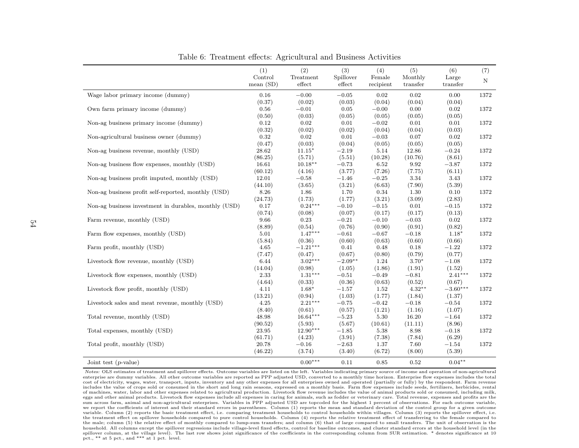|                                                       | (1)<br>Control<br>mean $(SD)$ | (2)<br>Treatment<br>effect  | (3)<br>Spillover<br>effect | (4)<br>Female<br>recipient  | (5)<br>Monthly<br>transfer | (6)<br>Large<br>transfer | (7)<br>$_{\rm N}$ |
|-------------------------------------------------------|-------------------------------|-----------------------------|----------------------------|-----------------------------|----------------------------|--------------------------|-------------------|
| Wage labor primary income (dummy)                     | 0.16                          | $-0.00$                     | $-0.05$                    | 0.02                        | 0.02                       | 0.00                     | 1372              |
| Own farm primary income (dummy)                       | (0.37)<br>0.56<br>(0.50)      | (0.02)<br>$-0.01$<br>(0.03) | (0.03)<br>0.05<br>(0.05)   | (0.04)<br>$-0.00$<br>(0.05) | (0.04)<br>0.00<br>(0.05)   | (0.04)<br>0.02<br>(0.05) | 1372              |
| Non-ag business primary income (dummy)                | 0.12<br>(0.32)                | 0.02<br>(0.02)              | 0.01<br>(0.02)             | $-0.02$<br>(0.04)           | 0.01<br>(0.04)             | 0.01<br>(0.03)           | 1372              |
| Non-agricultural business owner (dummy)               | 0.32<br>(0.47)                | 0.02<br>(0.03)              | 0.01<br>(0.04)             | $-0.03$<br>(0.05)           | 0.07<br>(0.05)             | 0.02<br>(0.05)           | 1372              |
| Non-ag business revenue, monthly (USD)                | 28.62<br>(86.25)              | $11.15*$<br>(5.71)          | $-2.19$<br>(5.51)          | 5.14<br>(10.28)             | 12.86<br>(10.76)           | $-0.24$<br>(8.61)        | 1372              |
| Non-ag business flow expenses, monthly (USD)          | 16.61<br>(60.12)              | $10.18**$<br>(4.16)         | $-0.73$<br>(3.77)          | 6.52<br>(7.26)              | 9.92<br>(7.75)             | $-3.87$<br>(6.11)        | 1372              |
| Non-ag business profit imputed, monthly (USD)         | 12.01<br>(44.10)              | $-0.58$<br>(3.65)           | $-1.46$<br>(3.21)          | $-0.25$<br>(6.63)           | 3.34<br>(7.90)             | 3.43<br>(5.39)           | 1372              |
| Non-ag business profit self-reported, monthly (USD)   | 8.26<br>(24.73)               | 1.86<br>(1.73)              | 1.70<br>(1.77)             | 0.34<br>(3.21)              | 1.30<br>(3.09)             | 0.10<br>(2.83)           | 1372              |
| Non-ag business investment in durables, monthly (USD) | 0.17<br>(0.74)                | $0.24***$<br>(0.08)         | $-0.10$<br>(0.07)          | $-0.15$<br>(0.17)           | 0.01<br>(0.17)             | $-0.15$<br>(0.13)        | 1372              |
| Farm revenue, monthly (USD)                           | 9.66<br>(8.89)                | 0.23<br>(0.54)              | $-0.21$<br>(0.76)          | $-0.10$<br>(0.90)           | $-0.03$<br>(0.91)          | $\rm 0.02$<br>(0.82)     | 1372              |
| Farm flow expenses, monthly (USD)                     | 5.01<br>(5.84)                | $1.47***$<br>(0.36)         | $-0.61$<br>(0.60)          | $-0.67$<br>(0.63)           | $-0.18$<br>(0.60)          | $1.18*$<br>(0.66)        | 1372              |
| Farm profit, monthly (USD)                            | 4.65<br>(7.47)                | $-1.21***$<br>(0.47)        | 0.41<br>(0.67)             | 0.48<br>(0.80)              | 0.18<br>(0.79)             | $-1.22$<br>(0.77)        | 1372              |
| Livestock flow revenue, monthly (USD)                 | 6.44<br>(14.04)               | $3.02***$<br>(0.98)         | $-2.09**$<br>(1.05)        | 1.24<br>(1.86)              | $3.70*$<br>(1.91)          | $-1.08$<br>(1.52)        | 1372              |
| Livestock flow expenses, monthly (USD)                | 2.33<br>(4.64)                | $1.31***$<br>(0.33)         | $-0.51$<br>(0.36)          | $-0.49$<br>(0.63)           | $-0.81$<br>(0.52)          | $2.41***$<br>(0.67)      | 1372              |
| Livestock flow profit, monthly (USD)                  | 4.11<br>(13.21)               | $1.68*$<br>(0.94)           | $-1.57$<br>(1.03)          | 1.52<br>(1.77)              | $4.32**$<br>(1.84)         | $-3.60***$<br>(1.37)     | 1372              |
| Livestock sales and meat revenue, monthly (USD)       | 4.25<br>(8.40)                | $2.21***$<br>(0.61)         | $-0.75$<br>(0.57)          | $-0.42$<br>(1.21)           | $-0.18$<br>(1.16)          | $-0.54$<br>(1.07)        | 1372              |
| Total revenue, monthly (USD)                          | 48.98<br>(90.52)              | $16.64***$<br>(5.93)        | $-5.23$<br>(5.67)          | 5.30<br>(10.61)             | 16.20<br>(11.11)           | $-1.64$<br>(8.96)        | 1372              |
| Total expenses, monthly (USD)                         | 23.95<br>(61.71)              | $12.90***$<br>(4.23)        | $-1.85$<br>(3.91)          | 5.38<br>(7.38)              | 8.98<br>(7.84)             | $-0.18$<br>(6.29)        | 1372              |
| Total profit, monthly (USD)                           | 20.78<br>(46.22)              | $-0.16$<br>(3.74)           | $-2.63$<br>(3.40)          | 1.37<br>(6.72)              | 7.60<br>(8.00)             | $-1.54$<br>(5.39)        | 1372              |
| Joint test $(p-value)$                                |                               | $0.00***$                   | 0.11                       | 0.85                        | 0.52                       | $0.04***$                |                   |

<span id="page-53-0"></span>Table 6: Treatment effects: Agricultural and Business Activities

Notes: OLS estimates of treatment and spillover effects. Outcome variables are listed on the left. Variables indicating primary source of income and operation of non-agricultural enterprise are dummy variables. All other outcome variables are reported as PPP adjusted USD, converted to <sup>a</sup> monthly time horizon. Enterprise flow expenses includes the total cost of electricity, wages, water, transport, inputs, inventory and any other expenses for all enterprises owned and operated (partially or fully) by the respondent. Farm revenue includes the value of crops sold or consumed in the short and long rain seasons, expressed on <sup>a</sup> monthly basis. Farm flow expenses include seeds, fertilizers, herbicides, rental of machines, water, labor and other expenses related to agricultural production. Livestock flow revenue includes the value of animal products sold or consumed, including milk, eggs and other animal products. Livestock flow expenses include all expenses in caring for animals, such as fodder or veterinary care. Total revenue, expenses and profits are the sum across farm, animal and non-agricultural enterprises. Variables in PPP adjusted USD are topcoded for the highest 1 percent of observations. For each outcome variable, we report the coefficients of interest and their standard errors in parentheses. Column (1) reports the mean and standard deviation of the control group for <sup>a</sup> <sup>g</sup>iven outcome variable. Column (2) reports the basic treatment effect, i.e. comparing treatment households to control households within villages. Column (3) reports the spillover effect, i.e. the treatment effect on spillover households compared to pure control households. Column (4) reports the relative treatment effect of transferring to the female compared to the male; column (5) the relative effect of monthly compared to lump-sum transfers; and column (6) that of large compared to small transfers. The unit of observation is the household. All columns except the spillover regressions include village-level fixed effects, control for baseline outcomes, and cluster standard errors at the household level (in the spillover column, at the village level). The last row shows joint significance of the coefficients in the corresponding column from SUR estimation. \* denotes significance at <sup>10</sup>pct., \*\* at 5 pct., and \*\*\* at 1 pct. level.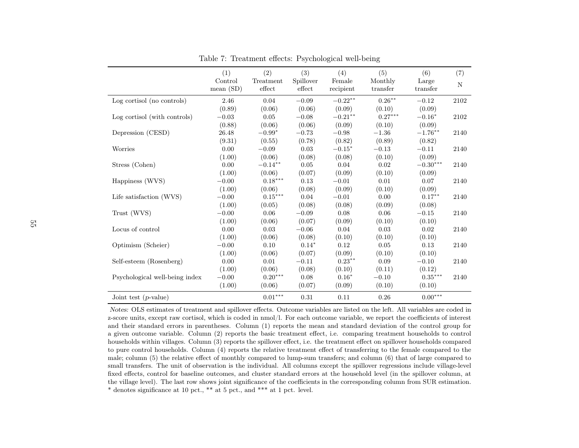|                                | (1)      | (2)                   | (3)       | (4)        | (5)       | (6)             | (7)         |
|--------------------------------|----------|-----------------------|-----------|------------|-----------|-----------------|-------------|
|                                | Control  | Treatment             | Spillover | Female     | Monthly   | Large           | $\mathbf N$ |
|                                | mean(SD) | effect                | effect    | recipient  | transfer  | transfer        |             |
| Log cortisol (no controls)     | 2.46     | 0.04                  | $-0.09$   | $-0.22**$  | $0.26***$ | $-0.12$         | 2102        |
|                                | (0.89)   | (0.06)                | (0.06)    | (0.09)     | (0.10)    | (0.09)          |             |
| Log cortisol (with controls)   | $-0.03$  | 0.05                  | $-0.08$   | $-0.21***$ | $0.27***$ | $-0.16*$        | 2102        |
|                                | (0.88)   | (0.06)                | (0.06)    | (0.09)     | (0.10)    | (0.09)          |             |
| Depression (CESD)              | 26.48    | $-0.99*$              | $-0.73$   | $-0.98$    | $-1.36$   | $-1.76***$      | 2140        |
|                                | (9.31)   | (0.55)                | (0.78)    | (0.82)     | (0.89)    | (0.82)          |             |
| Worries                        | 0.00     | $-0.09$               | 0.03      | $-0.15*$   | $-0.13$   | $-0.11$         | 2140        |
|                                | (1.00)   | (0.06)                | (0.08)    | (0.08)     | (0.10)    | (0.09)          |             |
| Stress (Cohen)                 | 0.00     | $-0.14***$            | 0.05      | 0.04       | 0.02      | $-0.30^{***}\,$ | 2140        |
|                                | (1.00)   | (0.06)                | (0.07)    | (0.09)     | (0.10)    | (0.09)          |             |
| Happiness (WVS)                | $-0.00$  | $0.18***$             | 0.13      | $-0.01$    | 0.01      | 0.07            | 2140        |
|                                | (1.00)   | (0.06)                | (0.08)    | (0.09)     | (0.10)    | (0.09)          |             |
| Life satisfaction (WVS)        | $-0.00$  | $0.15***$             | 0.04      | $-0.01$    | 0.00      | $0.17***$       | 2140        |
|                                | (1.00)   | (0.05)                | (0.08)    | (0.08)     | (0.09)    | (0.08)          |             |
| Trust (WVS)                    | $-0.00$  | 0.06                  | $-0.09$   | 0.08       | 0.06      | $-0.15$         | 2140        |
|                                | (1.00)   | (0.06)                | (0.07)    | (0.09)     | (0.10)    | (0.10)          |             |
| Locus of control               | 0.00     | 0.03                  | $-0.06$   | 0.04       | 0.03      | 0.02            | 2140        |
|                                | (1.00)   | (0.06)                | (0.08)    | (0.10)     | (0.10)    | (0.10)          |             |
| Optimism (Scheier)             | $-0.00$  | 0.10                  | $0.14*$   | 0.12       | 0.05      | 0.13            | 2140        |
|                                | (1.00)   | (0.06)                | (0.07)    | (0.09)     | (0.10)    | (0.10)          |             |
| Self-esteem (Rosenberg)        | 0.00     | 0.01                  | $-0.11$   | $0.23***$  | 0.09      | $-0.10$         | 2140        |
|                                | (1.00)   | (0.06)                | (0.08)    | (0.10)     | (0.11)    | (0.12)          |             |
| Psychological well-being index | $-0.00$  | $0.20***$             | 0.08      | $0.16*$    | $-0.10$   | $0.35***$       | 2140        |
|                                | (1.00)   | (0.06)                | (0.07)    | (0.09)     | (0.10)    | (0.10)          |             |
| Joint test $(p$ -value)        |          | $0.01^{\ast\ast\ast}$ | 0.31      | 0.11       | 0.26      | $0.00^{***}\,$  |             |

<span id="page-54-0"></span>Table 7: Treatment effects: Psychological well-being

Notes: OLS estimates of treatment and spillover effects. Outcome variables are listed on the left. All variables are coded in z-score units, except raw cortisol, which is coded in nmol/l. For each outcome variable, we report the coefficients of interest and their standard errors in parentheses. Column (1) reports the mean and standard deviation of the control group for <sup>a</sup> <sup>g</sup>iven outcome variable. Column (2) reports the basic treatment effect, i.e. comparing treatment households to controlhouseholds within villages. Column (3) reports the spillover effect, i.e. the treatment effect on spillover households compared to pure control households. Column (4) reports the relative treatment effect of transferring to the female compared to the male; column (5) the relative effect of monthly compared to lump-sum transfers; and column (6) that of large compared to small transfers. The unit of observation is the individual. All columns except the spillover regressions include village-level fixed effects, control for baseline outcomes, and cluster standard errors at the household level (in the spillover column, at the village level). The last row shows joint significance of the coefficients in the corresponding column from SUR estimation.\* denotes significance at 10 pct., \*\* at 5 pct., and \*\*\* at <sup>1</sup> pct. level.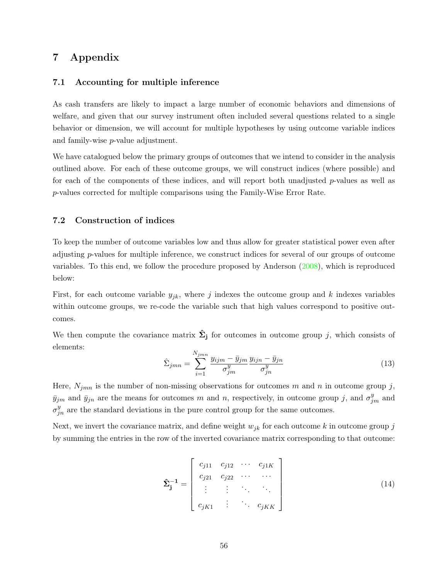## 7 Appendix

#### 7.1 Accounting for multiple inference

As cash transfers are likely to impact a large number of economic behaviors and dimensions of welfare, and given that our survey instrument often included several questions related to a single behavior or dimension, we will account for multiple hypotheses by using outcome variable indices and family-wise p-value adjustment.

We have catalogued below the primary groups of outcomes that we intend to consider in the analysis outlined above. For each of these outcome groups, we will construct indices (where possible) and for each of the components of these indices, and will report both unadjusted  $p$ -values as well as p-values corrected for multiple comparisons using the Family-Wise Error Rate.

#### 7.2 Construction of indices

To keep the number of outcome variables low and thus allow for greater statistical power even after adjusting p-values for multiple inference, we construct indices for several of our groups of outcome variables. To this end, we follow the procedure proposed by Anderson [\(2008\)](#page-37-12), which is reproduced below:

First, for each outcome variable  $y_{jk}$ , where j indexes the outcome group and k indexes variables within outcome groups, we re-code the variable such that high values correspond to positive outcomes.

We then compute the covariance matrix  $\hat{\Sigma}_j$  for outcomes in outcome group j, which consists of elements:

$$
\hat{\Sigma}_{jmn} = \sum_{i=1}^{N_{jmn}} \frac{y_{ijm} - \bar{y}_{jm}}{\sigma_{jm}^y} \frac{y_{ijn} - \bar{y}_{jn}}{\sigma_{jn}^y} \tag{13}
$$

Here,  $N_{jmn}$  is the number of non-missing observations for outcomes m and n in outcome group j,  $\bar{y}_{jm}$  and  $\bar{y}_{jn}$  are the means for outcomes m and n, respectively, in outcome group j, and  $\sigma_{jm}^y$  and  $\sigma_{jn}^y$  are the standard deviations in the pure control group for the same outcomes.

Next, we invert the covariance matrix, and define weight  $w_{ik}$  for each outcome k in outcome group j by summing the entries in the row of the inverted covariance matrix corresponding to that outcome:

$$
\hat{\Sigma}_{j}^{-1} = \begin{bmatrix} c_{j11} & c_{j12} & \cdots & c_{j1K} \\ c_{j21} & c_{j22} & \cdots & \cdots \\ \vdots & \vdots & \ddots & \vdots \\ c_{jK1} & \vdots & \ddots & c_{jKK} \end{bmatrix}
$$
 (14)